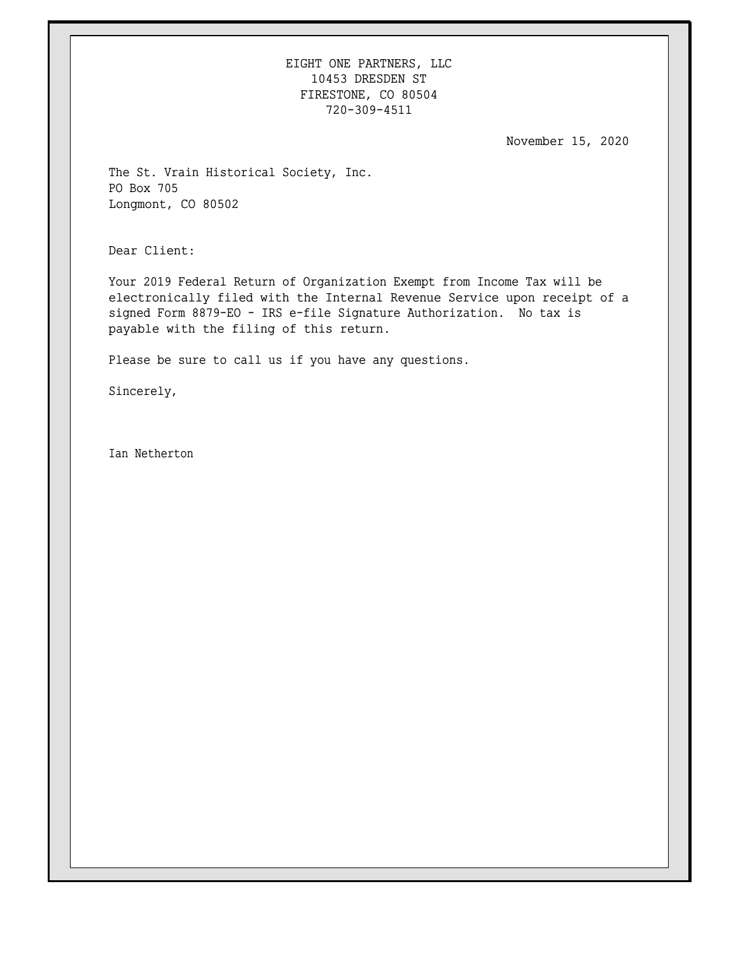EIGHT ONE PARTNERS, LLC 10453 DRESDEN ST FIRESTONE, CO 80504 720-309-4511

November 15, 2020

The St. Vrain Historical Society, Inc. PO Box 705 Longmont, CO 80502

Dear Client:

Your 2019 Federal Return of Organization Exempt from Income Tax will be electronically filed with the Internal Revenue Service upon receipt of a signed Form 8879-EO - IRS e-file Signature Authorization. No tax is payable with the filing of this return.

Please be sure to call us if you have any questions.

Sincerely,

Ian Netherton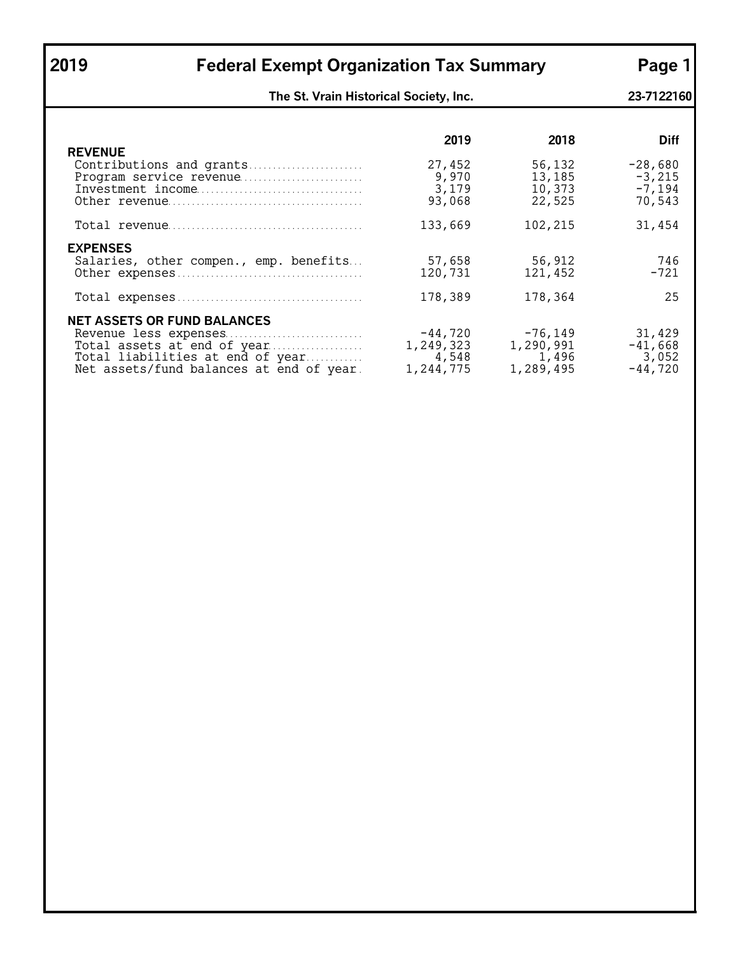## **2019 Page 1 Exempt Organization Tax Summary Page 1**

| <b>REVENUE</b>                                                                                                                                                             | 2019                                         | 2018                                          | <b>Diff</b>                                 |
|----------------------------------------------------------------------------------------------------------------------------------------------------------------------------|----------------------------------------------|-----------------------------------------------|---------------------------------------------|
| Contributions and grants<br>Program service revenue                                                                                                                        | 27,452<br>9,970<br>3,179<br>93,068           | 56,132<br>13,185<br>10,373<br>22,525          | $-28,680$<br>$-3,215$<br>$-7,194$<br>70,543 |
|                                                                                                                                                                            | 133,669                                      | 102,215                                       | 31,454                                      |
| <b>EXPENSES</b><br>Salaries, other compen., emp. benefits                                                                                                                  | 57,658<br>120,731                            | 56,912<br>121,452                             | 746<br>$-721$                               |
|                                                                                                                                                                            | 178,389                                      | 178,364                                       | 25                                          |
| <b>NET ASSETS OR FUND BALANCES</b><br>Revenue less expenses<br>Total assets at end of year<br>Total liabilities at end of year<br>Net assets/fund balances at end of year. | $-44,720$<br>1,249,323<br>4,548<br>1,244,775 | $-76, 149$<br>1,290,991<br>1,496<br>1,289,495 | 31,429<br>$-41,668$<br>3,052<br>$-44,720$   |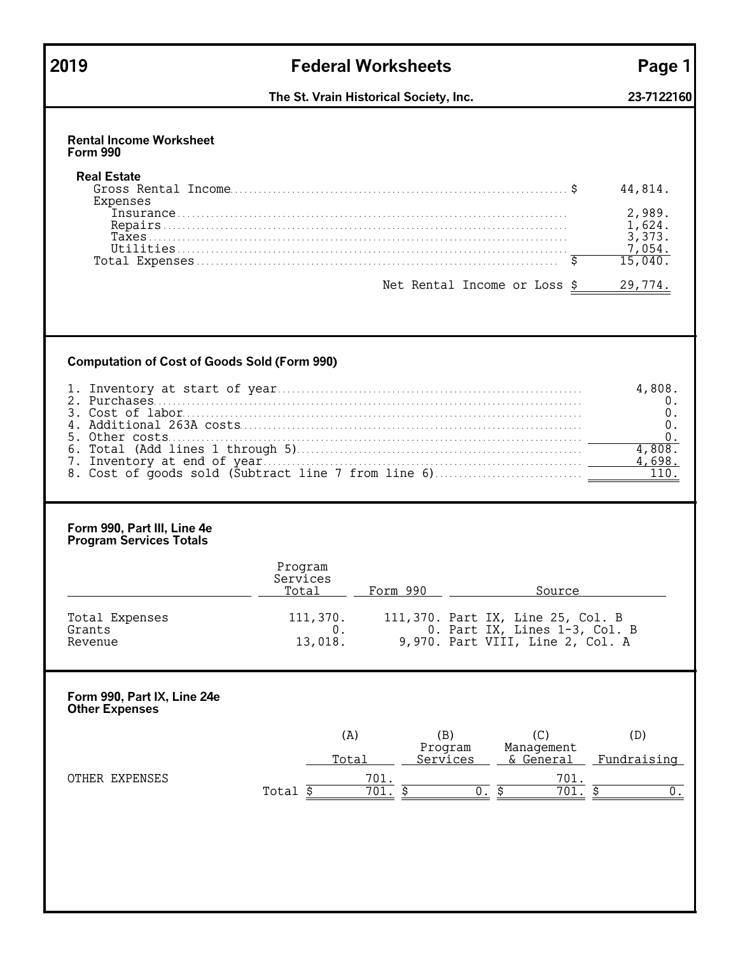| 2019                                                                    | <b>Federal Worksheets</b>                                                                                                                                           | Page 1                                                            |
|-------------------------------------------------------------------------|---------------------------------------------------------------------------------------------------------------------------------------------------------------------|-------------------------------------------------------------------|
|                                                                         | The St. Vrain Historical Society, Inc.                                                                                                                              | 23-7122160                                                        |
| <b>Rental Income Worksheet</b><br><b>Form 990</b><br><b>Real Estate</b> |                                                                                                                                                                     |                                                                   |
| Expenses                                                                | \$                                                                                                                                                                  | 44,814.<br>2,989.<br>1,624.<br>3,373.<br>$\frac{7,054}{15,040}$ . |
|                                                                         | Net Rental Income or Loss \$                                                                                                                                        | 29,774.                                                           |
|                                                                         | <b>Computation of Cost of Goods Sold (Form 990)</b>                                                                                                                 |                                                                   |
|                                                                         | 8. Cost of goods sold (Subtract line 7 from line 6)                                                                                                                 | 4,808.<br>0.<br>0.<br>0<br>0.<br>4,808.<br>4,698.<br>110.         |
| Form 990, Part III, Line 4e<br><b>Program Services Totals</b>           |                                                                                                                                                                     |                                                                   |
|                                                                         | Program<br>Services<br><u>Total</u><br><u>Form 990</u><br><u>Source</u>                                                                                             |                                                                   |
| Total Expenses<br>Grants<br>Revenue                                     | 111,370. Part IX, Line 25, Col. B<br>111,370.<br>0. Part IX, Lines 1-3, Col. B<br>0.<br>13,018.<br>9,970. Part VIII, Line 2, Col. A                                 |                                                                   |
| Form 990, Part IX, Line 24e<br><b>Other Expenses</b>                    |                                                                                                                                                                     |                                                                   |
| OTHER EXPENSES                                                          | (C)<br>(A)<br>(B)<br>Program<br>Management<br>Services<br>Total<br>& General<br>701.<br>701.<br>0.5<br>$701.$ \$<br>701.<br>$\mathfrak{S}$<br>Total $\overline{\$}$ | (D)<br>Fundraising<br>$\overline{0}$ .                            |
|                                                                         |                                                                                                                                                                     |                                                                   |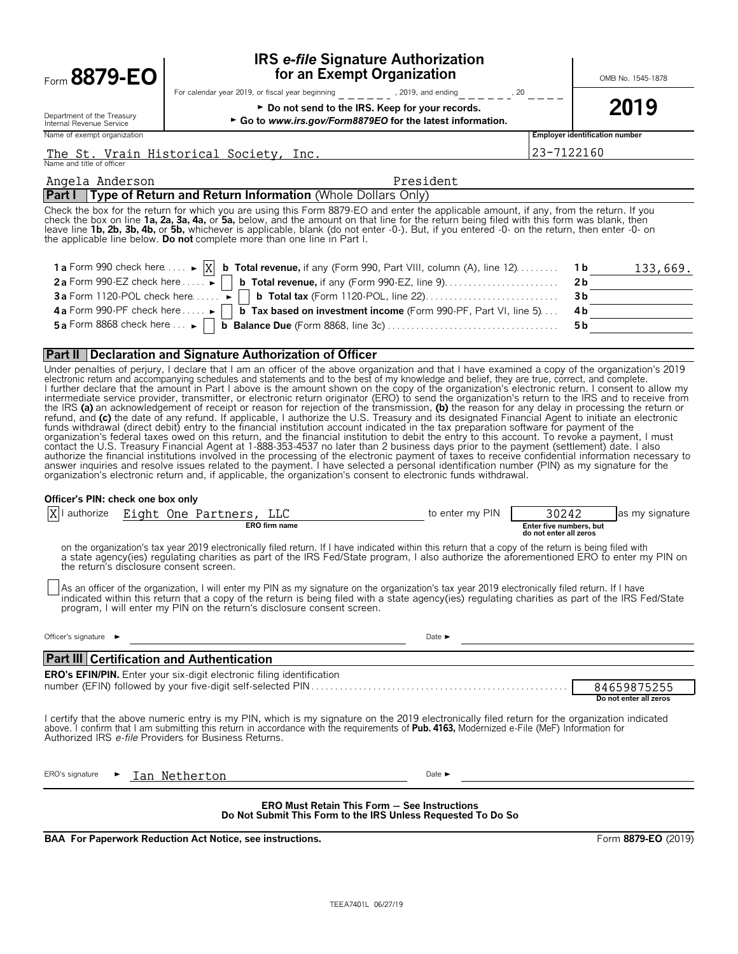| Form 8879-EO                                           |                                                                                                                                                                                                                                                                                                                                                                                                                                                                                                                                                                                                                                                                                                                                                                                                                                                                                                                                                                                                                                                                                                                                                                                                                                                                                                                                                                                                          | for an Exempt Organization                                                                                          | OMB No. 1545-1878                                   |
|--------------------------------------------------------|----------------------------------------------------------------------------------------------------------------------------------------------------------------------------------------------------------------------------------------------------------------------------------------------------------------------------------------------------------------------------------------------------------------------------------------------------------------------------------------------------------------------------------------------------------------------------------------------------------------------------------------------------------------------------------------------------------------------------------------------------------------------------------------------------------------------------------------------------------------------------------------------------------------------------------------------------------------------------------------------------------------------------------------------------------------------------------------------------------------------------------------------------------------------------------------------------------------------------------------------------------------------------------------------------------------------------------------------------------------------------------------------------------|---------------------------------------------------------------------------------------------------------------------|-----------------------------------------------------|
| Department of the Treasury<br>Internal Revenue Service | For calendar year 2019, or fiscal year beginning $\left( \frac{2019}{2019} \right)$ , 2019, and ending $\left( \frac{2019}{2019} \right)$                                                                                                                                                                                                                                                                                                                                                                                                                                                                                                                                                                                                                                                                                                                                                                                                                                                                                                                                                                                                                                                                                                                                                                                                                                                                | Do not send to the IRS. Keep for your records.<br>► Go to www.irs.gov/Form8879EO for the latest information.        | 2019                                                |
| Name of exempt organization                            |                                                                                                                                                                                                                                                                                                                                                                                                                                                                                                                                                                                                                                                                                                                                                                                                                                                                                                                                                                                                                                                                                                                                                                                                                                                                                                                                                                                                          |                                                                                                                     | <b>Employer identification number</b>               |
| Name and title of officer                              | The St. Vrain Historical Society, Inc.                                                                                                                                                                                                                                                                                                                                                                                                                                                                                                                                                                                                                                                                                                                                                                                                                                                                                                                                                                                                                                                                                                                                                                                                                                                                                                                                                                   |                                                                                                                     | 23-7122160                                          |
| Angela Anderson                                        |                                                                                                                                                                                                                                                                                                                                                                                                                                                                                                                                                                                                                                                                                                                                                                                                                                                                                                                                                                                                                                                                                                                                                                                                                                                                                                                                                                                                          | President                                                                                                           |                                                     |
|                                                        | <b>Part I</b> Type of Return and Return Information (Whole Dollars Only)                                                                                                                                                                                                                                                                                                                                                                                                                                                                                                                                                                                                                                                                                                                                                                                                                                                                                                                                                                                                                                                                                                                                                                                                                                                                                                                                 |                                                                                                                     |                                                     |
|                                                        | Check the box for the return for which you are using this Form 8879-EO and enter the applicable amount, if any, from the return. If you<br>check the box on line 1a, 2a, 3a, 4a, or 5a, below, and the amount on that line for the return being filed with this form was blank, then<br>leave line 1b, 2b, 3b, 4b, or 5b, whichever is applicable, blank (do not enter -0-). But, if you entered -0- on the return, then enter -0- on<br>the applicable line below. Do not complete more than one line in Part I.                                                                                                                                                                                                                                                                                                                                                                                                                                                                                                                                                                                                                                                                                                                                                                                                                                                                                        |                                                                                                                     |                                                     |
|                                                        | 1 a Form 990 check here $\dots$ $\blacktriangleright$ $X$ <b>b Total revenue</b> , if any (Form 990, Part VIII, column (A), line 12). $\dots$                                                                                                                                                                                                                                                                                                                                                                                                                                                                                                                                                                                                                                                                                                                                                                                                                                                                                                                                                                                                                                                                                                                                                                                                                                                            |                                                                                                                     | 1 b<br>133,669.                                     |
|                                                        | 2a Form 990-EZ check here $\dots$     b Total revenue, if any (Form 990-EZ, line 9). $\dots$                                                                                                                                                                                                                                                                                                                                                                                                                                                                                                                                                                                                                                                                                                                                                                                                                                                                                                                                                                                                                                                                                                                                                                                                                                                                                                             |                                                                                                                     | 2 <sub>b</sub>                                      |
|                                                        | <b>3a</b> Form 1120-POL check here $\ldots$ $\cdot$ $\cdot$     <b>b</b> Total tax (Form 1120-POL, line 22) $\ldots$ $\ldots$ $\ldots$ $\ldots$ $\ldots$                                                                                                                                                                                                                                                                                                                                                                                                                                                                                                                                                                                                                                                                                                                                                                                                                                                                                                                                                                                                                                                                                                                                                                                                                                                 |                                                                                                                     |                                                     |
|                                                        | 4 a Form 990-PF check here $\dots \rightarrow \Box$ Tax based on investment income (Form 990-PF, Part VI, line 5)                                                                                                                                                                                                                                                                                                                                                                                                                                                                                                                                                                                                                                                                                                                                                                                                                                                                                                                                                                                                                                                                                                                                                                                                                                                                                        |                                                                                                                     | $4b$ $-$                                            |
|                                                        |                                                                                                                                                                                                                                                                                                                                                                                                                                                                                                                                                                                                                                                                                                                                                                                                                                                                                                                                                                                                                                                                                                                                                                                                                                                                                                                                                                                                          |                                                                                                                     | 5b                                                  |
|                                                        | <b>Part II Declaration and Signature Authorization of Officer</b>                                                                                                                                                                                                                                                                                                                                                                                                                                                                                                                                                                                                                                                                                                                                                                                                                                                                                                                                                                                                                                                                                                                                                                                                                                                                                                                                        |                                                                                                                     |                                                     |
|                                                        | I further declare that the amount in Part I above is the amount shown on the copy of the organization's electronic return. I consent to allow my intermediate service provider, transmitter, or electronic return originator (<br>the IRS (a) an acknowledgement of receipt or reason for rejection of the transmission, (b) the reason for any delay in processing the return or<br>refund, and (c) the date of any refund. If applicable, I authorize the U.S. Treasury and its designated Financial Agent to initiate an electronic<br>funds withdrawal (direct debit) entry to the financial institution account indicated in the tax preparation software for payment of the<br>organization's federal taxes owed on this return, and the financial institution to debit the entry to this account. To revoke a payment, I must<br>contact the U.S. Treasury Financial Agent at 1-888-353-4537 no later than 2 business days prior to the payment (settlement) date. I also<br>authorize the financial institutions involved in the processing of the electronic payment of taxes to receive confidential information necessary to<br>answer inquiries and resolve issues related to the payment. I have selected a personal identification number (PIN) as my signature for the<br>organization's electronic return and, if applicable, the organization's consent to electronic funds withdrawal. |                                                                                                                     |                                                     |
| Officer's PIN: check one box only                      |                                                                                                                                                                                                                                                                                                                                                                                                                                                                                                                                                                                                                                                                                                                                                                                                                                                                                                                                                                                                                                                                                                                                                                                                                                                                                                                                                                                                          |                                                                                                                     |                                                     |
|                                                        | $\overline{X}$ authorize <b>Eight One Partners, LLC</b> to enter my PIN <b>ERO</b> firm name                                                                                                                                                                                                                                                                                                                                                                                                                                                                                                                                                                                                                                                                                                                                                                                                                                                                                                                                                                                                                                                                                                                                                                                                                                                                                                             |                                                                                                                     | 30242<br>as my signature<br>Enter five numbers, but |
| the return's disclosure consent screen.                | on the organization's tax year 2019 electronically filed return. If I have indicated within this return that a copy of the return is being filed with<br>a state agency(ies) regulating charities as part of the IRS Fed/State program, I also authorize the aforementioned ERO to enter my PIN on                                                                                                                                                                                                                                                                                                                                                                                                                                                                                                                                                                                                                                                                                                                                                                                                                                                                                                                                                                                                                                                                                                       |                                                                                                                     | do not enter all zeros                              |
|                                                        | As an officer of the organization, I will enter my PIN as my signature on the organization's tax year 2019 electronically filed return. If I have<br>indicated within this return that a copy of the return is being filed with a state agency(ies) regulating charities as part of the IRS Fed/State<br>program, I will enter my PIN on the return's disclosure consent screen.                                                                                                                                                                                                                                                                                                                                                                                                                                                                                                                                                                                                                                                                                                                                                                                                                                                                                                                                                                                                                         |                                                                                                                     |                                                     |
| Officer's signature ►                                  |                                                                                                                                                                                                                                                                                                                                                                                                                                                                                                                                                                                                                                                                                                                                                                                                                                                                                                                                                                                                                                                                                                                                                                                                                                                                                                                                                                                                          | Date $\blacktriangleright$                                                                                          |                                                     |
| <b>Part III Certification and Authentication</b>       |                                                                                                                                                                                                                                                                                                                                                                                                                                                                                                                                                                                                                                                                                                                                                                                                                                                                                                                                                                                                                                                                                                                                                                                                                                                                                                                                                                                                          |                                                                                                                     |                                                     |
|                                                        | <b>ERO's EFIN/PIN.</b> Enter your six-digit electronic filing identification                                                                                                                                                                                                                                                                                                                                                                                                                                                                                                                                                                                                                                                                                                                                                                                                                                                                                                                                                                                                                                                                                                                                                                                                                                                                                                                             |                                                                                                                     |                                                     |
|                                                        |                                                                                                                                                                                                                                                                                                                                                                                                                                                                                                                                                                                                                                                                                                                                                                                                                                                                                                                                                                                                                                                                                                                                                                                                                                                                                                                                                                                                          |                                                                                                                     | 84659875255<br>Do not enter all zeros               |
|                                                        | I certify that the above numeric entry is my PIN, which is my signature on the 2019 electronically filed return for the organization indicated above. I confirm that I am submitting this return in accordance with the requir<br>Authorized IRS e-file Providers for Business Returns.                                                                                                                                                                                                                                                                                                                                                                                                                                                                                                                                                                                                                                                                                                                                                                                                                                                                                                                                                                                                                                                                                                                  |                                                                                                                     |                                                     |
| ERO's signature<br>►                                   | <u>Ian Netherton</u>                                                                                                                                                                                                                                                                                                                                                                                                                                                                                                                                                                                                                                                                                                                                                                                                                                                                                                                                                                                                                                                                                                                                                                                                                                                                                                                                                                                     | Date $\blacktriangleright$                                                                                          |                                                     |
|                                                        |                                                                                                                                                                                                                                                                                                                                                                                                                                                                                                                                                                                                                                                                                                                                                                                                                                                                                                                                                                                                                                                                                                                                                                                                                                                                                                                                                                                                          | <b>ERO Must Retain This Form - See Instructions</b><br>Do Not Submit This Form to the IRS Unless Requested To Do So |                                                     |
|                                                        | BAA For Paperwork Reduction Act Notice, see instructions.                                                                                                                                                                                                                                                                                                                                                                                                                                                                                                                                                                                                                                                                                                                                                                                                                                                                                                                                                                                                                                                                                                                                                                                                                                                                                                                                                |                                                                                                                     | Form 8879-EO (2019)                                 |

**IRS** *e-file* **Signature Authorization**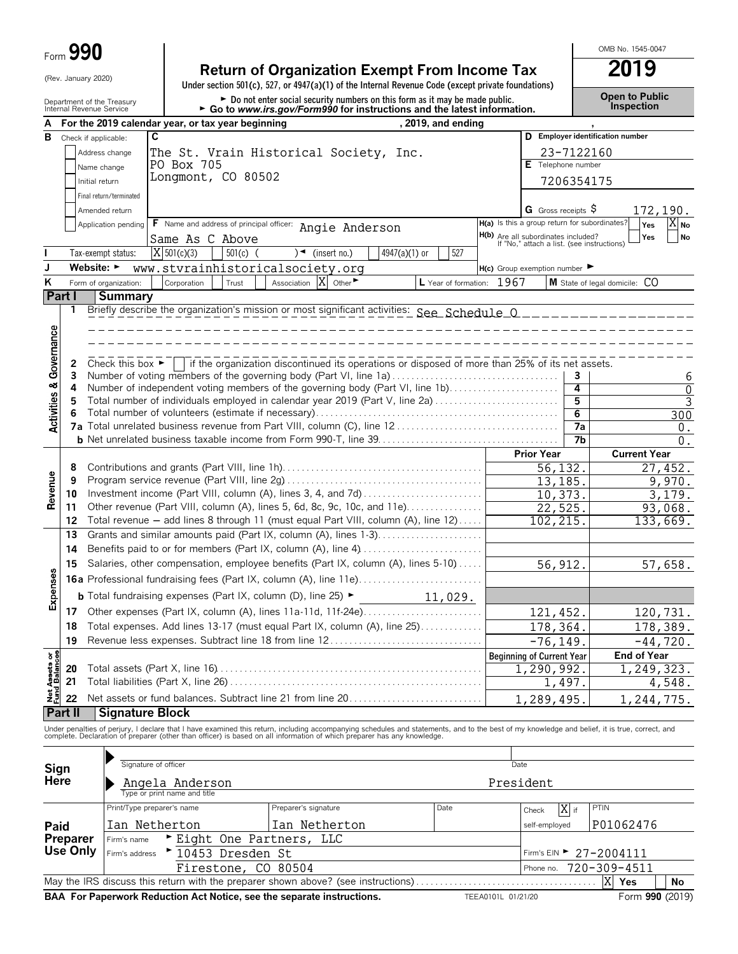| <b>90</b><br>n<br>Form $\boldsymbol{\omega}$ |
|----------------------------------------------|
|----------------------------------------------|

(Rev. January 2020)

### **Return of Organization Exempt From Income Tax 2019**

**Under section 501(c), 527, or 4947(a)(1) of the Internal Revenue Code (except private foundations)** Department of the Treasury **Depen to Public**<br>Internal Revenue Service **Depen to Public**<br>Internal Revenue Service **Depending the Go to www.irs.gov/Form990 for instructions and the latest information. This pection** 

OMB No. 1545-0047

|                         |           |                                | For the 2019 calendar year, or tax year beginning                                                                                                                                                           |                  |                               |                             |               | , 2019, and ending        |                                                                                          |                |                                                  |                     |
|-------------------------|-----------|--------------------------------|-------------------------------------------------------------------------------------------------------------------------------------------------------------------------------------------------------------|------------------|-------------------------------|-----------------------------|---------------|---------------------------|------------------------------------------------------------------------------------------|----------------|--------------------------------------------------|---------------------|
| в                       |           | Check if applicable:           | C                                                                                                                                                                                                           |                  |                               |                             |               |                           |                                                                                          |                | D Employer identification number                 |                     |
|                         |           | Address change                 | The St. Vrain Historical Society, Inc.                                                                                                                                                                      |                  |                               |                             |               | 23-7122160                |                                                                                          |                |                                                  |                     |
|                         |           | Name change                    | PO Box 705                                                                                                                                                                                                  |                  |                               |                             |               | E Telephone number        |                                                                                          |                |                                                  |                     |
|                         |           | Initial return                 | Longmont, CO 80502                                                                                                                                                                                          |                  |                               |                             |               |                           |                                                                                          | 7206354175     |                                                  |                     |
|                         |           | Final return/terminated        |                                                                                                                                                                                                             |                  |                               |                             |               |                           |                                                                                          |                |                                                  |                     |
|                         |           | Amended return                 |                                                                                                                                                                                                             |                  |                               |                             |               |                           | <b>G</b> Gross receipts $\varphi$                                                        |                |                                                  | 172,190.            |
|                         |           |                                |                                                                                                                                                                                                             |                  |                               |                             |               |                           | H(a) Is this a group return for subordinates?                                            |                | Yes                                              | $ X _{\mathsf{No}}$ |
|                         |           | Application pending            | F Name and address of principal officer: Angie Anderson                                                                                                                                                     |                  |                               |                             |               |                           |                                                                                          |                | Yes                                              | No                  |
|                         |           |                                | Same As C Above                                                                                                                                                                                             |                  |                               |                             |               |                           | <b>H(b)</b> Are all subordinates included?<br>If "No," attach a list. (see instructions) |                |                                                  |                     |
|                         |           | Tax-exempt status:             | $X$ 501(c)(3)                                                                                                                                                                                               | $501(c)$ (       | $\sqrt{\bullet}$ (insert no.) |                             | 4947(a)(1) or | 527                       |                                                                                          |                |                                                  |                     |
| J                       |           | Website: $\blacktriangleright$ | www.stvrainhistoricalsociety.org                                                                                                                                                                            |                  |                               |                             |               |                           | $H(c)$ Group exemption number $\blacktriangleright$                                      |                |                                                  |                     |
| Κ                       |           | Form of organization:          | Corporation                                                                                                                                                                                                 | Trust            | Association                   | Other $\blacktriangleright$ |               | L Year of formation: 1967 |                                                                                          |                | <b>M</b> State of legal domicile: $\overline{C}$ |                     |
|                         | Part I    | <b>Summary</b>                 |                                                                                                                                                                                                             |                  |                               |                             |               |                           |                                                                                          |                |                                                  |                     |
|                         |           |                                |                                                                                                                                                                                                             |                  |                               |                             |               |                           |                                                                                          |                |                                                  |                     |
|                         |           |                                |                                                                                                                                                                                                             |                  |                               |                             |               |                           |                                                                                          |                |                                                  |                     |
| Governance              |           |                                |                                                                                                                                                                                                             |                  |                               |                             |               |                           |                                                                                          |                |                                                  |                     |
|                         |           |                                |                                                                                                                                                                                                             |                  |                               |                             |               |                           |                                                                                          |                |                                                  |                     |
|                         | 2<br>3    |                                | Check this box $\blacktriangleright$   if the organization discontinued its operations or disposed of more than 25% of its net assets.<br>Number of voting members of the governing body (Part VI, line 1a) |                  |                               |                             |               |                           |                                                                                          | 3              |                                                  |                     |
|                         | 4         |                                | Number of independent voting members of the governing body (Part VI, line 1b)                                                                                                                               |                  |                               |                             |               |                           |                                                                                          | $\overline{4}$ |                                                  | 6<br>$\mathbf 0$    |
| <b>Activities &amp;</b> | 5         |                                | Total number of individuals employed in calendar year 2019 (Part V, line 2a)                                                                                                                                |                  |                               |                             |               |                           |                                                                                          | 5              |                                                  | $\overline{3}$      |
|                         |           |                                |                                                                                                                                                                                                             |                  |                               |                             |               |                           |                                                                                          | 6              |                                                  | 300                 |
|                         |           |                                |                                                                                                                                                                                                             |                  |                               |                             |               |                           |                                                                                          | 7a             |                                                  | 0.                  |
|                         |           |                                |                                                                                                                                                                                                             |                  |                               |                             |               |                           |                                                                                          | 7 <sub>b</sub> |                                                  | $\overline{0}$ .    |
|                         |           |                                |                                                                                                                                                                                                             |                  |                               |                             |               |                           | <b>Prior Year</b>                                                                        |                | <b>Current Year</b>                              |                     |
|                         | 8         |                                |                                                                                                                                                                                                             |                  |                               |                             |               |                           | 56,132.                                                                                  |                |                                                  | 27,452.             |
| Revenue                 | 9         |                                |                                                                                                                                                                                                             |                  |                               |                             |               |                           | 13, 185.                                                                                 |                |                                                  | 9,970.              |
|                         | 10        |                                | Investment income (Part VIII, column (A), lines 3, 4, and 7d)                                                                                                                                               |                  |                               |                             |               |                           | 10,373.                                                                                  |                |                                                  | 3,179.              |
|                         | 11        |                                | Other revenue (Part VIII, column (A), lines 5, 6d, 8c, 9c, 10c, and 11e)                                                                                                                                    |                  |                               |                             |               |                           | 22,525.                                                                                  |                |                                                  | 93,068.             |
|                         | 12        |                                | Total revenue - add lines 8 through 11 (must equal Part VIII, column (A), line 12)                                                                                                                          |                  |                               |                             |               |                           | 102,215.                                                                                 |                |                                                  | 133,669.            |
|                         | 13        |                                | Grants and similar amounts paid (Part IX, column (A), lines 1-3)                                                                                                                                            |                  |                               |                             |               |                           |                                                                                          |                |                                                  |                     |
|                         | 14        |                                |                                                                                                                                                                                                             |                  |                               |                             |               |                           |                                                                                          |                |                                                  |                     |
|                         | 15        |                                | Salaries, other compensation, employee benefits (Part IX, column (A), lines 5-10)                                                                                                                           |                  |                               |                             |               |                           | 56,912.                                                                                  |                |                                                  | 57,658.             |
|                         |           |                                |                                                                                                                                                                                                             |                  |                               |                             |               |                           |                                                                                          |                |                                                  |                     |
| Expenses                |           |                                |                                                                                                                                                                                                             |                  |                               |                             |               |                           |                                                                                          |                |                                                  |                     |
|                         |           |                                | <b>b</b> Total fundraising expenses (Part IX, column (D), line 25) $\blacktriangleright$                                                                                                                    |                  |                               |                             |               | 11,029.                   |                                                                                          |                |                                                  |                     |
|                         | 17        |                                |                                                                                                                                                                                                             |                  |                               |                             |               |                           | 121,452.                                                                                 |                |                                                  | 120,731.            |
|                         | 18        |                                | Total expenses. Add lines 13-17 (must equal Part IX, column (A), line 25)                                                                                                                                   |                  |                               |                             |               |                           | 178,364.                                                                                 |                |                                                  | 178,389.            |
|                         | 19        |                                | Revenue less expenses. Subtract line 18 from line 12                                                                                                                                                        |                  |                               |                             |               |                           | $-76, 149.$                                                                              |                |                                                  | $-44,720.$          |
|                         |           |                                |                                                                                                                                                                                                             |                  |                               |                             |               |                           | Beginning of Current Year                                                                |                | <b>End of Year</b>                               |                     |
| Assets or<br>1 Balances | 20        |                                |                                                                                                                                                                                                             |                  |                               |                             |               |                           | 290,992.                                                                                 |                |                                                  | 249,323.            |
|                         | 21        |                                |                                                                                                                                                                                                             |                  |                               |                             |               |                           |                                                                                          | 1,497.         |                                                  | 4,548.              |
| <b>Jean</b><br>Humd     | 22        |                                | Net assets or fund balances. Subtract line 21 from line 20                                                                                                                                                  |                  |                               |                             |               |                           | 1,289,495                                                                                |                |                                                  | 1,244,775.          |
|                         | l Part II | <b>Signature Block</b>         |                                                                                                                                                                                                             |                  |                               |                             |               |                           |                                                                                          |                |                                                  |                     |
|                         |           |                                | Under penalties of perjury, I declare that I have examined this return, including accompanying schedules and statements, and to the best of my knowledge and belief, it is true, correct, and               |                  |                               |                             |               |                           |                                                                                          |                |                                                  |                     |
|                         |           |                                | complete. Declaration of preparer (other than officer) is based on all information of which preparer has any knowledge.                                                                                     |                  |                               |                             |               |                           |                                                                                          |                |                                                  |                     |
|                         |           |                                |                                                                                                                                                                                                             |                  |                               |                             |               |                           |                                                                                          |                |                                                  |                     |
| Sign                    |           |                                | Signature of officer                                                                                                                                                                                        |                  |                               |                             |               |                           | Date                                                                                     |                |                                                  |                     |
| Here                    |           |                                | Angela Anderson                                                                                                                                                                                             |                  |                               |                             |               |                           | President                                                                                |                |                                                  |                     |
|                         |           |                                | Type or print name and title                                                                                                                                                                                |                  |                               |                             |               |                           |                                                                                          |                |                                                  |                     |
|                         |           |                                | Print/Type preparer's name                                                                                                                                                                                  |                  | Preparer's signature          |                             |               | Date                      | Check                                                                                    | X if           | PTIN                                             |                     |
| Paid                    |           |                                | Ian Netherton                                                                                                                                                                                               |                  | Ian Netherton                 |                             |               |                           | self-employed                                                                            |                | P01062476                                        |                     |
|                         | Preparer  | Firm's name                    |                                                                                                                                                                                                             |                  | Eight One Partners,           | <b>LLC</b>                  |               |                           |                                                                                          |                |                                                  |                     |
|                         | Use Only  | Firm's address                 |                                                                                                                                                                                                             | 10453 Dresden St |                               |                             |               |                           |                                                                                          |                | Firm's EIN > 27-2004111                          |                     |
|                         |           |                                |                                                                                                                                                                                                             | Firestone,       | CO 80504                      |                             |               |                           | Phone no.                                                                                |                | 720-309-4511                                     |                     |
|                         |           |                                | May the IRS discuss this return with the preparer shown above? (see instructions)                                                                                                                           |                  |                               |                             |               |                           |                                                                                          |                | X<br>Yes                                         | No                  |
|                         |           |                                |                                                                                                                                                                                                             |                  |                               |                             |               |                           |                                                                                          |                |                                                  |                     |

**BAA For Paperwork Reduction Act Notice, see the separate instructions.** TEEA0101L 01/21/20 Form 990 (2019)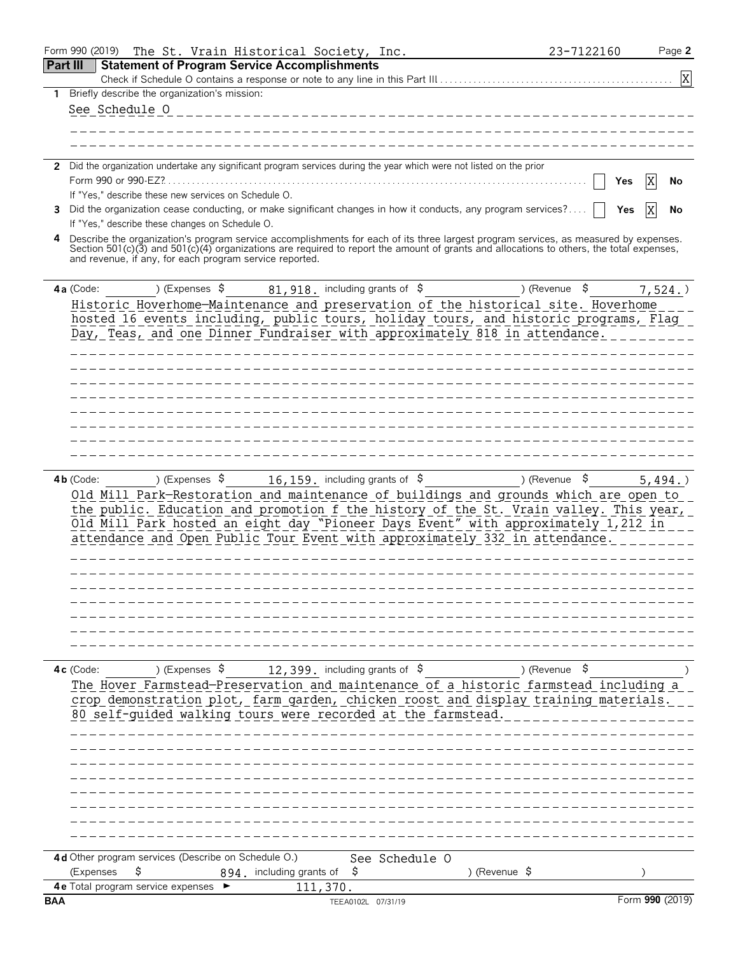|              | Form 990 (2019)<br>The St. Vrain Historical Society, Inc.                                                                                                                                                                                                                                                                                                                                                                        | 23-7122160                | Page 2          |
|--------------|----------------------------------------------------------------------------------------------------------------------------------------------------------------------------------------------------------------------------------------------------------------------------------------------------------------------------------------------------------------------------------------------------------------------------------|---------------------------|-----------------|
|              | <b>Statement of Program Service Accomplishments</b><br><b>Part III</b>                                                                                                                                                                                                                                                                                                                                                           |                           |                 |
|              |                                                                                                                                                                                                                                                                                                                                                                                                                                  |                           | X               |
| $\mathbf{1}$ | Briefly describe the organization's mission:                                                                                                                                                                                                                                                                                                                                                                                     |                           |                 |
|              | See Schedule O                                                                                                                                                                                                                                                                                                                                                                                                                   |                           |                 |
|              |                                                                                                                                                                                                                                                                                                                                                                                                                                  |                           |                 |
|              |                                                                                                                                                                                                                                                                                                                                                                                                                                  |                           |                 |
| 2            | Did the organization undertake any significant program services during the year which were not listed on the prior                                                                                                                                                                                                                                                                                                               |                           |                 |
|              |                                                                                                                                                                                                                                                                                                                                                                                                                                  | Yes                       | X<br>No         |
|              | If "Yes," describe these new services on Schedule O.                                                                                                                                                                                                                                                                                                                                                                             |                           |                 |
| 3            | Did the organization cease conducting, or make significant changes in how it conducts, any program services?                                                                                                                                                                                                                                                                                                                     | Yes                       | X<br>No         |
|              | If "Yes," describe these changes on Schedule O.                                                                                                                                                                                                                                                                                                                                                                                  |                           |                 |
| 4            | Describe the organization's program service accomplishments for each of its three largest program services, as measured by expenses.<br>Section 501(c)(3) and 501(c)(4) organizations are required to report the amount of grants and allocations to others, the total expenses,<br>and revenue, if any, for each program service reported.                                                                                      |                           |                 |
|              | $81,918$ . including grants of \$<br>) (Expenses $\frac{1}{2}$<br>4a (Code:                                                                                                                                                                                                                                                                                                                                                      | $($ Revenue $\frac{1}{2}$ | 7,524.          |
|              | Historic Hoverhome-Maintenance and preservation of the historical site. Hoverhome                                                                                                                                                                                                                                                                                                                                                |                           |                 |
|              | hosted 16 events including, public tours, holiday tours, and historic programs, Flag                                                                                                                                                                                                                                                                                                                                             |                           |                 |
|              | Day, Teas, and one Dinner Fundraiser with approximately 818 in attendance.                                                                                                                                                                                                                                                                                                                                                       |                           |                 |
|              |                                                                                                                                                                                                                                                                                                                                                                                                                                  |                           |                 |
|              |                                                                                                                                                                                                                                                                                                                                                                                                                                  |                           |                 |
|              |                                                                                                                                                                                                                                                                                                                                                                                                                                  |                           |                 |
|              |                                                                                                                                                                                                                                                                                                                                                                                                                                  |                           |                 |
|              |                                                                                                                                                                                                                                                                                                                                                                                                                                  |                           |                 |
|              |                                                                                                                                                                                                                                                                                                                                                                                                                                  |                           |                 |
|              |                                                                                                                                                                                                                                                                                                                                                                                                                                  |                           |                 |
|              |                                                                                                                                                                                                                                                                                                                                                                                                                                  |                           |                 |
|              |                                                                                                                                                                                                                                                                                                                                                                                                                                  |                           |                 |
|              | 16,159. including grants of \$<br>) (Expenses $\frac{1}{2}$<br>$4b$ (Code:<br>Old Mill Park-Restoration and maintenance of buildings and grounds which are open to<br>the public. Education and promotion f the history of the St. Vrain valley. This year,<br>Old Mill Park hosted an eight day "Pioneer Days Event" with approximately 1,212 in<br>attendance and Open Public Tour Event with approximately 332 in attendance. | ) (Revenue \$             | 5,494.          |
|              |                                                                                                                                                                                                                                                                                                                                                                                                                                  |                           |                 |
|              | 12,399. including grants of \$<br>$4c$ (Code:<br>) (Expenses $\sqrt{5}$<br>The Hover Farmstead-Preservation and maintenance of a historic farmstead including a<br>crop demonstration plot, farm garden, chicken roost and display training materials.<br>80 self-quided walking tours were recorded at the farmstead.                                                                                                           | ) (Revenue $\frac{1}{2}$  |                 |
|              |                                                                                                                                                                                                                                                                                                                                                                                                                                  |                           |                 |
|              | 4d Other program services (Describe on Schedule O.)<br>See Schedule O<br>\$<br>(Expenses<br>894. including grants of<br>Ş<br>) (Revenue $\sqrt{5}$                                                                                                                                                                                                                                                                               |                           |                 |
|              | 4e Total program service expenses<br>111,370.                                                                                                                                                                                                                                                                                                                                                                                    |                           |                 |
| <b>BAA</b>   | TEEA0102L 07/31/19                                                                                                                                                                                                                                                                                                                                                                                                               |                           | Form 990 (2019) |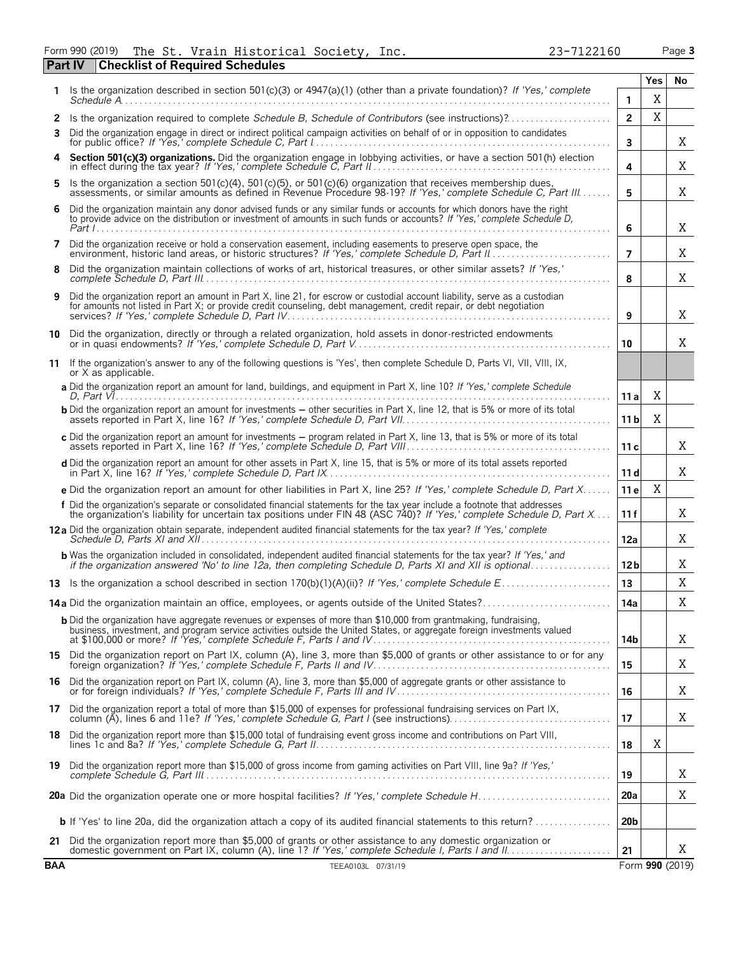| Form 990 (2019) |  | The St. Vrain Historical Society, Inc. |  |  | 23-7122160 | Page 3 |
|-----------------|--|----------------------------------------|--|--|------------|--------|
|-----------------|--|----------------------------------------|--|--|------------|--------|

**1** Is the organization described in section 501(c)(3) or 4947(a)(1) (other than a private foundation)? *If 'Yes,' complete*

 $\frac{1}{\text{Schedule A}}$ **2** Is the organization required to complete *Schedule B, Schedule of Contributors* (see instructions)?. . . . . . . . . . . . . . . . . . . . . . **2**

| 3  | Did the organization engage in direct or indirect political campaign activities on behalf of or in opposition to candidates                                                                                                                         | 3               |   |
|----|-----------------------------------------------------------------------------------------------------------------------------------------------------------------------------------------------------------------------------------------------------|-----------------|---|
| 4  | Section 501(c)(3) organizations. Did the organization engage in lobbying activities, or have a section 501(h) election                                                                                                                              | 4               |   |
| 5  | Is the organization a section 501(c)(4), 501(c)(5), or 501(c)(6) organization that receives membership dues,<br>assessments, or similar amounts as defined in Revenue Procedure 98-19? If 'Yes,' complete Schedule C, Part III                      | 5               |   |
| 6  | Did the organization maintain any donor advised funds or any similar funds or accounts for which donors have the right<br>to provide advice on the distribution or investment of amounts in such funds or accounts? If 'Yes,' complete Schedule D,  | 6               |   |
|    | 7 Did the organization receive or hold a conservation easement, including easements to preserve open space, the<br>environment, historic land areas, or historic structures? If 'Yes,' complete Schedule D, Part II.                                | 7               |   |
| 8  | Did the organization maintain collections of works of art, historical treasures, or other similar assets? If 'Yes,'                                                                                                                                 | 8               |   |
| 9  | Did the organization report an amount in Part X, line 21, for escrow or custodial account liability, serve as a custodian<br>for amounts not listed in Part X; or provide credit counseling, debt management, credit repair, or debt negotiation    | 9               |   |
| 10 | Did the organization, directly or through a related organization, hold assets in donor-restricted endowments                                                                                                                                        | 10              |   |
| 11 | If the organization's answer to any of the following questions is 'Yes', then complete Schedule D, Parts VI, VII, VIII, IX,<br>or X as applicable.                                                                                                  |                 |   |
|    | a Did the organization report an amount for land, buildings, and equipment in Part X, line 10? If 'Yes,' complete Schedule                                                                                                                          | 11 a            | Χ |
|    | <b>b</b> Did the organization report an amount for investments - other securities in Part X, line 12, that is 5% or more of its total                                                                                                               | 11 <sub>b</sub> | Χ |
|    | c Did the organization report an amount for investments - program related in Part X, line 13, that is 5% or more of its total                                                                                                                       | 11 c            |   |
|    | d Did the organization report an amount for other assets in Part X, line 15, that is 5% or more of its total assets reported                                                                                                                        | 11d             |   |
|    | e Did the organization report an amount for other liabilities in Part X, line 25? If 'Yes,' complete Schedule D, Part X                                                                                                                             | 11 e            | Χ |
|    | f Did the organization's separate or consolidated financial statements for the tax year include a footnote that addresses<br>the organization's liability for uncertain tax positions under FIN 48 (ASC 740)? If 'Yes,' complete Schedule D, Part X | 11f             |   |
|    | 12a Did the organization obtain separate, independent audited financial statements for the tax year? If 'Yes,' complete                                                                                                                             | 12a             |   |
|    | <b>b</b> Was the organization included in consolidated, independent audited financial statements for the tax year? If 'Yes,' and<br>if the organization answered 'No' to line 12a, then completing Schedule D, Parts XI and XII is optional         | 12 <sub>b</sub> |   |
|    | 13 Is the organization a school described in section 170(b)(1)(A)(ii)? If 'Yes,' complete Schedule E                                                                                                                                                | 13              |   |
|    | 14a Did the organization maintain an office, employees, or agents outside of the United States?                                                                                                                                                     | 14a             |   |
|    | <b>b</b> Did the organization have aggregate revenues or expenses of more than \$10,000 from grantmaking, fundraising,<br>business, investment, and program service activities outside the United States, or aggregate foreign investments valued   | 14b             |   |
|    | 15 Did the organization report on Part IX, column (A), line 3, more than \$5,000 of grants or other assistance to or for any                                                                                                                        | 15              |   |
|    | 16 Did the organization report on Part IX, column (A), line 3, more than \$5,000 of aggregate grants or other assistance to                                                                                                                         | 16              |   |
|    | 17 Did the organization report a total of more than \$15,000 of expenses for professional fundraising services on Part IX,                                                                                                                          | 17              |   |
|    | 18 Did the organization report more than \$15,000 total of fundraising event gross income and contributions on Part VIII,                                                                                                                           | 18              | Χ |
|    | 19 Did the organization report more than \$15,000 of gross income from gaming activities on Part VIII, line 9a? If 'Yes,'                                                                                                                           | 19              |   |
|    |                                                                                                                                                                                                                                                     | 20a             |   |
|    |                                                                                                                                                                                                                                                     | 20 <sub>b</sub> |   |
|    | 21 Did the organization report more than \$5,000 of grants or other assistance to any domestic organization or                                                                                                                                      | 21              |   |

### **Part IV Checklist of Required Schedules**

**Yes No**

X

X

X

X

X

X

X

X

X

X

X

X

X X X

X

X

X

X

X X

X

X X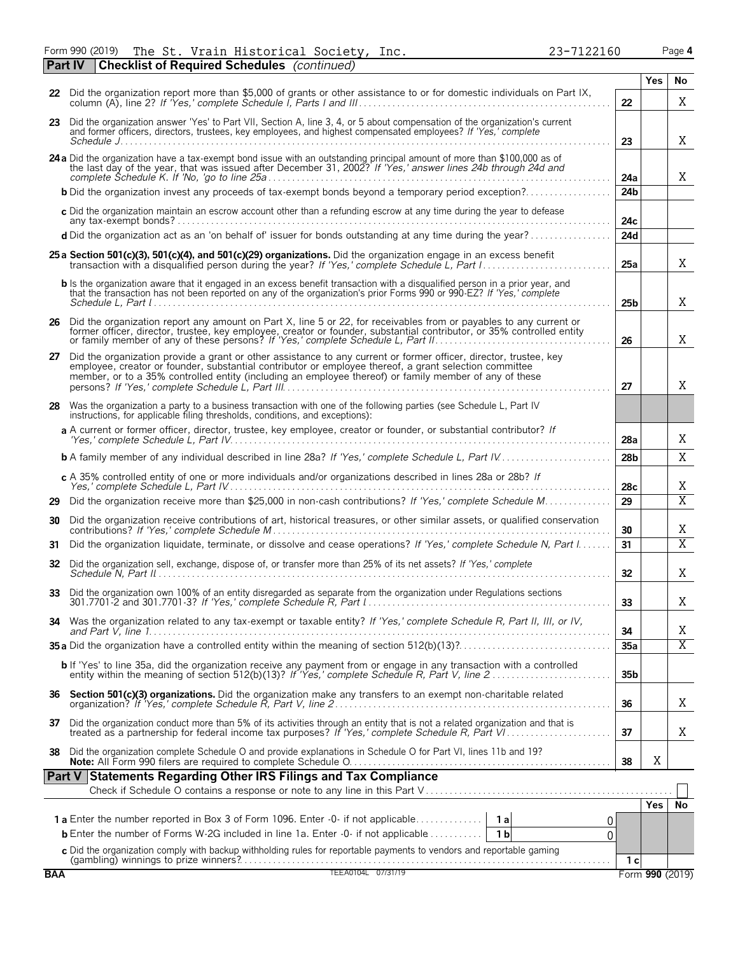Form 990 (2019) Page **4** The St. Vrain Historical Society, Inc. 23-7122160

**Part IV Checklist of Required Schedules** *(continued)*

|            |                                                                                                                                                                                                                                                                                                                                          |                 | <b>Yes</b> | No              |
|------------|------------------------------------------------------------------------------------------------------------------------------------------------------------------------------------------------------------------------------------------------------------------------------------------------------------------------------------------|-----------------|------------|-----------------|
|            | 22 Did the organization report more than \$5,000 of grants or other assistance to or for domestic individuals on Part IX,                                                                                                                                                                                                                | 22              |            | Χ               |
|            | 23 Did the organization answer 'Yes' to Part VII, Section A, line 3, 4, or 5 about compensation of the organization's current<br>and former officers, directors, trustees, key employees, and highest compensated employees? If 'Yes,' complete                                                                                          | 23              |            | X               |
|            | 24 a Did the organization have a tax-exempt bond issue with an outstanding principal amount of more than \$100,000 as of<br>the last day of the year, that was issued after December 31, 2002? If 'Yes,' answer lines 24b through 24d and                                                                                                | 24a             |            | X               |
|            | <b>b</b> Did the organization invest any proceeds of tax-exempt bonds beyond a temporary period exception?                                                                                                                                                                                                                               | 24 <sub>b</sub> |            |                 |
|            | c Did the organization maintain an escrow account other than a refunding escrow at any time during the year to defease                                                                                                                                                                                                                   | 24c             |            |                 |
|            | d Did the organization act as an 'on behalf of' issuer for bonds outstanding at any time during the year?                                                                                                                                                                                                                                | 24d             |            |                 |
|            | 25 a Section 501(c)(3), 501(c)(4), and 501(c)(29) organizations. Did the organization engage in an excess benefit                                                                                                                                                                                                                        | 25a             |            | X               |
|            | <b>b</b> Is the organization aware that it engaged in an excess benefit transaction with a disqualified person in a prior year, and<br>that the transaction has not been reported on any of the organization's prior Forms 990 or 990-EZ? If 'Yes,' complete                                                                             | 25 <sub>b</sub> |            | X               |
|            | 26 Did the organization report any amount on Part X, line 5 or 22, for receivables from or payables to any current or<br>former officer, director, trustee, key employee, creator or founder, substantial contributor, or 35% controlled entity<br>or family member of any of these persons? If 'Yes,' complete Schedule L, Part II.     | 26              |            | X               |
|            | 27 Did the organization provide a grant or other assistance to any current or former officer, director, trustee, key<br>employee, creator or founder, substantial contributor or employee thereof, a grant selection committee<br>member, or to a 35% controlled entity (including an employee thereof) or family member of any of these | 27              |            | X               |
|            | 28 Was the organization a party to a business transaction with one of the following parties (see Schedule L, Part IV<br>instructions, for applicable filing thresholds, conditions, and exceptions):                                                                                                                                     |                 |            |                 |
|            | a A current or former officer, director, trustee, key employee, creator or founder, or substantial contributor? If                                                                                                                                                                                                                       | 28a             |            | X               |
|            | <b>b</b> A family member of any individual described in line 28a? If 'Yes,' complete Schedule L, Part IV                                                                                                                                                                                                                                 | 28 <sub>b</sub> |            | X               |
|            | c A 35% controlled entity of one or more individuals and/or organizations described in lines 28a or 28b? If                                                                                                                                                                                                                              | 28c             |            | Χ               |
| 29         | Did the organization receive more than \$25,000 in non-cash contributions? If 'Yes,' complete Schedule M                                                                                                                                                                                                                                 | 29              |            | $\overline{X}$  |
| 30         | Did the organization receive contributions of art, historical treasures, or other similar assets, or qualified conservation                                                                                                                                                                                                              | 30              |            | Χ               |
| 31         | Did the organization liquidate, terminate, or dissolve and cease operations? If 'Yes,' complete Schedule N, Part I                                                                                                                                                                                                                       | 31              |            | $\overline{X}$  |
| 32         | Did the organization sell, exchange, dispose of, or transfer more than 25% of its net assets? If 'Yes,' complete                                                                                                                                                                                                                         | 32              |            | X               |
| 33         | Did the organization own 100% of an entity disregarded as separate from the organization under Regulations sections                                                                                                                                                                                                                      | 33              |            | X               |
|            | 34 Was the organization related to any tax-exempt or taxable entity? If 'Yes,' complete Schedule R, Part II, III, or IV,                                                                                                                                                                                                                 | 34              |            | Χ               |
|            |                                                                                                                                                                                                                                                                                                                                          | 35a             |            | $\overline{X}$  |
|            | b If 'Yes' to line 35a, did the organization receive any payment from or engage in any transaction with a controlled<br>entity within the meaning of section 512(b)(13)? If 'Yes,' complete Schedule R, Part V, line 2                                                                                                                   | 35 <sub>b</sub> |            |                 |
|            | 36 Section 501(c)(3) organizations. Did the organization make any transfers to an exempt non-charitable related                                                                                                                                                                                                                          | 36              |            | X               |
|            | 37 Did the organization conduct more than 5% of its activities through an entity that is not a related organization and that is treated as a partnership for federal income tax purposes? If 'Yes,' complete Schedule R, Part                                                                                                            | 37              |            | X               |
| 38         | Did the organization complete Schedule O and provide explanations in Schedule O for Part VI, lines 11b and 19?                                                                                                                                                                                                                           | 38              | X          |                 |
|            | <b>Part V Statements Regarding Other IRS Filings and Tax Compliance</b>                                                                                                                                                                                                                                                                  |                 |            |                 |
|            |                                                                                                                                                                                                                                                                                                                                          |                 |            | Yes No          |
|            |                                                                                                                                                                                                                                                                                                                                          |                 |            |                 |
|            | <b>b</b> Enter the number of Forms W-2G included in line 1a. Enter $-0$ - if not applicable<br>1 b<br>$\Omega$                                                                                                                                                                                                                           |                 |            |                 |
|            | c Did the organization comply with backup withholding rules for reportable payments to vendors and reportable gaming                                                                                                                                                                                                                     |                 |            |                 |
| <b>BAA</b> | Combling) winnings to prize winners?<br>Combling) winnings to prize winners?<br>TEEA0104L 07/31/19                                                                                                                                                                                                                                       | 1 <sub>c</sub>  |            | Form 990 (2019) |
|            |                                                                                                                                                                                                                                                                                                                                          |                 |            |                 |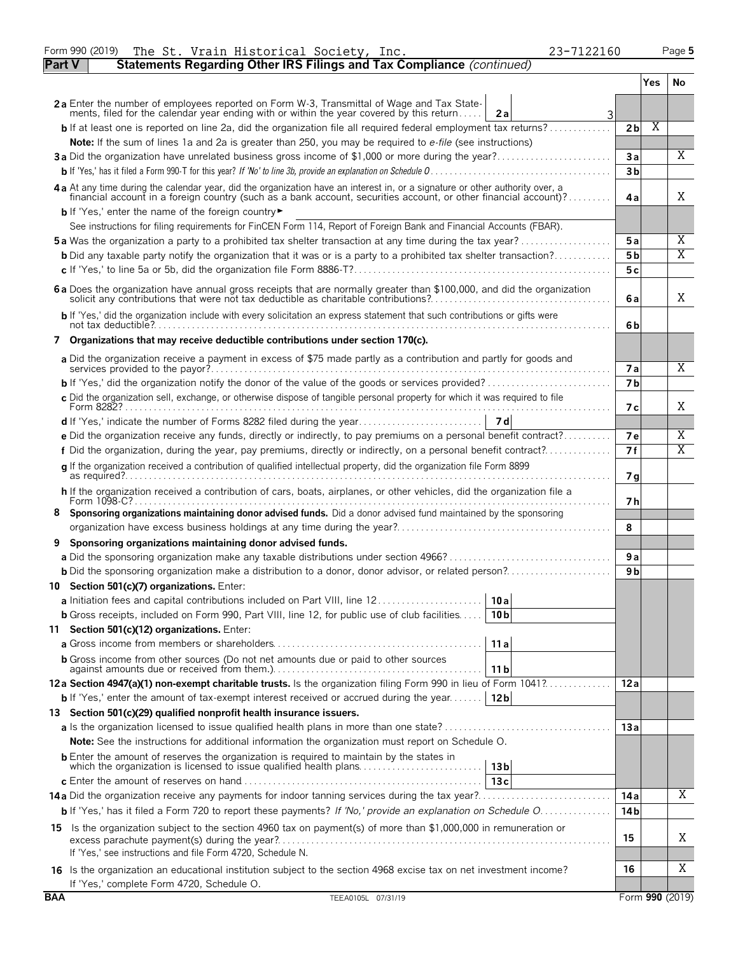|               | Form 990 (2019)<br>The St. Vrain Historical Society, Inc.<br>23-7122160                                                                                                                                                                          |                 |     | Page 5          |
|---------------|--------------------------------------------------------------------------------------------------------------------------------------------------------------------------------------------------------------------------------------------------|-----------------|-----|-----------------|
| <b>Part V</b> | Statements Regarding Other IRS Filings and Tax Compliance (continued)                                                                                                                                                                            |                 |     |                 |
|               |                                                                                                                                                                                                                                                  |                 | Yes | No.             |
|               | 2a Enter the number of employees reported on Form W-3, Transmittal of Wage and Tax State-<br>ments, filed for the calendar year ending with or within the year covered by this return<br>2a<br>3                                                 |                 |     |                 |
|               | <b>b</b> If at least one is reported on line 2a, did the organization file all required federal employment tax returns?                                                                                                                          | 2 <sub>b</sub>  | X   |                 |
|               | Note: If the sum of lines 1a and 2a is greater than 250, you may be required to e-file (see instructions)                                                                                                                                        |                 |     |                 |
|               | 3a Did the organization have unrelated business gross income of \$1,000 or more during the year?                                                                                                                                                 | Зa              |     | X               |
|               |                                                                                                                                                                                                                                                  | 3 <sub>b</sub>  |     |                 |
|               | 4a At any time during the calendar year, did the organization have an interest in, or a signature or other authority over, a<br>financial account in a foreign country (such as a bank account, securities account, or other financial account)? | 4a              |     | X               |
|               | b If 'Yes,' enter the name of the foreign country                                                                                                                                                                                                |                 |     |                 |
|               | See instructions for filing requirements for FinCEN Form 114, Report of Foreign Bank and Financial Accounts (FBAR).                                                                                                                              |                 |     |                 |
|               | <b>5a</b> Was the organization a party to a prohibited tax shelter transaction at any time during the tax year?                                                                                                                                  | 5a              |     | Χ               |
|               | <b>b</b> Did any taxable party notify the organization that it was or is a party to a prohibited tax shelter transaction?                                                                                                                        | 5b              |     | X               |
|               |                                                                                                                                                                                                                                                  | 5c              |     |                 |
|               | 6 a Does the organization have annual gross receipts that are normally greater than \$100,000, and did the organization solicit any contributions that were not tax deductible as charitable contributions?                                      | 6a              |     | X               |
|               | b If 'Yes,' did the organization include with every solicitation an express statement that such contributions or gifts were                                                                                                                      | 6b              |     |                 |
|               | 7 Organizations that may receive deductible contributions under section 170(c).                                                                                                                                                                  |                 |     |                 |
|               | a Did the organization receive a payment in excess of \$75 made partly as a contribution and partly for goods and                                                                                                                                | <b>7a</b>       |     | X               |
|               |                                                                                                                                                                                                                                                  | 7 <sub>b</sub>  |     |                 |
|               | c Did the organization sell, exchange, or otherwise dispose of tangible personal property for which it was required to file                                                                                                                      | 7 с             |     | X               |
|               |                                                                                                                                                                                                                                                  |                 |     |                 |
|               | e Did the organization receive any funds, directly or indirectly, to pay premiums on a personal benefit contract?                                                                                                                                | 7e              |     | Χ               |
|               | f Did the organization, during the year, pay premiums, directly or indirectly, on a personal benefit contract?                                                                                                                                   | 7f              |     | Χ               |
|               | q If the organization received a contribution of qualified intellectual property, did the organization file Form 8899                                                                                                                            | 7 g             |     |                 |
|               | h If the organization received a contribution of cars, boats, airplanes, or other vehicles, did the organization file a                                                                                                                          | 7 h             |     |                 |
| 8             | Sponsoring organizations maintaining donor advised funds. Did a donor advised fund maintained by the sponsoring                                                                                                                                  | 8               |     |                 |
| 9             | Sponsoring organizations maintaining donor advised funds.                                                                                                                                                                                        |                 |     |                 |
|               |                                                                                                                                                                                                                                                  | 9a              |     |                 |
|               | <b>b</b> Did the sponsoring organization make a distribution to a donor, donor advisor, or related person?                                                                                                                                       | 9 b             |     |                 |
|               | 10 Section 501(c)(7) organizations. Enter:                                                                                                                                                                                                       |                 |     |                 |
|               | 10 a                                                                                                                                                                                                                                             |                 |     |                 |
|               | <b>b</b> Gross receipts, included on Form 990, Part VIII, line 12, for public use of club facilities<br>10 <sub>b</sub>                                                                                                                          |                 |     |                 |
|               | 11 Section 501(c)(12) organizations. Enter:                                                                                                                                                                                                      |                 |     |                 |
|               | 11a                                                                                                                                                                                                                                              |                 |     |                 |
|               | <b>b</b> Gross income from other sources (Do not net amounts due or paid to other sources<br>11 b                                                                                                                                                |                 |     |                 |
|               | 12a Section 4947(a)(1) non-exempt charitable trusts. Is the organization filing Form 990 in lieu of Form 1041?                                                                                                                                   | 12a             |     |                 |
|               | 12 <sub>b</sub><br><b>b</b> If 'Yes,' enter the amount of tax-exempt interest received or accrued during the year                                                                                                                                |                 |     |                 |
|               | 13 Section 501(c)(29) qualified nonprofit health insurance issuers.                                                                                                                                                                              |                 |     |                 |
|               |                                                                                                                                                                                                                                                  | 13a             |     |                 |
|               | Note: See the instructions for additional information the organization must report on Schedule O.                                                                                                                                                |                 |     |                 |
|               | <b>b</b> Enter the amount of reserves the organization is required to maintain by the states in<br>which the organization is licensed to issue qualified health plans<br>13 <sub>b</sub>                                                         |                 |     |                 |
|               | 13c                                                                                                                                                                                                                                              |                 |     | Χ               |
|               |                                                                                                                                                                                                                                                  | 14 a            |     |                 |
|               | b If 'Yes,' has it filed a Form 720 to report these payments? If 'No,' provide an explanation on Schedule O                                                                                                                                      | 14 <sub>b</sub> |     |                 |
|               | 15 Is the organization subject to the section 4960 tax on payment(s) of more than \$1,000,000 in remuneration or                                                                                                                                 | 15              |     | Χ               |
|               | If 'Yes,' see instructions and file Form 4720, Schedule N.<br>16 Is the organization an educational institution subject to the section 4968 excise tax on net investment income?                                                                 | 16              |     | Χ               |
|               | If 'Yes,' complete Form 4720, Schedule O.                                                                                                                                                                                                        |                 |     |                 |
| <b>BAA</b>    | TEEA0105L 07/31/19                                                                                                                                                                                                                               |                 |     | Form 990 (2019) |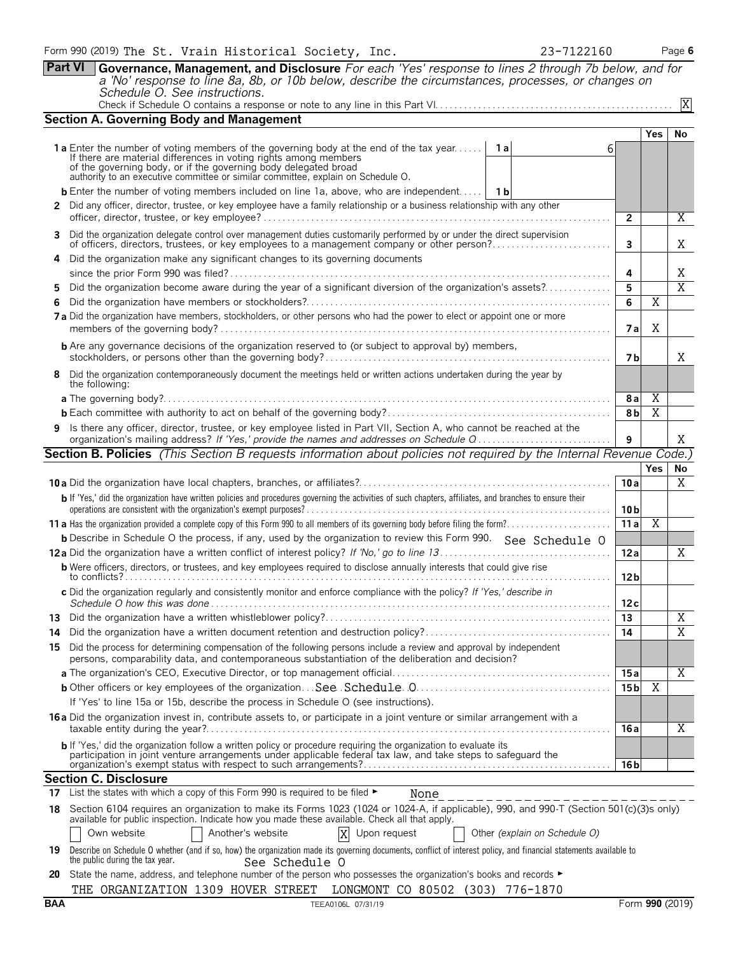**Part VI Governance, Management, and Disclosure** *For each 'Yes' response to lines 2 through 7b below, and for a 'No' response to line 8a, 8b, or 10b below, describe the circumstances, processes, or changes on Schedule O. See instructions.*

|--|

|     | <b>Section A. Governing Body and Management</b>                                                                                                                                                                                                                                                                               |                 |                         |                     |
|-----|-------------------------------------------------------------------------------------------------------------------------------------------------------------------------------------------------------------------------------------------------------------------------------------------------------------------------------|-----------------|-------------------------|---------------------|
|     |                                                                                                                                                                                                                                                                                                                               |                 | Yes                     | <b>No</b>           |
|     | 1a Enter the number of voting members of the governing body at the end of the tax year<br>1 a<br>6<br>If there are material differences in voting rights among members<br>of the governing body, or if the governing body delegated broad<br>authority to an executive committee or similar committee, explain on Schedule O. |                 |                         |                     |
|     | <b>b</b> Enter the number of voting members included on line 1a, above, who are independent<br>1 <sub>b</sub>                                                                                                                                                                                                                 |                 |                         |                     |
|     | 2 Did any officer, director, trustee, or key employee have a family relationship or a business relationship with any other                                                                                                                                                                                                    |                 |                         |                     |
|     |                                                                                                                                                                                                                                                                                                                               | $\overline{2}$  |                         | Χ                   |
|     | 3 Did the organization delegate control over management duties customarily performed by or under the direct supervision<br>of officers, directors, trustees, or key employees to a management company or other person?                                                                                                        | $\mathbf{3}$    |                         | X                   |
|     | 4 Did the organization make any significant changes to its governing documents                                                                                                                                                                                                                                                |                 |                         |                     |
|     |                                                                                                                                                                                                                                                                                                                               | 4               |                         | Χ<br>$\overline{X}$ |
|     | Did the organization become aware during the year of a significant diversion of the organization's assets?                                                                                                                                                                                                                    | 5<br>6          | X                       |                     |
|     | 7a Did the organization have members, stockholders, or other persons who had the power to elect or appoint one or more                                                                                                                                                                                                        | <b>7a</b>       | Χ                       |                     |
|     | <b>b</b> Are any governance decisions of the organization reserved to (or subject to approval by) members,                                                                                                                                                                                                                    | 7 b             |                         | X                   |
|     | 8 Did the organization contemporaneously document the meetings held or written actions undertaken during the year by<br>the following:                                                                                                                                                                                        |                 |                         |                     |
|     |                                                                                                                                                                                                                                                                                                                               | 8a              | Χ                       |                     |
|     |                                                                                                                                                                                                                                                                                                                               | 8bl             | Χ                       |                     |
|     | 9 Is there any officer, director, trustee, or key employee listed in Part VII, Section A, who cannot be reached at the<br>organization's mailing address? If 'Yes,' provide the names and addresses on Schedule Q                                                                                                             | 9               |                         | X                   |
|     | Section B. Policies (This Section B requests information about policies not required by the Internal Revenue Code.)                                                                                                                                                                                                           |                 |                         |                     |
|     |                                                                                                                                                                                                                                                                                                                               |                 | <b>Yes</b>              | No                  |
|     |                                                                                                                                                                                                                                                                                                                               | 10a             |                         | X                   |
|     | b If 'Yes,' did the organization have written policies and procedures governing the activities of such chapters, affiliates, and branches to ensure their                                                                                                                                                                     | 10 <sub>b</sub> |                         |                     |
|     |                                                                                                                                                                                                                                                                                                                               | 11a             | $\overline{\mathbf{X}}$ |                     |
|     | <b>b</b> Describe in Schedule O the process, if any, used by the organization to review this Form 990. See Schedule O                                                                                                                                                                                                         |                 |                         |                     |
|     |                                                                                                                                                                                                                                                                                                                               | 12a             |                         | X                   |
|     | <b>b</b> Were officers, directors, or trustees, and key employees required to disclose annually interests that could give rise                                                                                                                                                                                                | 12 <sub>b</sub> |                         |                     |
|     | c Did the organization regularly and consistently monitor and enforce compliance with the policy? If 'Yes,' describe in                                                                                                                                                                                                       | 12c             |                         |                     |
|     |                                                                                                                                                                                                                                                                                                                               | 13              |                         | X                   |
|     |                                                                                                                                                                                                                                                                                                                               | 14              |                         | $\overline{X}$      |
|     | 15 Did the process for determining compensation of the following persons include a review and approval by independent<br>persons, comparability data, and contemporaneous substantiation of the deliberation and decision?                                                                                                    |                 |                         |                     |
|     |                                                                                                                                                                                                                                                                                                                               | 15 a            |                         | X                   |
|     |                                                                                                                                                                                                                                                                                                                               | 15 b            | Χ                       |                     |
|     | If 'Yes' to line 15a or 15b, describe the process in Schedule O (see instructions).                                                                                                                                                                                                                                           |                 |                         |                     |
|     | 16 a Did the organization invest in, contribute assets to, or participate in a joint venture or similar arrangement with a                                                                                                                                                                                                    | 16 a            |                         | X                   |
|     | b If 'Yes,' did the organization follow a written policy or procedure requiring the organization to evaluate its                                                                                                                                                                                                              |                 |                         |                     |
|     | participation in joint venture arrangements under applicable federal tax law, and take steps to safeguard the                                                                                                                                                                                                                 | 16 b            |                         |                     |
|     | <b>Section C. Disclosure</b>                                                                                                                                                                                                                                                                                                  |                 |                         |                     |
|     | 17 List the states with which a copy of this Form 990 is required to be filed $\blacktriangleright$<br>None                                                                                                                                                                                                                   |                 |                         |                     |
| 18. | Section 6104 requires an organization to make its Forms 1023 (1024 or 1024-A, if applicable), 990, and 990-T (Section 501(c)(3)s only)<br>available for public inspection. Indicate how you made these available. Check all that apply.                                                                                       |                 |                         |                     |
|     | Another's website<br>X<br>Upon request<br>Own website<br>Other (explain on Schedule O)                                                                                                                                                                                                                                        |                 |                         |                     |
| 19  | Describe on Schedule O whether (and if so, how) the organization made its governing documents, conflict of interest policy, and financial statements available to<br>the public during the tax year.<br>See Schedule O                                                                                                        |                 |                         |                     |

**20** State the name, address, and telephone number of the person who possesses the organization's books and records ► THE ORGANIZATION 1309 HOVER STREET LONGMONT CO 80502 (303) 776-1870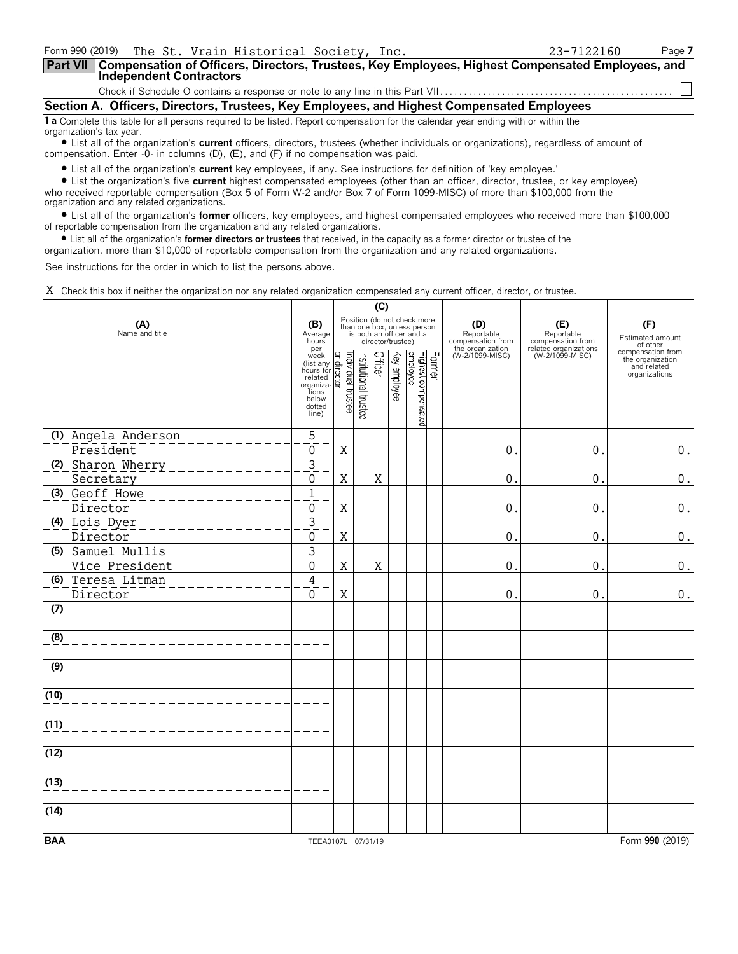| Form 990 (2019) The St. Vrain Historical Society, Inc.                                                                                                                | 23-7122160 | Page 7 |
|-----------------------------------------------------------------------------------------------------------------------------------------------------------------------|------------|--------|
| <b>Part VII</b><br>Compensation of Officers, Directors, Trustees, Key Employees, Highest Compensated Employees, and<br><b>Independent Contractors</b>                 |            |        |
|                                                                                                                                                                       |            |        |
| Section A. Officers, Directors, Trustees, Key Employees, and Highest Compensated Employees                                                                            |            |        |
| <b>1 a</b> Complete this table for all persons required to be listed. Report compensation for the calendar year ending with or within the<br>organization's tax year. |            |        |

? List all of the organization's **current** officers, directors, trustees (whether individuals or organizations), regardless of amount of compensation. Enter -0- in columns (D), (E), and (F) if no compensation was paid.

? List all of the organization's **current** key employees, if any. See instructions for definition of 'key employee.'

? List the organization's five **current** highest compensated employees (other than an officer, director, trustee, or key employee) who received reportable compensation (Box 5 of Form W-2 and/or Box 7 of Form 1099-MISC) of more than \$100,000 from the organization and any related organizations.

? List all of the organization's **former** officers, key employees, and highest compensated employees who received more than \$100,000 of reportable compensation from the organization and any related organizations.

? List all of the organization's **former directors or trustees** that received, in the capacity as a former director or trustee of the

organization, more than \$10,000 of reportable compensation from the organization and any related organizations.

See instructions for the order in which to list the persons above.

Check this box if neither the organization nor any related organization compensated any current officer, director, or trustee. X

|                                     |                                                                                             |                                    |                       | (C)     |                   |                                                                                        |                                        |                                          |                                                                       |
|-------------------------------------|---------------------------------------------------------------------------------------------|------------------------------------|-----------------------|---------|-------------------|----------------------------------------------------------------------------------------|----------------------------------------|------------------------------------------|-----------------------------------------------------------------------|
| (A)<br>Name and title               | (B)<br>Average<br>hours<br>per                                                              |                                    |                       |         | director/trustee) | Position (do not check more<br>than one box, unless person<br>is both an officer and a | (D)<br>Reportable<br>compensation from | (E)<br>Reportable<br>compensation from   | (F)<br>Estimated amount<br>of other                                   |
|                                     | week<br>(list any<br>hours for<br>related<br>organiza-<br>tions<br>below<br>dotted<br>line) | Individual trustee<br> or director | Institutional trustee | Officer | Key employee      | Former<br>Highest compensated<br>employee                                              | the organization<br>(W-2/1099-MISC)    | related organizations<br>(W-2/1099-MISC) | compensation from<br>the organization<br>and related<br>organizations |
| (1) Angela Anderson<br>President    | $\mathsf S$<br>0                                                                            | $\mathbf X$                        |                       |         |                   |                                                                                        | $\mathsf 0$                            | $\mathbf 0$                              | $0$ .                                                                 |
| (2) Sharon Wherry<br>Secretary      | $\overline{3}$<br>0                                                                         | $\rm X$                            |                       | X       |                   |                                                                                        | $\mathbf 0$                            | 0                                        | 0.                                                                    |
| (3) Geoff Howe<br>Director          | $\overline{1}$<br>$\Omega$                                                                  | $\mathbf X$                        |                       |         |                   |                                                                                        | $\mathbf 0$                            | 0                                        | 0.                                                                    |
| (4) Lois Dyer<br>Director           | $\overline{3}$<br>0                                                                         | $\mathbf X$                        |                       |         |                   |                                                                                        | 0                                      | $\pmb{0}$                                | $0$ .                                                                 |
| (5) Samuel Mullis<br>Vice President | $\overline{3}$<br>0                                                                         | $\rm X$                            |                       | $\rm X$ |                   |                                                                                        | $\mathbf 0$                            | 0                                        | 0.                                                                    |
| (6) Teresa Litman<br>Director       | 4<br>$\Omega$                                                                               | $\rm X$                            |                       |         |                   |                                                                                        | 0                                      | 0                                        | $0$ .                                                                 |
| (7)                                 |                                                                                             |                                    |                       |         |                   |                                                                                        |                                        |                                          |                                                                       |
| (8)                                 |                                                                                             |                                    |                       |         |                   |                                                                                        |                                        |                                          |                                                                       |
| (9)                                 |                                                                                             |                                    |                       |         |                   |                                                                                        |                                        |                                          |                                                                       |
| (10)                                |                                                                                             |                                    |                       |         |                   |                                                                                        |                                        |                                          |                                                                       |
| (11)                                |                                                                                             |                                    |                       |         |                   |                                                                                        |                                        |                                          |                                                                       |
| (12)                                |                                                                                             |                                    |                       |         |                   |                                                                                        |                                        |                                          |                                                                       |
| (13)                                |                                                                                             |                                    |                       |         |                   |                                                                                        |                                        |                                          |                                                                       |
| (14)                                |                                                                                             |                                    |                       |         |                   |                                                                                        |                                        |                                          |                                                                       |
| <b>BAA</b>                          | TEEA0107L 07/31/19                                                                          |                                    |                       |         |                   |                                                                                        |                                        |                                          | Form 990 (2019)                                                       |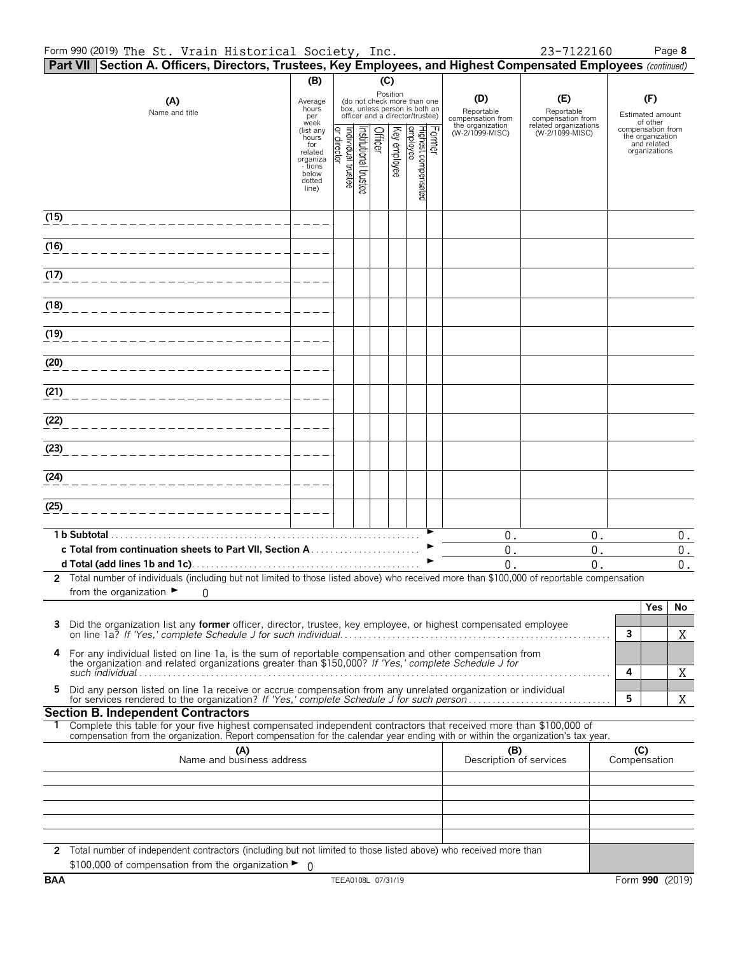### Form 990 (2019) Page **8** The St. Vrain Historical Society, Inc. 23-7122160

| 23-7122160 |
|------------|
|            |
|            |

| Part VII Section A. Officers, Directors, Trustees, Key Employees, and Highest Compensated Employees (continued)                                                                                                      |                                         |                               |                       |         |              |                                                                                                             |        |                                        |                                          |              |                                                   |                    |
|----------------------------------------------------------------------------------------------------------------------------------------------------------------------------------------------------------------------|-----------------------------------------|-------------------------------|-----------------------|---------|--------------|-------------------------------------------------------------------------------------------------------------|--------|----------------------------------------|------------------------------------------|--------------|---------------------------------------------------|--------------------|
|                                                                                                                                                                                                                      | (B)                                     |                               |                       | (C)     |              |                                                                                                             |        |                                        |                                          |              |                                                   |                    |
| (A)<br>Name and title                                                                                                                                                                                                | Average<br>hours<br>per                 |                               |                       |         |              | Position<br>(do not check more than one<br>box, unless person is both an<br>officer and a director/trustee) |        | (D)<br>Reportable<br>compensation from | (E)<br>Reportable<br>compensation from   |              | (F)<br>Estimated amount                           |                    |
|                                                                                                                                                                                                                      | week<br>(list any<br>hours <sup>7</sup> |                               |                       | Officer |              |                                                                                                             | Former | the organization<br>(W-2/1099-MISC)    | related organizations<br>(W-2/1099-MISC) |              | of other<br>compensation from<br>the organization |                    |
|                                                                                                                                                                                                                      | for<br>related<br>organiza              | ndividual trustee<br>director | Institutional trustee |         | Key employee | Highest compensated<br>employee                                                                             |        |                                        |                                          |              | and related<br>organizations                      |                    |
|                                                                                                                                                                                                                      | - tions<br>below<br>dotted              |                               |                       |         |              |                                                                                                             |        |                                        |                                          |              |                                                   |                    |
|                                                                                                                                                                                                                      | line)                                   |                               |                       |         |              |                                                                                                             |        |                                        |                                          |              |                                                   |                    |
| (15)                                                                                                                                                                                                                 |                                         |                               |                       |         |              |                                                                                                             |        |                                        |                                          |              |                                                   |                    |
| (16)                                                                                                                                                                                                                 |                                         |                               |                       |         |              |                                                                                                             |        |                                        |                                          |              |                                                   |                    |
| (17)                                                                                                                                                                                                                 |                                         |                               |                       |         |              |                                                                                                             |        |                                        |                                          |              |                                                   |                    |
| (18)                                                                                                                                                                                                                 |                                         |                               |                       |         |              |                                                                                                             |        |                                        |                                          |              |                                                   |                    |
| (19)                                                                                                                                                                                                                 |                                         |                               |                       |         |              |                                                                                                             |        |                                        |                                          |              |                                                   |                    |
| (20)                                                                                                                                                                                                                 |                                         |                               |                       |         |              |                                                                                                             |        |                                        |                                          |              |                                                   |                    |
| (21)                                                                                                                                                                                                                 |                                         |                               |                       |         |              |                                                                                                             |        |                                        |                                          |              |                                                   |                    |
| (22)<br>-----------------------                                                                                                                                                                                      |                                         |                               |                       |         |              |                                                                                                             |        |                                        |                                          |              |                                                   |                    |
| (23)                                                                                                                                                                                                                 |                                         |                               |                       |         |              |                                                                                                             |        |                                        |                                          |              |                                                   |                    |
| (24)                                                                                                                                                                                                                 |                                         |                               |                       |         |              |                                                                                                             |        |                                        |                                          |              |                                                   |                    |
| (25)                                                                                                                                                                                                                 |                                         |                               |                       |         |              |                                                                                                             |        |                                        |                                          |              |                                                   |                    |
|                                                                                                                                                                                                                      |                                         |                               |                       |         |              |                                                                                                             |        | $0$ .                                  | 0.                                       |              |                                                   | $\boldsymbol{0}$ . |
|                                                                                                                                                                                                                      |                                         |                               |                       |         |              |                                                                                                             |        | $0$ .<br>0.                            | $0$ .<br>$\overline{0}$ .                |              |                                                   | $0$ .<br>$0$ .     |
| 2 Total number of individuals (including but not limited to those listed above) who received more than \$100,000 of reportable compensation                                                                          |                                         |                               |                       |         |              |                                                                                                             |        |                                        |                                          |              |                                                   |                    |
| from the organization $\blacktriangleright$<br>- 0                                                                                                                                                                   |                                         |                               |                       |         |              |                                                                                                             |        |                                        |                                          |              | Yes                                               |                    |
| Did the organization list any former officer, director, trustee, key employee, or highest compensated employee<br>3                                                                                                  |                                         |                               |                       |         |              |                                                                                                             |        |                                        |                                          |              |                                                   | No                 |
|                                                                                                                                                                                                                      |                                         |                               |                       |         |              |                                                                                                             |        |                                        |                                          | $\mathbf{3}$ |                                                   | X                  |
| For any individual listed on line 1a, is the sum of reportable compensation and other compensation from<br>4<br>the organization and related organizations greater than \$150,000? If 'Yes,' complete Schedule J for |                                         |                               |                       |         |              |                                                                                                             |        |                                        |                                          | 4            |                                                   | X                  |
| Did any person listed on line 1a receive or accrue compensation from any unrelated organization or individual<br>5.                                                                                                  |                                         |                               |                       |         |              |                                                                                                             |        |                                        |                                          | 5            |                                                   | X                  |
| <b>Section B. Independent Contractors</b><br>Complete this table for your five highest compensated independent contractors that received more than \$100,000 of<br>1.                                                |                                         |                               |                       |         |              |                                                                                                             |        |                                        |                                          |              |                                                   |                    |
| compensation from the organization. Report compensation for the calendar year ending with or within the organization's tax year.                                                                                     |                                         |                               |                       |         |              |                                                                                                             |        |                                        |                                          |              |                                                   |                    |
| (A)<br>Name and business address                                                                                                                                                                                     |                                         |                               |                       |         |              |                                                                                                             |        | (B)<br>Description of services         |                                          | Compensation | (C)                                               |                    |
|                                                                                                                                                                                                                      |                                         |                               |                       |         |              |                                                                                                             |        |                                        |                                          |              |                                                   |                    |
|                                                                                                                                                                                                                      |                                         |                               |                       |         |              |                                                                                                             |        |                                        |                                          |              |                                                   |                    |
|                                                                                                                                                                                                                      |                                         |                               |                       |         |              |                                                                                                             |        |                                        |                                          |              |                                                   |                    |
| 2 Total number of independent contractors (including but not limited to those listed above) who received more than<br>\$100,000 of compensation from the organization $\blacktriangleright$ 0                        |                                         |                               |                       |         |              |                                                                                                             |        |                                        |                                          |              |                                                   |                    |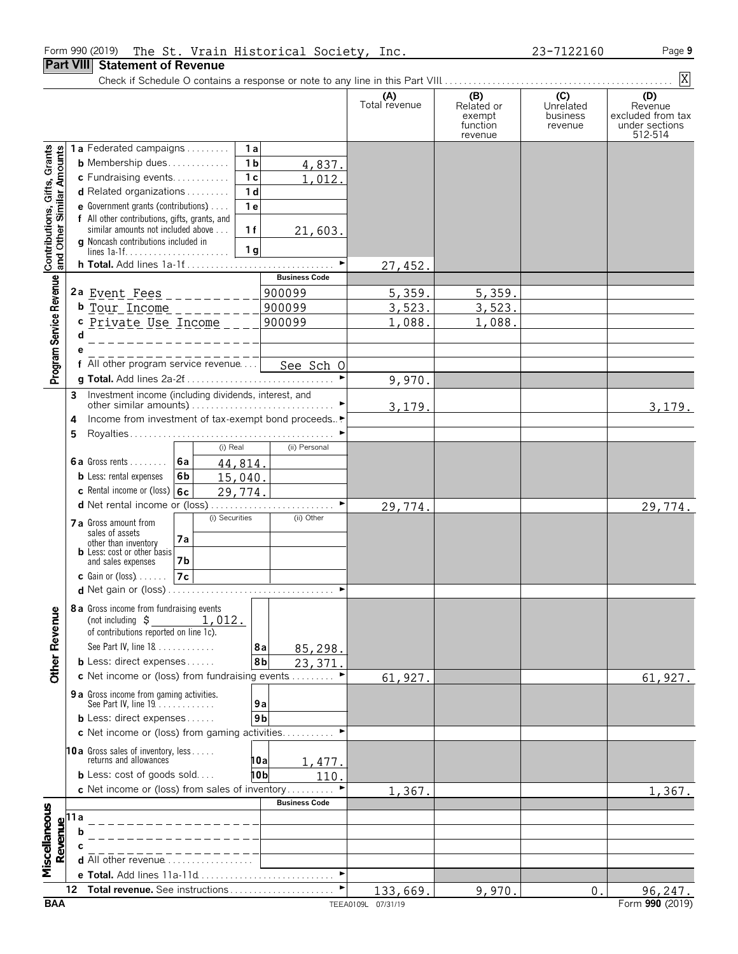### Form 990 (2019) Page **9** The St. Vrain Historical Society, Inc. 23-7122160

**Part VIII Statement of Revenue**

|                                                           |                                                                                                      |                                                                                                                                                                                                                                                                                                                                                                                                                       |                      |                                                    |                                         | X                                                                |
|-----------------------------------------------------------|------------------------------------------------------------------------------------------------------|-----------------------------------------------------------------------------------------------------------------------------------------------------------------------------------------------------------------------------------------------------------------------------------------------------------------------------------------------------------------------------------------------------------------------|----------------------|----------------------------------------------------|-----------------------------------------|------------------------------------------------------------------|
|                                                           |                                                                                                      |                                                                                                                                                                                                                                                                                                                                                                                                                       | (A)<br>Total revenue | (B)<br>Related or<br>exempt<br>function<br>revenue | (C)<br>Unrelated<br>business<br>revenue | (D)<br>Revenue<br>excluded from tax<br>under sections<br>512-514 |
| Contributions, Gifts, Grants<br>and Other Similar Amounts |                                                                                                      | 1a Federated campaigns<br>1a<br>1 <sub>b</sub><br><b>b</b> Membership dues<br>4,837.<br>c Fundraising events<br>1 <sub>c</sub><br>1,012.<br>1 <sub>d</sub><br>$d$ Related organizations<br>1e<br><b>e</b> Government grants (contributions) $\ldots$<br>f All other contributions, gifts, grants, and<br>similar amounts not included above<br>1f<br>21,603.<br>g Noncash contributions included in<br>1 <sub>q</sub> |                      |                                                    |                                         |                                                                  |
|                                                           |                                                                                                      | $\blacktriangleright$                                                                                                                                                                                                                                                                                                                                                                                                 | 27,452.              |                                                    |                                         |                                                                  |
|                                                           |                                                                                                      | <b>Business Code</b>                                                                                                                                                                                                                                                                                                                                                                                                  |                      |                                                    |                                         |                                                                  |
| Program Service Revenue                                   |                                                                                                      | 2a Event Fees<br>900099                                                                                                                                                                                                                                                                                                                                                                                               | 5,359.               | 5,359.                                             |                                         |                                                                  |
|                                                           |                                                                                                      | $b$ Tour Income _____<br>900099                                                                                                                                                                                                                                                                                                                                                                                       | 3,523.               | 3,523.                                             |                                         |                                                                  |
|                                                           |                                                                                                      | Private Use Income<br>900099                                                                                                                                                                                                                                                                                                                                                                                          | 1,088.               | 1,088.                                             |                                         |                                                                  |
|                                                           |                                                                                                      |                                                                                                                                                                                                                                                                                                                                                                                                                       |                      |                                                    |                                         |                                                                  |
|                                                           |                                                                                                      | f All other program service revenue<br>See Sch O                                                                                                                                                                                                                                                                                                                                                                      |                      |                                                    |                                         |                                                                  |
|                                                           |                                                                                                      |                                                                                                                                                                                                                                                                                                                                                                                                                       | 9,970.               |                                                    |                                         |                                                                  |
|                                                           | 3                                                                                                    | Investment income (including dividends, interest, and                                                                                                                                                                                                                                                                                                                                                                 |                      |                                                    |                                         |                                                                  |
|                                                           |                                                                                                      |                                                                                                                                                                                                                                                                                                                                                                                                                       | 3,179.               |                                                    |                                         | 3,179.                                                           |
|                                                           | 4                                                                                                    | Income from investment of tax-exempt bond proceeds.                                                                                                                                                                                                                                                                                                                                                                   |                      |                                                    |                                         |                                                                  |
|                                                           | 5                                                                                                    |                                                                                                                                                                                                                                                                                                                                                                                                                       |                      |                                                    |                                         |                                                                  |
|                                                           |                                                                                                      | (i) Real<br>(ii) Personal                                                                                                                                                                                                                                                                                                                                                                                             |                      |                                                    |                                         |                                                                  |
|                                                           |                                                                                                      | 6a Gross rents $6a$<br>44,814.                                                                                                                                                                                                                                                                                                                                                                                        |                      |                                                    |                                         |                                                                  |
|                                                           |                                                                                                      | <b>b</b> Less: rental expenses<br>6 <sub>b</sub><br>15,040.                                                                                                                                                                                                                                                                                                                                                           |                      |                                                    |                                         |                                                                  |
|                                                           |                                                                                                      | c Rental income or (loss) 6c<br>29,774.                                                                                                                                                                                                                                                                                                                                                                               |                      |                                                    |                                         |                                                                  |
|                                                           |                                                                                                      | (i) Securities<br>(ii) Other                                                                                                                                                                                                                                                                                                                                                                                          | 29,774.              |                                                    |                                         | 29,774.                                                          |
|                                                           |                                                                                                      | 7 a Gross amount from<br>sales of assets                                                                                                                                                                                                                                                                                                                                                                              |                      |                                                    |                                         |                                                                  |
|                                                           |                                                                                                      | 7a<br>other than inventory                                                                                                                                                                                                                                                                                                                                                                                            |                      |                                                    |                                         |                                                                  |
|                                                           |                                                                                                      | <b>b</b> Less: cost or other basis<br>and sales expenses<br>7b                                                                                                                                                                                                                                                                                                                                                        |                      |                                                    |                                         |                                                                  |
|                                                           |                                                                                                      | $\overline{7}c$<br><b>c</b> Gain or (loss) $\ldots$ .                                                                                                                                                                                                                                                                                                                                                                 |                      |                                                    |                                         |                                                                  |
|                                                           |                                                                                                      | <b>d</b> Net gain or (loss).                                                                                                                                                                                                                                                                                                                                                                                          |                      |                                                    |                                         |                                                                  |
|                                                           |                                                                                                      | <b>8</b> a Gross income from fundraising events                                                                                                                                                                                                                                                                                                                                                                       |                      |                                                    |                                         |                                                                  |
| <b>Other Revenue</b>                                      |                                                                                                      | (not including $\zeta$<br>1,012.                                                                                                                                                                                                                                                                                                                                                                                      |                      |                                                    |                                         |                                                                  |
|                                                           |                                                                                                      | of contributions reported on line 1c).                                                                                                                                                                                                                                                                                                                                                                                |                      |                                                    |                                         |                                                                  |
|                                                           |                                                                                                      | See Part IV, line 18<br>8a<br>85,298.                                                                                                                                                                                                                                                                                                                                                                                 |                      |                                                    |                                         |                                                                  |
|                                                           |                                                                                                      | <b>b</b> Less: direct expenses $\ldots$ .<br>8b<br>23,371                                                                                                                                                                                                                                                                                                                                                             |                      |                                                    |                                         |                                                                  |
|                                                           |                                                                                                      | c Net income or (loss) from fundraising events                                                                                                                                                                                                                                                                                                                                                                        | 61,927.              |                                                    |                                         | 61,927.                                                          |
|                                                           |                                                                                                      | 9 a Gross income from gaming activities.                                                                                                                                                                                                                                                                                                                                                                              |                      |                                                    |                                         |                                                                  |
|                                                           |                                                                                                      | See Part IV, line 19.<br>9a                                                                                                                                                                                                                                                                                                                                                                                           |                      |                                                    |                                         |                                                                  |
|                                                           |                                                                                                      | <b>b</b> Less: direct expenses<br>9 <sub>b</sub><br>c Net income or (loss) from gaming activities                                                                                                                                                                                                                                                                                                                     |                      |                                                    |                                         |                                                                  |
|                                                           |                                                                                                      |                                                                                                                                                                                                                                                                                                                                                                                                                       |                      |                                                    |                                         |                                                                  |
|                                                           |                                                                                                      | <b>10a</b> Gross sales of inventory, less<br>returns and allowances<br>10al<br>1,477.                                                                                                                                                                                                                                                                                                                                 |                      |                                                    |                                         |                                                                  |
|                                                           |                                                                                                      | <b>b</b> Less: cost of goods sold<br>10 bl<br>110                                                                                                                                                                                                                                                                                                                                                                     |                      |                                                    |                                         |                                                                  |
|                                                           |                                                                                                      | c Net income or (loss) from sales of inventory                                                                                                                                                                                                                                                                                                                                                                        | 1,367.               |                                                    |                                         | 1,367.                                                           |
|                                                           |                                                                                                      | <b>Business Code</b>                                                                                                                                                                                                                                                                                                                                                                                                  |                      |                                                    |                                         |                                                                  |
| Miscellaneous                                             |                                                                                                      |                                                                                                                                                                                                                                                                                                                                                                                                                       |                      |                                                    |                                         |                                                                  |
|                                                           | $\begin{array}{c}\n\hline\n\text{Re} \\ \text{Neu} \\ \text{S} \\ \text{S} \\ \text{A}\n\end{array}$ |                                                                                                                                                                                                                                                                                                                                                                                                                       |                      |                                                    |                                         |                                                                  |
|                                                           |                                                                                                      |                                                                                                                                                                                                                                                                                                                                                                                                                       |                      |                                                    |                                         |                                                                  |
|                                                           |                                                                                                      | d All other revenue                                                                                                                                                                                                                                                                                                                                                                                                   |                      |                                                    |                                         |                                                                  |
|                                                           |                                                                                                      | e Total. Add lines 11a-11d<br>▶                                                                                                                                                                                                                                                                                                                                                                                       |                      |                                                    |                                         |                                                                  |
|                                                           | 12                                                                                                   | ►<br>Total revenue. See instructions                                                                                                                                                                                                                                                                                                                                                                                  | 133,669.             | 9,970                                              | 0.                                      | 96, 247.                                                         |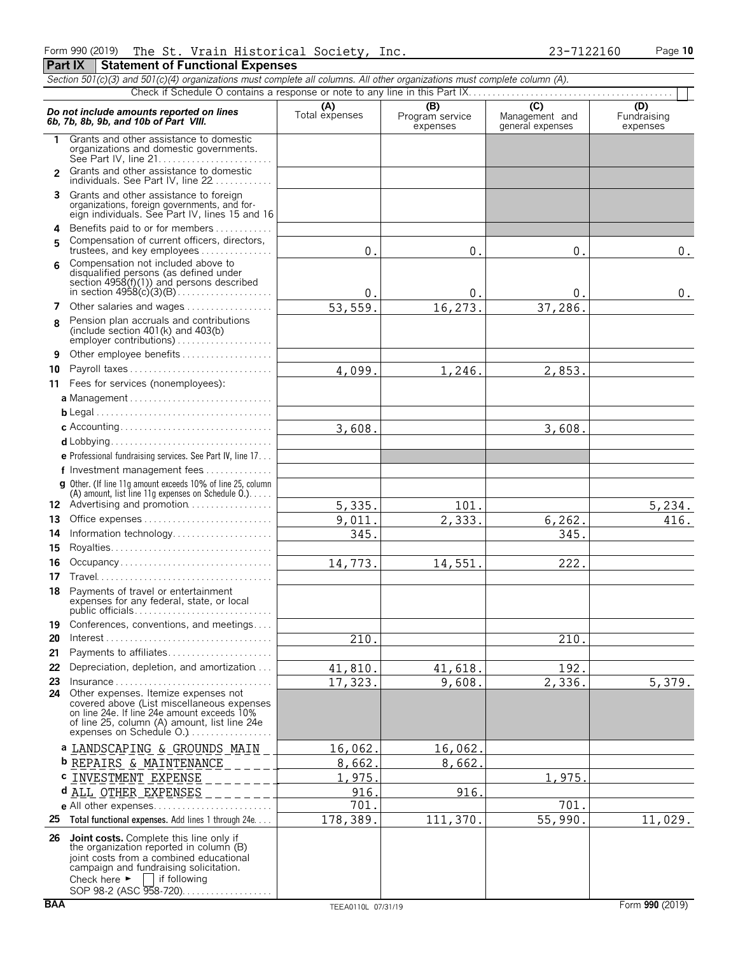|               | Section 501(c)(3) and 501(c)(4) organizations must complete all columns. All other organizations must complete column (A).                                                                                                                              |                       |                                    |                                                      |                                |  |  |  |  |  |
|---------------|---------------------------------------------------------------------------------------------------------------------------------------------------------------------------------------------------------------------------------------------------------|-----------------------|------------------------------------|------------------------------------------------------|--------------------------------|--|--|--|--|--|
|               |                                                                                                                                                                                                                                                         |                       |                                    |                                                      |                                |  |  |  |  |  |
|               | Do not include amounts reported on lines<br>6b, 7b, 8b, 9b, and 10b of Part VIII.                                                                                                                                                                       | (A)<br>Total expenses | (B)<br>Program service<br>expenses | $\overline{C}$<br>Management and<br>general expenses | (D)<br>Fundraising<br>expenses |  |  |  |  |  |
| 1.            | Grants and other assistance to domestic<br>organizations and domestic governments.                                                                                                                                                                      |                       |                                    |                                                      |                                |  |  |  |  |  |
| $\mathcal{P}$ | Grants and other assistance to domestic<br>individuals. See Part IV, line 22                                                                                                                                                                            |                       |                                    |                                                      |                                |  |  |  |  |  |
| 3             | Grants and other assistance to foreign<br>organizations, foreign governments, and for-<br>eign individuals. See Part IV, lines 15 and 16                                                                                                                |                       |                                    |                                                      |                                |  |  |  |  |  |
| 4<br>5        | Benefits paid to or for members<br>Compensation of current officers, directors,                                                                                                                                                                         |                       |                                    |                                                      |                                |  |  |  |  |  |
| 6             | trustees, and key employees<br>Compensation not included above to                                                                                                                                                                                       | 0.                    | 0.                                 | 0.                                                   | $0$ .                          |  |  |  |  |  |
|               | disqualified persons (as defined under<br>section $4958(f)(1)$ and persons described                                                                                                                                                                    | $0$ .                 | 0.                                 | $\mathbf 0$ .                                        | $0$ .                          |  |  |  |  |  |
| 7             | Other salaries and wages                                                                                                                                                                                                                                | 53,559.               | 16,273.                            | 37,286.                                              |                                |  |  |  |  |  |
| 8             | Pension plan accruals and contributions<br>(include section $401(k)$ and $403(b)$ )<br>employer contributions)                                                                                                                                          |                       |                                    |                                                      |                                |  |  |  |  |  |
| 9             | Other employee benefits                                                                                                                                                                                                                                 |                       |                                    |                                                      |                                |  |  |  |  |  |
| 10            |                                                                                                                                                                                                                                                         | 4,099.                | 1,246.                             | 2,853.                                               |                                |  |  |  |  |  |
|               | 11 Fees for services (nonemployees):                                                                                                                                                                                                                    |                       |                                    |                                                      |                                |  |  |  |  |  |
|               |                                                                                                                                                                                                                                                         |                       |                                    |                                                      |                                |  |  |  |  |  |
|               |                                                                                                                                                                                                                                                         | 3,608.                |                                    | 3,608.                                               |                                |  |  |  |  |  |
|               |                                                                                                                                                                                                                                                         |                       |                                    |                                                      |                                |  |  |  |  |  |
|               | e Professional fundraising services. See Part IV, line 17                                                                                                                                                                                               |                       |                                    |                                                      |                                |  |  |  |  |  |
|               | f Investment management fees                                                                                                                                                                                                                            |                       |                                    |                                                      |                                |  |  |  |  |  |
|               | <b>g</b> Other. (If line 11q amount exceeds 10% of line 25, column                                                                                                                                                                                      |                       |                                    |                                                      |                                |  |  |  |  |  |
|               | (A) amount, list line 11g expenses on Schedule $0.$ )                                                                                                                                                                                                   |                       |                                    |                                                      |                                |  |  |  |  |  |
|               | 12 Advertising and promotion                                                                                                                                                                                                                            | 5,335.                | 101.                               |                                                      | 5,234.                         |  |  |  |  |  |
| 13            |                                                                                                                                                                                                                                                         | 9,011.                | 2,333.                             | 6, 262.                                              | 416.                           |  |  |  |  |  |
| 14            | Information technology                                                                                                                                                                                                                                  | 345.                  |                                    | 345.                                                 |                                |  |  |  |  |  |
| 15            |                                                                                                                                                                                                                                                         |                       |                                    |                                                      |                                |  |  |  |  |  |
| 16            | Occupancy                                                                                                                                                                                                                                               | 14,773.               | 14,551.                            | 222.                                                 |                                |  |  |  |  |  |
| 17            |                                                                                                                                                                                                                                                         |                       |                                    |                                                      |                                |  |  |  |  |  |
| 18.           | Payments of travel or entertainment<br>expenses for any federal, state, or local                                                                                                                                                                        |                       |                                    |                                                      |                                |  |  |  |  |  |
| 19.           | Conferences, conventions, and meetings                                                                                                                                                                                                                  |                       |                                    |                                                      |                                |  |  |  |  |  |
| 20            | $Interest \dots \dots \dots \dots \dots \dots \dots \dots \dots \dots \dots \dots \dots \dots$                                                                                                                                                          | 210.                  |                                    | 210.                                                 |                                |  |  |  |  |  |
| 21            | Payments to affiliates                                                                                                                                                                                                                                  |                       |                                    |                                                      |                                |  |  |  |  |  |
| 22            | Depreciation, depletion, and amortization                                                                                                                                                                                                               | 41,810.               | 41,618.                            | 192.                                                 |                                |  |  |  |  |  |
| 23            | $insurance \ldots \ldots \ldots \ldots \ldots \ldots \ldots \ldots \ldots \ldots$                                                                                                                                                                       | 17,323.               | 9,608.                             | 2,336.                                               | 5,379.                         |  |  |  |  |  |
| 24            | Other expenses. Itemize expenses not<br>covered above (List miscellaneous expenses<br>on line 24e. If line 24e amount exceeds 10%<br>of line 25, column (A) amount, list line 24e<br>expenses on Schedule O.)                                           |                       |                                    |                                                      |                                |  |  |  |  |  |
|               | <sup>a</sup> LANDSCAPING & GROUNDS MAIN                                                                                                                                                                                                                 | 16,062                | 16,062                             |                                                      |                                |  |  |  |  |  |
|               | <b>b</b> REPAIRS & MAINTENANCE                                                                                                                                                                                                                          | 8,662                 | 8,662                              |                                                      |                                |  |  |  |  |  |
|               | C INVESTMENT EXPENSE                                                                                                                                                                                                                                    | 1,975                 |                                    | 1,975                                                |                                |  |  |  |  |  |
|               | <b>d</b> ALL OTHER EXPENSES                                                                                                                                                                                                                             | 916.                  | 916.                               |                                                      |                                |  |  |  |  |  |
|               |                                                                                                                                                                                                                                                         | 701.                  |                                    | 701.                                                 |                                |  |  |  |  |  |
| 25            | Total functional expenses. Add lines 1 through 24e.                                                                                                                                                                                                     | 178,389.              | 111,370.                           | 55,990.                                              | 11,029.                        |  |  |  |  |  |
|               | 26 Joint costs. Complete this line only if<br>the organization reported in column (B)<br>joint costs from a combined educational<br>campaign and fundraising solicitation.<br>Check here $\blacktriangleright$   if following<br>SOP 98-2 (ASC 958-720) |                       |                                    |                                                      |                                |  |  |  |  |  |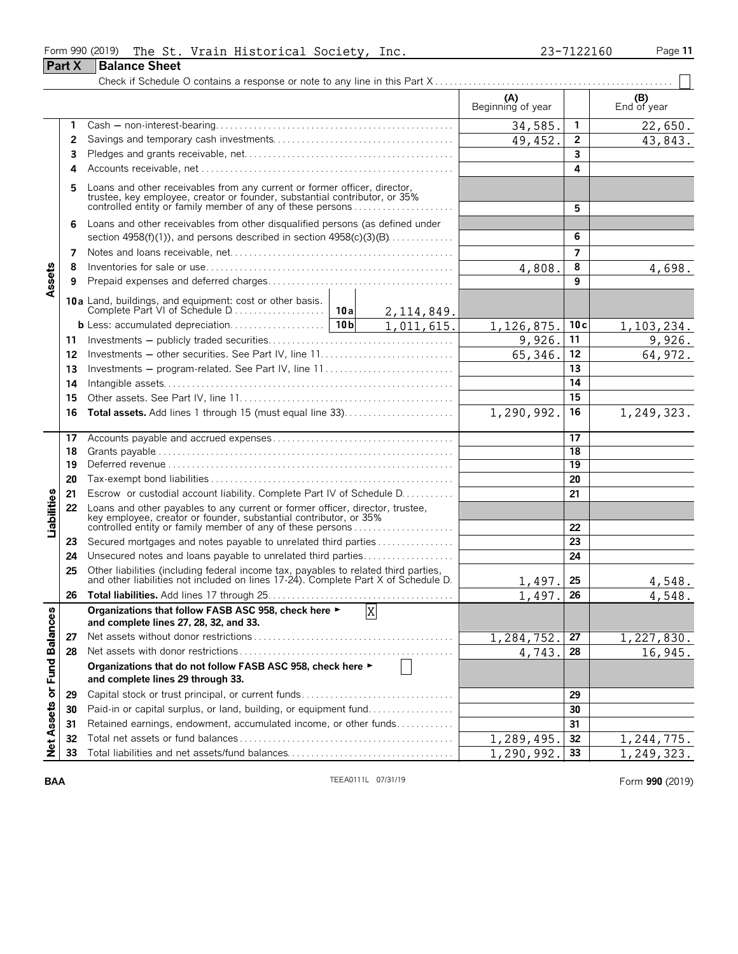|                             |               | Form 990 (2019)<br>The St. Vrain Historical Society, Inc.                                                                                                                                                          |                          | 23-7122160               | Page 11            |
|-----------------------------|---------------|--------------------------------------------------------------------------------------------------------------------------------------------------------------------------------------------------------------------|--------------------------|--------------------------|--------------------|
|                             | <b>Part X</b> | <b>Balance Sheet</b>                                                                                                                                                                                               |                          |                          |                    |
|                             |               |                                                                                                                                                                                                                    |                          |                          |                    |
|                             |               |                                                                                                                                                                                                                    | (A)<br>Beginning of year |                          | (B)<br>End of year |
|                             |               |                                                                                                                                                                                                                    | 34,585.                  | 1                        | 22,650.            |
|                             | 2             |                                                                                                                                                                                                                    | 49, 452.                 | $\mathbf{2}$             | 43,843.            |
|                             | 3             |                                                                                                                                                                                                                    |                          | 3                        |                    |
|                             | Δ             |                                                                                                                                                                                                                    |                          | 4                        |                    |
|                             | 5             | Loans and other receivables from any current or former officer, director, trustee, key employee, creator or founder, substantial contributor, or 35%<br>controlled entity or family member of any of these persons |                          | 5                        |                    |
|                             | 6             | Loans and other receivables from other disqualified persons (as defined under                                                                                                                                      |                          |                          |                    |
|                             |               | section $4958(f)(1)$ , and persons described in section $4958(c)(3)(B)$                                                                                                                                            |                          | 6                        |                    |
|                             | 7             |                                                                                                                                                                                                                    |                          | $\overline{\phantom{a}}$ |                    |
|                             | 8             |                                                                                                                                                                                                                    | 4,808.                   | 8                        | 4,698.             |
| Assets                      | 9             |                                                                                                                                                                                                                    |                          | 9                        |                    |
|                             |               | 10a Land, buildings, and equipment: cost or other basis.<br>2, 114, 849.                                                                                                                                           |                          |                          |                    |
|                             |               | 1,011,615.                                                                                                                                                                                                         | 1,126,875.               | 10c                      | 1, 103, 234.       |
|                             | 11            |                                                                                                                                                                                                                    | 9,926.                   | 11                       | 9,926.             |
|                             | 12            |                                                                                                                                                                                                                    | 65,346.                  | 12                       | 64,972.            |
|                             | 13            | Investments – program-related. See Part IV, line 11                                                                                                                                                                |                          | 13                       |                    |
|                             | 14            |                                                                                                                                                                                                                    |                          | 14                       |                    |
|                             | 15            |                                                                                                                                                                                                                    |                          | 15                       |                    |
|                             | 16            | <b>Total assets.</b> Add lines 1 through 15 (must equal line 33)                                                                                                                                                   | 1,290,992.               | 16                       | 1,249,323.         |
|                             | 17            |                                                                                                                                                                                                                    |                          | 17                       |                    |
|                             | 18            |                                                                                                                                                                                                                    |                          | 18                       |                    |
|                             | 19            |                                                                                                                                                                                                                    |                          | $\overline{19}$          |                    |
|                             | 20            |                                                                                                                                                                                                                    |                          | 20                       |                    |
|                             | 21            | Escrow or custodial account liability. Complete Part IV of Schedule D.                                                                                                                                             |                          | 21                       |                    |
| Liabilities                 | 22            | Loans and other payables to any current or former officer, director, trustee,<br>key employee, creator or founder, substantial contributor, or 35%<br>controlled entity or family member of any of these persons   |                          | 22                       |                    |
|                             | 23            | Secured mortgages and notes payable to unrelated third parties                                                                                                                                                     |                          | 23                       |                    |
|                             | 24            | Unsecured notes and loans payable to unrelated third parties                                                                                                                                                       |                          | 24                       |                    |
|                             | 25            | Other liabilities (including federal income tax, payables to related third parties, and other liabilities not included on lines 17-24). Complete Part X of Schedule D.                                             | 1,497.                   | 25                       | 4,548.             |
|                             | 26            |                                                                                                                                                                                                                    | 1,497.                   | 26                       | 4,548.             |
|                             |               | Organizations that follow FASB ASC 958, check here ►<br>X<br>and complete lines 27, 28, 32, and 33.                                                                                                                |                          |                          |                    |
|                             | 27            |                                                                                                                                                                                                                    | 1,284,752.               | 27                       | 1,227,830.         |
|                             | 28            |                                                                                                                                                                                                                    | 4,743.                   | 28                       | 16,945.            |
| Net Assets or Fund Balances |               | Organizations that do not follow FASB ASC 958, check here ►<br>and complete lines 29 through 33.                                                                                                                   |                          |                          |                    |
|                             | 29            |                                                                                                                                                                                                                    |                          | 29                       |                    |
|                             | 30            | Paid-in or capital surplus, or land, building, or equipment fund                                                                                                                                                   |                          | 30                       |                    |
|                             | 31            | Retained earnings, endowment, accumulated income, or other funds                                                                                                                                                   |                          | 31                       |                    |
|                             | 32            |                                                                                                                                                                                                                    | 1,289,495.               | 32                       | 1,244,775.         |
|                             | 33            |                                                                                                                                                                                                                    | 1,290,992                | 33                       | 1,249,323.         |

**BAA** TEEA0111L 07/31/19 Form **990** (2019)

1,249,323.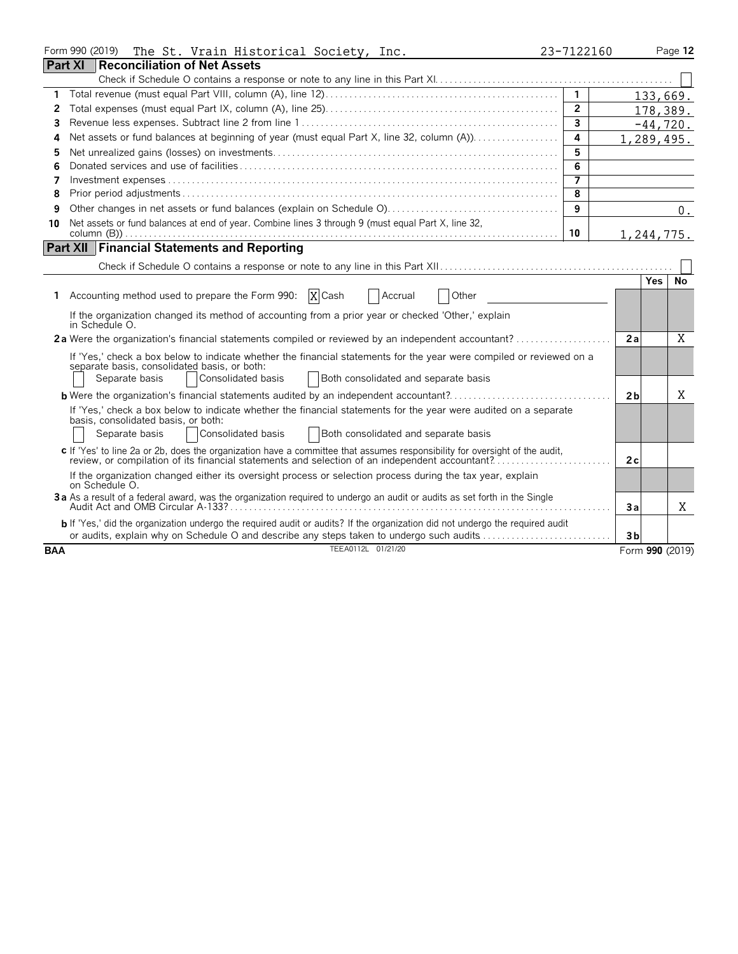|            | Form 990 (2019)<br>The St. Vrain Historical Society, Inc.                                                                     | 23-7122160     |                | Page 12          |
|------------|-------------------------------------------------------------------------------------------------------------------------------|----------------|----------------|------------------|
|            | Part XI<br>Reconciliation of Net Assets                                                                                       |                |                |                  |
|            |                                                                                                                               |                |                |                  |
| 1          |                                                                                                                               | $\overline{1}$ |                | 133,669.         |
| 2          |                                                                                                                               | $\overline{2}$ |                | 178,389.         |
| 3          |                                                                                                                               | $\mathbf{3}$   |                | $-44,720.$       |
| 4          | Net assets or fund balances at beginning of year (must equal Part X, line 32, column (A))                                     | 4              |                | 1,289,495.       |
| 5          |                                                                                                                               | 5              |                |                  |
| 6          |                                                                                                                               | 6              |                |                  |
| 7          |                                                                                                                               | 7              |                |                  |
| 8          |                                                                                                                               | 8              |                |                  |
| 9          |                                                                                                                               | 9              |                | $0$ .            |
| 10         | Net assets or fund balances at end of year. Combine lines 3 through 9 (must equal Part X, line 32,                            |                |                |                  |
|            |                                                                                                                               | 10             |                | 1, 244, 775.     |
|            | <b>Part XII Financial Statements and Reporting</b>                                                                            |                |                |                  |
|            |                                                                                                                               |                |                |                  |
|            |                                                                                                                               |                |                | <b>Yes</b><br>No |
| 1.         | Accounting method used to prepare the Form 990: $\frac{1}{x}$ Cash<br><b>Accrual</b><br>Other                                 |                |                |                  |
|            | If the organization changed its method of accounting from a prior year or checked 'Other,' explain                            |                |                |                  |
|            | in Schedule O.                                                                                                                |                |                |                  |
|            | 2a Were the organization's financial statements compiled or reviewed by an independent accountant?                            |                | 2a             | X                |
|            | If 'Yes,' check a box below to indicate whether the financial statements for the year were compiled or reviewed on a          |                |                |                  |
|            | separate basis, consolidated basis, or both:                                                                                  |                |                |                  |
|            | Separate basis<br>Consolidated basis<br>Both consolidated and separate basis                                                  |                |                |                  |
|            |                                                                                                                               |                | 2 <sub>b</sub> | X                |
|            | If 'Yes,' check a box below to indicate whether the financial statements for the year were audited on a separate              |                |                |                  |
|            | basis, consolidated basis, or both:                                                                                           |                |                |                  |
|            | Consolidated basis<br>Separate basis<br>Both consolidated and separate basis                                                  |                |                |                  |
|            | c If 'Yes' to line 2a or 2b, does the organization have a committee that assumes responsibility for oversight of the audit,   |                |                |                  |
|            | review, or compilation of its financial statements and selection of an independent accountant?                                |                | 2c             |                  |
|            | If the organization changed either its oversight process or selection process during the tax year, explain<br>on Schedule O.  |                |                |                  |
|            | 3a As a result of a federal award, was the organization required to undergo an audit or audits as set forth in the Single     |                |                |                  |
|            |                                                                                                                               |                | Зa             | X                |
|            | b If 'Yes,' did the organization undergo the required audit or audits? If the organization did not undergo the required audit |                |                |                  |
|            | or audits, explain why on Schedule O and describe any steps taken to undergo such audits                                      |                | 3 <sub>b</sub> |                  |
| <b>BAA</b> | TEEA0112L 01/21/20                                                                                                            |                |                | Form 990 (2019)  |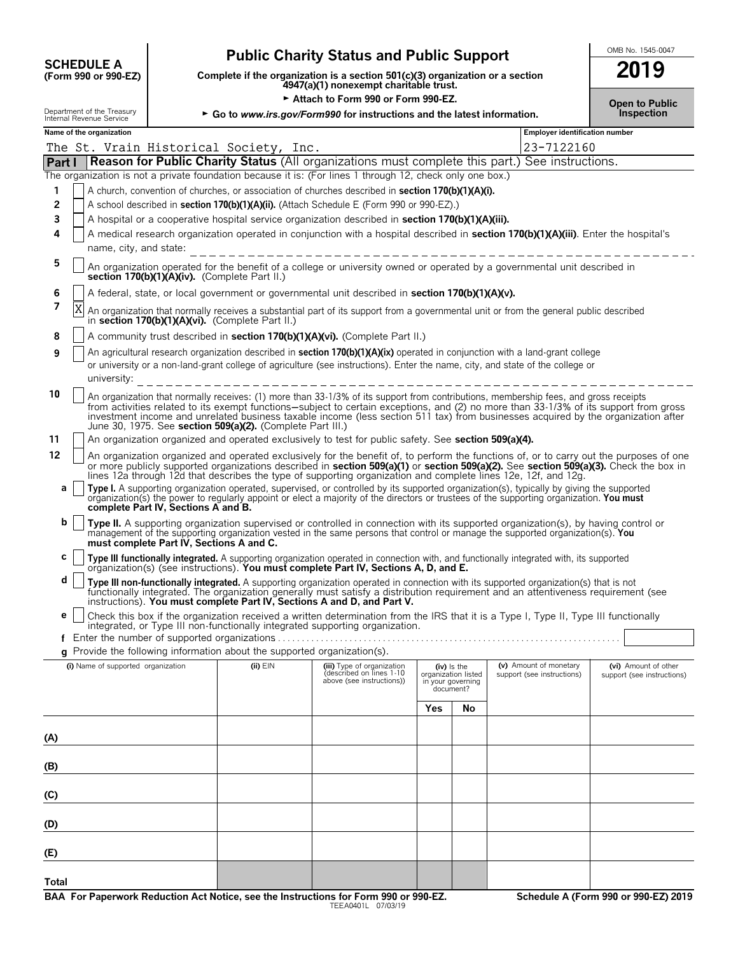| <b>SCHEDULE A</b>                              |
|------------------------------------------------|
| $(T_{\alpha\mu m}$ QQQ $_{\alpha\nu}$ QQQ $FZ$ |

# **OMB No. 1545-0047**<br>
Complete if the org<u>anization</u> is a section 501(c)(3) organization or a section **SCOLE 2019**

**COMPOUTE A**<br>(Form 990 or 990-EZ) Complete if the organization is a section 501(c)(3) organization or a section<br>4947(a)(1) nonexempt charitable trust.

<sup>G</sup> **Attach to Form 990 or Form 990-EZ. Open to Public**

|                          | Department of the Treasury<br>Internal Revenue Service                                                                                                                                                                                    |                                                                                                                                                                                                                                                                                                                                                                                                    | ► Go to www.irs.gov/Form990 for instructions and the latest information.                         | <b>Open to Public</b><br>Inspection                                      |                                                                                                                                                                                                                                                                                                                                                                                                                    |     |                                                                        |                                                      |                                                    |  |  |  |
|--------------------------|-------------------------------------------------------------------------------------------------------------------------------------------------------------------------------------------------------------------------------------------|----------------------------------------------------------------------------------------------------------------------------------------------------------------------------------------------------------------------------------------------------------------------------------------------------------------------------------------------------------------------------------------------------|--------------------------------------------------------------------------------------------------|--------------------------------------------------------------------------|--------------------------------------------------------------------------------------------------------------------------------------------------------------------------------------------------------------------------------------------------------------------------------------------------------------------------------------------------------------------------------------------------------------------|-----|------------------------------------------------------------------------|------------------------------------------------------|----------------------------------------------------|--|--|--|
| Name of the organization |                                                                                                                                                                                                                                           |                                                                                                                                                                                                                                                                                                                                                                                                    |                                                                                                  |                                                                          |                                                                                                                                                                                                                                                                                                                                                                                                                    |     |                                                                        | <b>Employer identification number</b>                |                                                    |  |  |  |
|                          |                                                                                                                                                                                                                                           |                                                                                                                                                                                                                                                                                                                                                                                                    |                                                                                                  | The St. Vrain Historical Society, Inc.                                   |                                                                                                                                                                                                                                                                                                                                                                                                                    |     |                                                                        | 23-7122160                                           |                                                    |  |  |  |
| Part I                   |                                                                                                                                                                                                                                           |                                                                                                                                                                                                                                                                                                                                                                                                    |                                                                                                  |                                                                          | Reason for Public Charity Status (All organizations must complete this part.) See instructions.                                                                                                                                                                                                                                                                                                                    |     |                                                                        |                                                      |                                                    |  |  |  |
|                          |                                                                                                                                                                                                                                           |                                                                                                                                                                                                                                                                                                                                                                                                    |                                                                                                  |                                                                          | The organization is not a private foundation because it is: (For lines 1 through 12, check only one box.)                                                                                                                                                                                                                                                                                                          |     |                                                                        |                                                      |                                                    |  |  |  |
| 1                        |                                                                                                                                                                                                                                           | A church, convention of churches, or association of churches described in <b>section 170(b)(1)(A)(i).</b><br>A school described in section 170(b)(1)(A)(ii). (Attach Schedule E (Form 990 or 990-EZ).)                                                                                                                                                                                             |                                                                                                  |                                                                          |                                                                                                                                                                                                                                                                                                                                                                                                                    |     |                                                                        |                                                      |                                                    |  |  |  |
| 2                        |                                                                                                                                                                                                                                           |                                                                                                                                                                                                                                                                                                                                                                                                    |                                                                                                  |                                                                          |                                                                                                                                                                                                                                                                                                                                                                                                                    |     |                                                                        |                                                      |                                                    |  |  |  |
| 3<br>4                   | A hospital or a cooperative hospital service organization described in section 170(b)(1)(A)(iii).<br>A medical research organization operated in conjunction with a hospital described in section 170(b)(1)(A)(iii). Enter the hospital's |                                                                                                                                                                                                                                                                                                                                                                                                    |                                                                                                  |                                                                          |                                                                                                                                                                                                                                                                                                                                                                                                                    |     |                                                                        |                                                      |                                                    |  |  |  |
| name, city, and state:   |                                                                                                                                                                                                                                           |                                                                                                                                                                                                                                                                                                                                                                                                    |                                                                                                  |                                                                          |                                                                                                                                                                                                                                                                                                                                                                                                                    |     |                                                                        |                                                      |                                                    |  |  |  |
| 5                        |                                                                                                                                                                                                                                           | An organization operated for the benefit of a college or university owned or operated by a governmental unit described in<br>section 170(b)(1)(A)(iv). (Complete Part II.)                                                                                                                                                                                                                         |                                                                                                  |                                                                          |                                                                                                                                                                                                                                                                                                                                                                                                                    |     |                                                                        |                                                      |                                                    |  |  |  |
| 6                        |                                                                                                                                                                                                                                           |                                                                                                                                                                                                                                                                                                                                                                                                    | A federal, state, or local government or governmental unit described in section 170(b)(1)(A)(v). |                                                                          |                                                                                                                                                                                                                                                                                                                                                                                                                    |     |                                                                        |                                                      |                                                    |  |  |  |
| 7                        | X                                                                                                                                                                                                                                         |                                                                                                                                                                                                                                                                                                                                                                                                    |                                                                                                  | in section 170(b)(1)(A)(vi). (Complete Part II.)                         | An organization that normally receives a substantial part of its support from a governmental unit or from the general public described                                                                                                                                                                                                                                                                             |     |                                                                        |                                                      |                                                    |  |  |  |
| 8                        |                                                                                                                                                                                                                                           |                                                                                                                                                                                                                                                                                                                                                                                                    |                                                                                                  |                                                                          | A community trust described in section 170(b)(1)(A)(vi). (Complete Part II.)                                                                                                                                                                                                                                                                                                                                       |     |                                                                        |                                                      |                                                    |  |  |  |
| 9                        |                                                                                                                                                                                                                                           |                                                                                                                                                                                                                                                                                                                                                                                                    |                                                                                                  |                                                                          | An agricultural research organization described in section 170(b)(1)(A)(ix) operated in conjunction with a land-grant college                                                                                                                                                                                                                                                                                      |     |                                                                        |                                                      |                                                    |  |  |  |
|                          | university:                                                                                                                                                                                                                               |                                                                                                                                                                                                                                                                                                                                                                                                    |                                                                                                  |                                                                          | or university or a non-land-grant college of agriculture (see instructions). Enter the name, city, and state of the college or                                                                                                                                                                                                                                                                                     |     |                                                                        |                                                      |                                                    |  |  |  |
| 10                       |                                                                                                                                                                                                                                           |                                                                                                                                                                                                                                                                                                                                                                                                    |                                                                                                  | June 30, 1975. See section 509(a)(2). (Complete Part III.)               | An organization that normally receives: (1) more than 33-1/3% of its support from contributions, membership fees, and gross receipts<br>from activities related to its exempt functions-subject to certain exceptions, and (2) no more than 33-1/3% of its support from gross<br>investment income and unrelated business taxable income (less section 511 tax) from businesses acquired by the organization after |     |                                                                        |                                                      |                                                    |  |  |  |
| 11                       |                                                                                                                                                                                                                                           |                                                                                                                                                                                                                                                                                                                                                                                                    |                                                                                                  |                                                                          | An organization organized and operated exclusively to test for public safety. See section 509(a)(4).                                                                                                                                                                                                                                                                                                               |     |                                                                        |                                                      |                                                    |  |  |  |
| 12                       |                                                                                                                                                                                                                                           |                                                                                                                                                                                                                                                                                                                                                                                                    |                                                                                                  |                                                                          |                                                                                                                                                                                                                                                                                                                                                                                                                    |     |                                                                        |                                                      |                                                    |  |  |  |
|                          |                                                                                                                                                                                                                                           | An organization organized and operated exclusively for the benefit of, to perform the functions of, or to carry out the purposes of one<br>or more publicly supported organizations described in section 509(a)(1) or section 509(a)(2). See section 509(a)(3). Check the box in<br>lines 12a through 12d that describes the type of supporting organization and complete lines 12e, 12f, and 12g. |                                                                                                  |                                                                          |                                                                                                                                                                                                                                                                                                                                                                                                                    |     |                                                                        |                                                      |                                                    |  |  |  |
| а                        |                                                                                                                                                                                                                                           |                                                                                                                                                                                                                                                                                                                                                                                                    | complete Part IV, Sections A and B.                                                              |                                                                          | Type I. A supporting organization operated, supervised, or controlled by its supported organization(s), typically by giving the supported<br>organization(s) the power to regularly appoint or elect a majority of the directors or trustees of the supporting organization. You must                                                                                                                              |     |                                                                        |                                                      |                                                    |  |  |  |
| b                        |                                                                                                                                                                                                                                           |                                                                                                                                                                                                                                                                                                                                                                                                    | must complete Part IV, Sections A and C.                                                         |                                                                          | Type II. A supporting organization supervised or controlled in connection with its supported organization(s), by having control or<br>management of the supporting organization vested in the same persons that control or manage the supported organization(s). You                                                                                                                                               |     |                                                                        |                                                      |                                                    |  |  |  |
| с                        |                                                                                                                                                                                                                                           |                                                                                                                                                                                                                                                                                                                                                                                                    |                                                                                                  |                                                                          | Type III functionally integrated. A supporting organization operated in connection with, and functionally integrated with, its supported<br>organization(s) (see instructions). You must complete Part IV, Sections A, D, and E.                                                                                                                                                                                   |     |                                                                        |                                                      |                                                    |  |  |  |
| d                        |                                                                                                                                                                                                                                           |                                                                                                                                                                                                                                                                                                                                                                                                    |                                                                                                  |                                                                          | Type III non-functionally integrated. A supporting organization operated in connection with its supported organization(s) that is not<br>functionally integrated. The organization generally must satisfy a distribution requirement and an attentiveness requirement (see<br>instructions). You must complete Part IV, Sections A and D, and Part V.                                                              |     |                                                                        |                                                      |                                                    |  |  |  |
| е                        |                                                                                                                                                                                                                                           |                                                                                                                                                                                                                                                                                                                                                                                                    |                                                                                                  |                                                                          | Check this box if the organization received a written determination from the IRS that it is a Type I, Type II, Type III functionally                                                                                                                                                                                                                                                                               |     |                                                                        |                                                      |                                                    |  |  |  |
|                          |                                                                                                                                                                                                                                           |                                                                                                                                                                                                                                                                                                                                                                                                    |                                                                                                  |                                                                          | integrated, or Type III non-functionally integrated supporting organization.                                                                                                                                                                                                                                                                                                                                       |     |                                                                        |                                                      |                                                    |  |  |  |
|                          |                                                                                                                                                                                                                                           |                                                                                                                                                                                                                                                                                                                                                                                                    |                                                                                                  | g Provide the following information about the supported organization(s). |                                                                                                                                                                                                                                                                                                                                                                                                                    |     |                                                                        |                                                      |                                                    |  |  |  |
|                          | (i) Name of supported organization                                                                                                                                                                                                        |                                                                                                                                                                                                                                                                                                                                                                                                    |                                                                                                  | $(ii)$ $EIN$                                                             | (iii) Type of organization<br>(described on lines 1-10<br>above (see instructions))                                                                                                                                                                                                                                                                                                                                |     | $(iv)$ is the<br>organization listed<br>in your governing<br>document? | (v) Amount of monetary<br>support (see instructions) | (vi) Amount of other<br>support (see instructions) |  |  |  |
|                          |                                                                                                                                                                                                                                           |                                                                                                                                                                                                                                                                                                                                                                                                    |                                                                                                  |                                                                          |                                                                                                                                                                                                                                                                                                                                                                                                                    | Yes | No                                                                     |                                                      |                                                    |  |  |  |
| (A)                      |                                                                                                                                                                                                                                           |                                                                                                                                                                                                                                                                                                                                                                                                    |                                                                                                  |                                                                          |                                                                                                                                                                                                                                                                                                                                                                                                                    |     |                                                                        |                                                      |                                                    |  |  |  |
| (B)                      |                                                                                                                                                                                                                                           |                                                                                                                                                                                                                                                                                                                                                                                                    |                                                                                                  |                                                                          |                                                                                                                                                                                                                                                                                                                                                                                                                    |     |                                                                        |                                                      |                                                    |  |  |  |
| (C)                      |                                                                                                                                                                                                                                           |                                                                                                                                                                                                                                                                                                                                                                                                    |                                                                                                  |                                                                          |                                                                                                                                                                                                                                                                                                                                                                                                                    |     |                                                                        |                                                      |                                                    |  |  |  |
| (D)                      |                                                                                                                                                                                                                                           |                                                                                                                                                                                                                                                                                                                                                                                                    |                                                                                                  |                                                                          |                                                                                                                                                                                                                                                                                                                                                                                                                    |     |                                                                        |                                                      |                                                    |  |  |  |
| (E)                      |                                                                                                                                                                                                                                           |                                                                                                                                                                                                                                                                                                                                                                                                    |                                                                                                  |                                                                          |                                                                                                                                                                                                                                                                                                                                                                                                                    |     |                                                                        |                                                      |                                                    |  |  |  |
| Total                    |                                                                                                                                                                                                                                           |                                                                                                                                                                                                                                                                                                                                                                                                    |                                                                                                  |                                                                          |                                                                                                                                                                                                                                                                                                                                                                                                                    |     |                                                                        |                                                      |                                                    |  |  |  |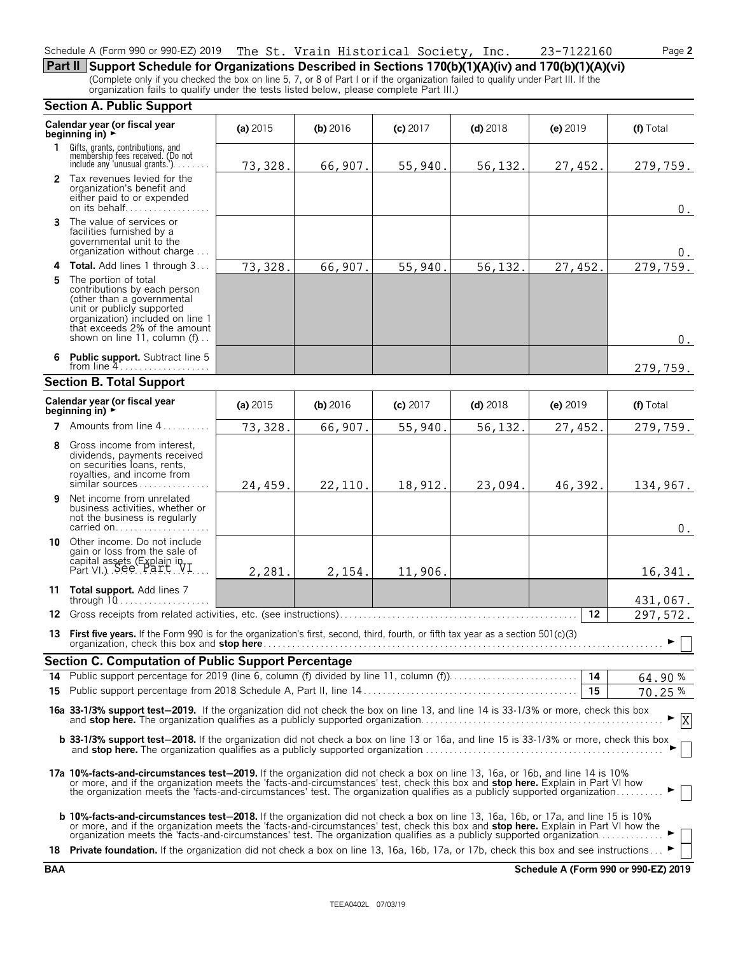### Schedule A (Form 990 or 990-EZ) 2019 The St. Vrain Historical Society, Inc. 23-7122160 Page **2**

**Part II Support Schedule for Organizations Described in Sections 170(b)(1)(A)(iv) and 170(b)(1)(A)(vi)** (Complete only if you checked the box on line 5, 7, or 8 of Part I or if the organization failed to qualify under Part III. If the organization fails to qualify under the tests listed below, please complete Part III.)

### **Section A. Public Support Calendar year (or fiscal year (a) 2015 <b>(b)** 2016 **(c) 2017 <b>(d)** 2018 **(e)** 2019 **(f)** Total **beginning in) 1** Gifts, grants, contributions, and<br>
membership fees received. (Do not<br>
include any 'unusual grants.'). . . . . . . . **2** Tax revenues levied for the organization's benefit and either paid to or expended on its behalf. . . . . . . . . . . . **3** The value of services or facilities furnished by a governmental unit to the organization without charge. . . . **4 Total.** Add lines 1 through 3 . . . **5** The portion of total contributions by each person (other than a governmental unit or publicly supported organization) included on line 1 that exceeds 2% of the amount shown on line 11, column (f)... **6 Public support.** Subtract line 5 from line 4 **Section B. Total Support Calendar year (or fiscal year (a) 2015 <b>(b)** 2016 **(c)** 2017 **(d)** 2018 **(e)** 2019 **(f)** Total **beginning in) 7** Amounts from line 4...... **8** Gross income from interest, dividends, payments received on securities loans, rents, royalties, and income from similar sources . . . . . . . . **9** Net income from unrelated business activities, whether or not the business is regularly carried on. . . . . . . . . . . **10** Other income. Do not include gain or loss from the sale of capital assets (Explain in  $Part VI.$ ). See  $Part VI.$ ... **11 Total support.** Add lines 7 through 10. . . . . . . . . . . . . . . . . . . . **12** Gross receipts from related activities, etc. (see instructions). . . . . . . . . . . . . . . . . . . . . . . . . . . . . . . . . . . . . . . . . . . . . . . . . . **12 13 First five years.** If the Form 990 is for the organization's first, second, third, fourth, or fifth tax year as a section 501(c)(3) organization, check this box and **stop here**. . . . . . . . . . . . . . . . . . . . . . . . . . . . . . . . . . . . . . . . . . . . . . . . . . . . . . . . . . . . . . . . . . . . . . . . . . . . . . . . . . . . G **Section C. Computation of Public Support Percentage 14** Public support percentage for 2019 (line 6, column (f) divided by line 11, column (f)). . . . . . . . . . . . . . . . . . . . . . . . . . . **14** % **15** Public support percentage from 2018 Schedule A, Part II, line 14 . . . . . . . . . . . . . . . . . . . . . . . . . . . . . . . . . . . . . . . . . . . . . **15** % **16a 33-1/3% support test**'**2019.** If the organization did not check the box on line 13, and line 14 is 33-1/3% or more, check this box and **stop here.** The organization qualifies as a publicly supported organization. . . . . . . . . . . . . . . . . . . . . . . . . . . . . . . . . . . . . . . . . . . . . . . . . . . G **b 33-1/3% support test-2018.** If the organization did not check a box on line 13 or 16a, and line 15 is 33-1/3% or more, check this box and **stop here.** The organization qualifies as a publicly supported organization. . . . . . . . . . . . . . . . . . . . . . . . . . . . . . . . . . . . . . . . . . . . . . . . . . . G **17a 10%-facts-and-circumstances test**'**2019.** If the organization did not check a box on line 13, 16a, or 16b, and line 14 is 10% or more, and if the organization meets the 'facts-and-circumstances' test, check this box and **stop here.** Explain in Part VI how<br>the organization meets the 'facts-and-circumstances' test. The organization qualifies as a **b 10%-facts-and-circumstances test**'**2018.** If the organization did not check a box on line 13, 16a, 16b, or 17a, and line 15 is 10% or more, and if the organization meets the 'facts-and-circumstances' test, check this box and **stop here.** Explain in Part VI how the<br>organization meets the 'facts-and-circumstances' test. The organization qualifies as a 18 **Private foundation.** If the organization did not check a box on line 13, 16a, 16b, 17a, or 17b, check this box and see instructions. 73,328. 66,907. 55,940. 56,132. 27,452. 279,759. 0.  $\Omega$ 73,328. 66,907. 55,940. 56,132. 27,452. 279,759. 0. 279,759. 73,328. 66,907. 55,940. 56,132. 27,452. 279,759. 24,459. 22,110. 18,912. 23,094. 46,392. 134,967. 0.  $2,281.$  2,154. 11,906. 16,341. 431,067. 297,572. 64.90 70.25 X

**BAA Schedule A (Form 990 or 990-EZ) 2019**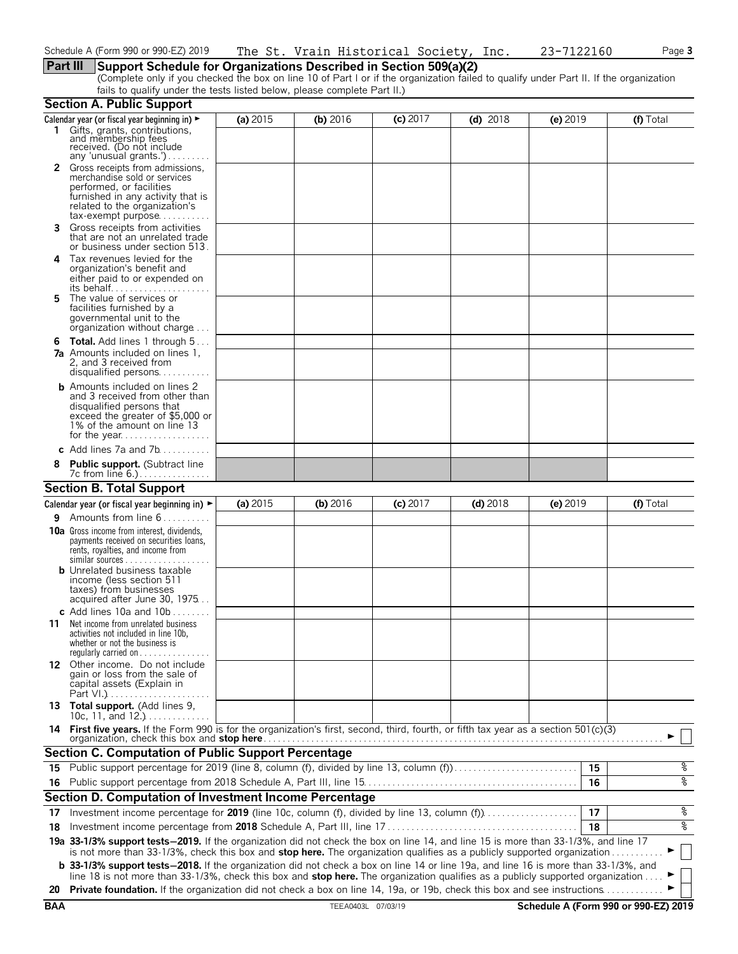### **Part III Support Schedule for Organizations Described in Section 509(a)(2)**

(Complete only if you checked the box on line 10 of Part I or if the organization failed to qualify under Part II. If the organization fails to qualify under the tests listed below, please complete Part II.)

|            | <b>Section A. Public Support</b>                                                                                                                                                                                                                                              |          |                    |            |            |          |                                      |
|------------|-------------------------------------------------------------------------------------------------------------------------------------------------------------------------------------------------------------------------------------------------------------------------------|----------|--------------------|------------|------------|----------|--------------------------------------|
|            | Calendar year (or fiscal year beginning in) $\blacktriangleright$<br>1 Gifts, grants, contributions,<br>and membership fees<br>received. (Do not include                                                                                                                      | (a) 2015 | (b) 2016           | $(c)$ 2017 | $(d)$ 2018 | (e) 2019 | (f) Total                            |
|            | any 'unusual grants.')<br>2 Gross receipts from admissions,<br>merchandise sold or services                                                                                                                                                                                   |          |                    |            |            |          |                                      |
|            | performed, or facilities<br>furnished in any activity that is<br>related to the organization's<br>$tax\text{-}exempt$ purpose                                                                                                                                                 |          |                    |            |            |          |                                      |
| 3          | Gross receipts from activities<br>that are not an unrelated trade<br>or business under section 513.                                                                                                                                                                           |          |                    |            |            |          |                                      |
| 4          | Tax revenues levied for the<br>organization's benefit and<br>either paid to or expended on<br>its behalf                                                                                                                                                                      |          |                    |            |            |          |                                      |
| 5          | The value of services or<br>facilities furnished by a<br>governmental unit to the<br>organization without charge                                                                                                                                                              |          |                    |            |            |          |                                      |
|            | <b>6 Total.</b> Add lines 1 through 5<br><b>7a</b> Amounts included on lines 1,<br>2. and 3 received from<br>disqualified persons                                                                                                                                             |          |                    |            |            |          |                                      |
|            | <b>b</b> Amounts included on lines 2<br>and 3 received from other than<br>disqualified persons that<br>exceed the greater of \$5,000 or<br>1% of the amount on line 13<br>for the year                                                                                        |          |                    |            |            |          |                                      |
|            | c Add lines $7a$ and $7b$                                                                                                                                                                                                                                                     |          |                    |            |            |          |                                      |
| 8          | <b>Public support.</b> (Subtract line<br>7c from line 6.).                                                                                                                                                                                                                    |          |                    |            |            |          |                                      |
|            | <b>Section B. Total Support</b>                                                                                                                                                                                                                                               |          |                    |            |            |          |                                      |
|            | Calendar year (or fiscal year beginning in) $\blacktriangleright$                                                                                                                                                                                                             | (a) 2015 | (b) 2016           | $(c)$ 2017 | $(d)$ 2018 | (e) 2019 | (f) Total                            |
|            | 9 Amounts from line 6                                                                                                                                                                                                                                                         |          |                    |            |            |          |                                      |
|            | <b>10a</b> Gross income from interest, dividends,<br>payments received on securities loans,<br>rents, royalties, and income from<br>$similar$ sources                                                                                                                         |          |                    |            |            |          |                                      |
|            | <b>b</b> Unrelated business taxable<br>income (less section 511)<br>taxes) from businesses<br>acquired after June 30, 1975                                                                                                                                                    |          |                    |            |            |          |                                      |
| 11         | c Add lines 10a and $10b$<br>Net income from unrelated business<br>activities not included in line 10b,<br>whether or not the business is<br>regularly carried on $\dots\dots$                                                                                                |          |                    |            |            |          |                                      |
|            | 12 Other income. Do not include<br>gain or loss from the sale of<br>capital assets (Explain in                                                                                                                                                                                |          |                    |            |            |          |                                      |
|            | 13 Total support. (Add lines 9,<br>10c, 11, and $12.$ )                                                                                                                                                                                                                       |          |                    |            |            |          |                                      |
|            | 14 First five years. If the Form 990 is for the organization's first, second, third, fourth, or fifth tax year as a section 501(c)(3)<br>organization, check this box and <b>stop here</b>                                                                                    |          |                    |            |            |          |                                      |
|            | <b>Section C. Computation of Public Support Percentage</b>                                                                                                                                                                                                                    |          |                    |            |            |          |                                      |
| 15         | Public support percentage for 2019 (line 8, column (f), divided by line 13, column (f)                                                                                                                                                                                        |          |                    |            |            | 15       | န့                                   |
| 16         |                                                                                                                                                                                                                                                                               |          |                    |            |            | 16       | ०७                                   |
|            | Section D. Computation of Investment Income Percentage                                                                                                                                                                                                                        |          |                    |            |            |          |                                      |
| 17         | Investment income percentage for 2019 (line 10c, column (f), divided by line 13, column (f)                                                                                                                                                                                   |          |                    |            |            | 17       | %                                    |
| 18         |                                                                                                                                                                                                                                                                               |          |                    |            |            | 18       | ०७                                   |
|            | 19a 33-1/3% support tests-2019. If the organization did not check the box on line 14, and line 15 is more than 33-1/3%, and line 17<br>is not more than 33-1/3%, check this box and stop here. The organization qualifies as a publicly supported organization                |          |                    |            |            |          |                                      |
|            | <b>b</b> 33-1/3% support tests-2018. If the organization did not check a box on line 14 or line 19a, and line 16 is more than 33-1/3%, and<br>line 18 is not more than 33-1/3%, check this box and stop here. The organization qualifies as a publicly supported organization |          |                    |            |            |          |                                      |
| 20         | Private foundation. If the organization did not check a box on line 14, 19a, or 19b, check this box and see instructions.                                                                                                                                                     |          |                    |            |            |          |                                      |
| <b>BAA</b> |                                                                                                                                                                                                                                                                               |          | TEEA0403L 07/03/19 |            |            |          | Schedule A (Form 990 or 990-EZ) 2019 |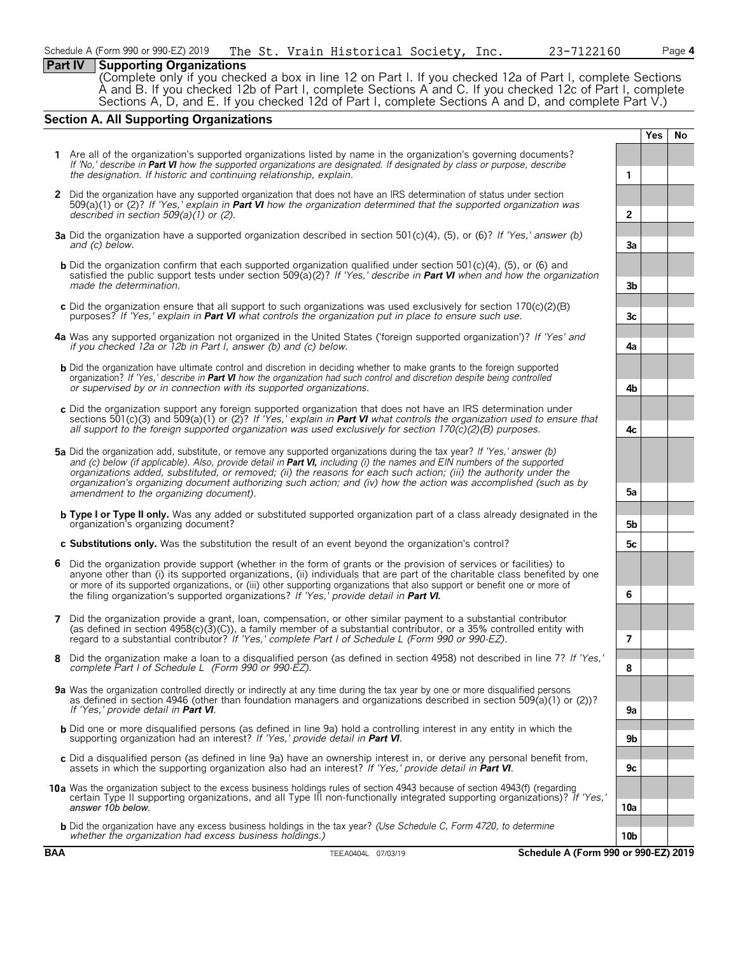### **Part IV Supporting Organizations**

(Complete only if you checked a box in line 12 on Part I. If you checked 12a of Part I, complete Sections A and B. If you checked 12b of Part I, complete Sections A and C. If you checked 12c of Part I, complete Sections A, D, and E. If you checked 12d of Part I, complete Sections A and D, and complete Part V.)

### **Section A. All Supporting Organizations**

**Yes No 1** Are all of the organization's supported organizations listed by name in the organization's governing documents? *If 'No,' describe in Part VI how the supported organizations are designated. If designated by class or purpose, describe the designation. If historic and continuing relationship, explain.* **1 2** Did the organization have any supported organization that does not have an IRS determination of status under section 509(a)(1) or (2)? *If 'Yes,' explain in Part VI how the organization determined that the supported organization was described in section 509(a)(1) or (2).* **2 3a** Did the organization have a supported organization described in section 501(c)(4), (5), or (6)? *If 'Yes,' answer (b) and (c) below.* **3a b** Did the organization confirm that each supported organization qualified under section 501(c)(4), (5), or (6) and satisfied the public support tests under section 509(a)(2)? *If 'Yes,' describe in Part VI when and how the organization made the determination.* **3b c** Did the organization ensure that all support to such organizations was used exclusively for section 170(c)(2)(B) purposes? *If 'Yes,' explain in Part VI what controls the organization put in place to ensure such use.* **3c 4a** Was any supported organization not organized in the United States ('foreign supported organization')? *If 'Yes' and if you checked 12a or 12b in Part I, answer (b) and (c) below.* **4a b** Did the organization have ultimate control and discretion in deciding whether to make grants to the foreign supported organization? *If 'Yes,' describe in Part VI how the organization had such control and discretion despite being controlled or supervised by or in connection with its supported organizations.* **4b c** Did the organization support any foreign supported organization that does not have an IRS determination under sections 501(c)(3) and 509(a)(1) or (2)? *If 'Yes,' explain in Part VI what controls the organization used to ensure that all support to the foreign supported organization was used exclusively for section 170(c)(2)(B) purposes.* **4c 5a** Did the organization add, substitute, or remove any supported organizations during the tax year? *If 'Yes,' answer (b)* and (c) below (if applicable). Also, provide detail in **Part VI**, including (i) the names and EIN numbers of the supported *organizations added, substituted, or removed; (ii) the reasons for each such action; (iii) the authority under the organization's organizing document authorizing such action; and (iv) how the action was accomplished (such as by amendment to the organizing document).* **5a b Type I or Type II only.** Was any added or substituted supported organization part of a class already designated in the organization's organizing document? **5b c Substitutions only.** Was the substitution the result of an event beyond the organization's control? **5c 6** Did the organization provide support (whether in the form of grants or the provision of services or facilities) to anyone other than (i) its supported organizations, (ii) individuals that are part of the charitable class benefited by one or more of its supported organizations, or (iii) other supporting organizations that also support or benefit one or more of the filing organization's supported organizations? *If 'Yes,' provide detail in Part VI.* **6 7** Did the organization provide a grant, loan, compensation, or other similar payment to a substantial contributor (as defined in section 4958(c)(3)(C)), a family member of a substantial contributor, or a 35% controlled entity with regard to a substantial contributor? *If 'Yes,' complete Part I of Schedule L (Form 990 or 990-EZ).* **7 8** Did the organization make a loan to a disqualified person (as defined in section 4958) not described in line 7? *If 'Yes,' complete Part I of Schedule L (Form 990 or 990-EZ).* **8 9a** Was the organization controlled directly or indirectly at any time during the tax year by one or more disqualified persons as defined in section 4946 (other than foundation managers and organizations described in section 509(a)(1) or (2))? *If 'Yes,' provide detail in Part VI*. b Did one or more disqualified persons (as defined in line 9a) hold a controlling interest in any entity in which the<br>supporting organization had an interest? If 'Yes,' provide detail in Part VI. **c** Did a disqualified person (as defined in line 9a) have an ownership interest in, or derive any personal benefit from, assets in which the supporting organization also had an interest? *If 'Yes,' provide detail in Part VI*. **9c 10a** Was the organization subject to the excess business holdings rules of section 4943 because of section 4943(f) (regarding certain Type II supporting organizations, and all Type III non-functionally integrated supporting organizations)? *If 'Yes,' answer 10b below.* **10a b** Did the organization have any excess business holdings in the tax year? *(Use Schedule C, Form 4720, to determine whether the organization had excess business holdings.)* **10b**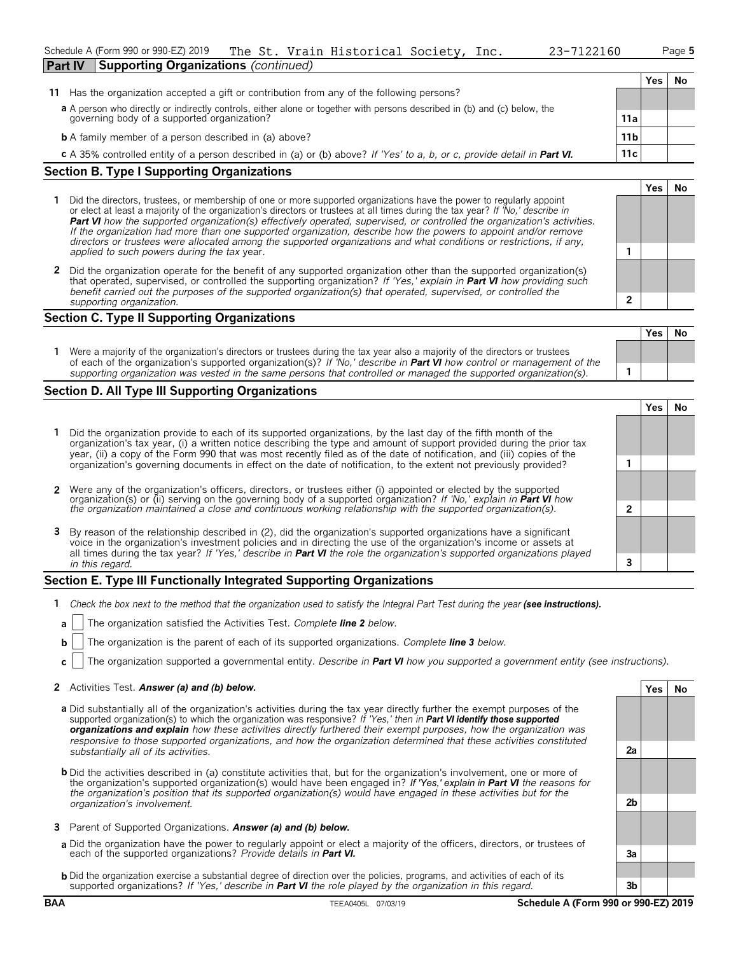Schedule A (Form 990 or 990-EZ) 2019 Page **5** The St. Vrain Historical Society, Inc. 23-7122160

### **Section B. Type I Supporting Organizations**

- **1** Did the directors, trustees, or membership of one or more supported organizations have the power to regularly appoint or elect at least a majority of the organization's directors or trustees at all times during the tax year? *If 'No,' describe in Part VI how the supported organization(s) effectively operated, supervised, or controlled the organization's activities. If the organization had more than one supported organization, describe how the powers to appoint and/or remove directors or trustees were allocated among the supported organizations and what conditions or restrictions, if any, applied to such powers during the tax* year. **1**
- **2** Did the organization operate for the benefit of any supported organization other than the supported organization(s) that operated, supervised, or controlled the supporting organization? *If 'Yes,' explain in Part VI how providing such benefit carried out the purposes of the supported organization(s) that operated, supervised, or controlled the supporting organization.* **2**

### **Section C. Type II Supporting Organizations**

|                                                                                                                                                                                                                                                               |  | . |  |
|---------------------------------------------------------------------------------------------------------------------------------------------------------------------------------------------------------------------------------------------------------------|--|---|--|
| Were a majority of the organization's directors or trustees during the tax year also a majority of the directors or trustees<br>of each of the organization's supported organization(s)? If 'No,' describe in <b>Part VI</b> how control or management of the |  |   |  |
| supporting organization was vested in the same persons that controlled or managed the supported organization(s).                                                                                                                                              |  |   |  |

### **Section D. All Type III Supporting Organizations**

**Yes No 1** Did the organization provide to each of its supported organizations, by the last day of the fifth month of the organization's tax year, (i) a written notice describing the type and amount of support provided during the prior tax year, (ii) a copy of the Form 990 that was most recently filed as of the date of notification, and (iii) copies of the organization's governing documents in effect on the date of notification, to the extent not previously provided? **1 2** Were any of the organization's officers, directors, or trustees either (i) appointed or elected by the supported organization(s) or (ii) serving on the governing body of a supported organization? *If 'No,' explain in Part VI how the organization maintained a close and continuous working relationship with the supported organization(s).* **2 3** By reason of the relationship described in (2), did the organization's supported organizations have a significant voice in the organization's investment policies and in directing the use of the organization's income or assets at all times during the tax year? *If 'Yes,' describe in Part VI the role the organization's supported organizations played in this regard.* **3**

### **Section E. Type III Functionally Integrated Supporting Organizations**

- **1** *Check the box next to the method that the organization used to satisfy the Integral Part Test during the year (see instructions).* 
	- **a** The organization satisfied the Activities Test. *Complete line 2 below.*
	- **b** The organization is the parent of each of its supported organizations. *Complete line 3 below.*
	- **c** The organization supported a governmental entity. *Describe in Part VI how you supported a government entity (see instructions).*

### **2** Activities Test. *Answer (a) and (b) below.* **Yes No**

- **a** Did substantially all of the organization's activities during the tax year directly further the exempt purposes of the supported organization(s) to which the organization was responsive? *If 'Yes,' then in Part VI identify those supported organizations and explain how these activities directly furthered their exempt purposes, how the organization was responsive to those supported organizations, and how the organization determined that these activities constituted substantially all of its activities.* **2a**
- **b** Did the activities described in (a) constitute activities that, but for the organization's involvement, one or more of the organization's supported organization(s) would have been engaged in? *If 'Yes,' explain in Part VI the reasons for the organization's position that its supported organization(s) would have engaged in these activities but for the organization's involvement.* **2b**
- **3** Parent of Supported Organizations. *Answer (a) and (b) below.*
- **a** Did the organization have the power to regularly appoint or elect a majority of the officers, directors, or trustees of each of the supported organizations? *Provide details in Part VI.* **3a**
- **b** Did the organization exercise a substantial degree of direction over the policies, programs, and activities of each of its supported organizations? *If 'Yes,' describe in Part VI the role played by the organization in this regard.* **3b**

**Yes No**

**Yes No**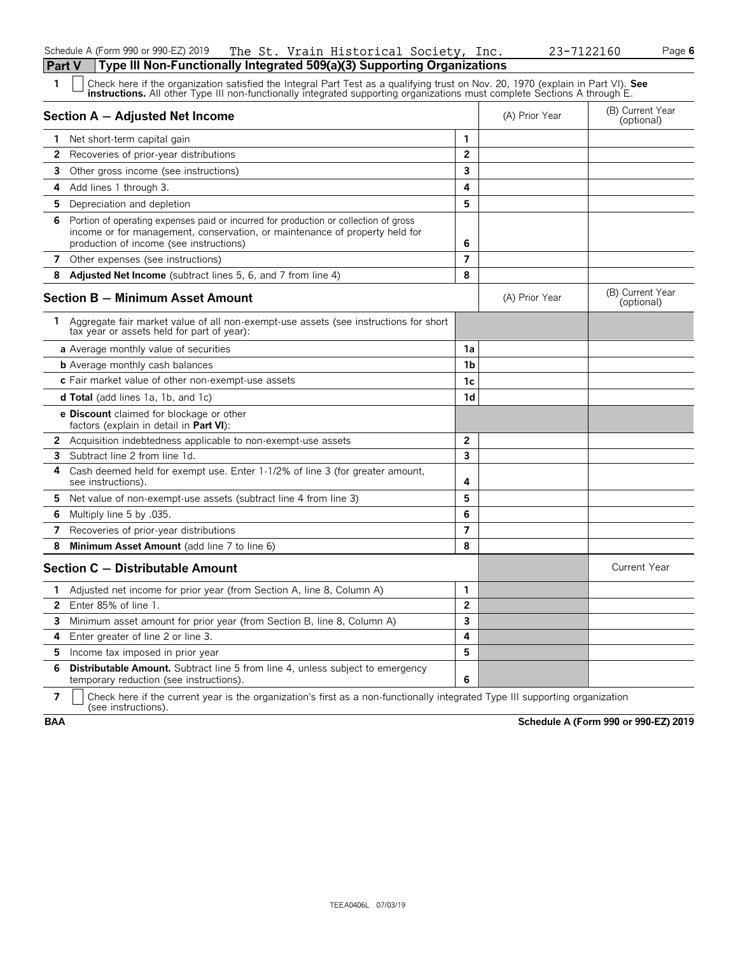| 1            | Check here if the organization satisfied the Integral Part Test as a qualifying trust on Nov. 20, 1970 (explain in Part VI). See<br><b>instructions.</b> All other Type III non-functionally integrated supporting organizations must complete Sections A through E. |                |                                |                                |
|--------------|----------------------------------------------------------------------------------------------------------------------------------------------------------------------------------------------------------------------------------------------------------------------|----------------|--------------------------------|--------------------------------|
|              | Section A - Adjusted Net Income                                                                                                                                                                                                                                      | (A) Prior Year | (B) Current Year<br>(optional) |                                |
| 1            | Net short-term capital gain                                                                                                                                                                                                                                          | 1              |                                |                                |
| $\mathbf{2}$ | Recoveries of prior-year distributions                                                                                                                                                                                                                               | $\overline{2}$ |                                |                                |
| 3            | Other gross income (see instructions)                                                                                                                                                                                                                                | 3              |                                |                                |
| 4            | Add lines 1 through 3.                                                                                                                                                                                                                                               | 4              |                                |                                |
| 5            | Depreciation and depletion                                                                                                                                                                                                                                           | 5              |                                |                                |
| 6            | Portion of operating expenses paid or incurred for production or collection of gross<br>income or for management, conservation, or maintenance of property held for<br>production of income (see instructions)                                                       | 6              |                                |                                |
|              | 7 Other expenses (see instructions)                                                                                                                                                                                                                                  | $\overline{7}$ |                                |                                |
| 8            | <b>Adjusted Net Income</b> (subtract lines 5, 6, and 7 from line 4)                                                                                                                                                                                                  | 8              |                                |                                |
|              | <b>Section B - Minimum Asset Amount</b>                                                                                                                                                                                                                              |                | (A) Prior Year                 | (B) Current Year<br>(optional) |
| 1.           | Aggregate fair market value of all non-exempt-use assets (see instructions for short<br>tax year or assets held for part of year):                                                                                                                                   |                |                                |                                |
|              | a Average monthly value of securities                                                                                                                                                                                                                                | 1a             |                                |                                |
|              | <b>b</b> Average monthly cash balances                                                                                                                                                                                                                               | 1 <sub>b</sub> |                                |                                |
|              | c Fair market value of other non-exempt-use assets                                                                                                                                                                                                                   | 1c             |                                |                                |
|              | <b>d Total</b> (add lines 1a, 1b, and 1c)                                                                                                                                                                                                                            | 1 <sub>d</sub> |                                |                                |
|              | <b>e Discount</b> claimed for blockage or other<br>factors (explain in detail in Part VI):                                                                                                                                                                           |                |                                |                                |
| $\mathbf{2}$ | Acquisition indebtedness applicable to non-exempt-use assets                                                                                                                                                                                                         | $\overline{2}$ |                                |                                |
|              | <b>3</b> Subtract line 2 from line 1d.                                                                                                                                                                                                                               | 3              |                                |                                |
| 4            | Cash deemed held for exempt use. Enter 1-1/2% of line 3 (for greater amount,<br>see instructions).                                                                                                                                                                   | 4              |                                |                                |
| 5            | Net value of non-exempt-use assets (subtract line 4 from line 3)                                                                                                                                                                                                     | 5              |                                |                                |
| 6.           | Multiply line 5 by .035.                                                                                                                                                                                                                                             | 6              |                                |                                |
| 7            | Recoveries of prior-year distributions                                                                                                                                                                                                                               | $\overline{7}$ |                                |                                |
| 8            | <b>Minimum Asset Amount</b> (add line 7 to line 6)                                                                                                                                                                                                                   | 8              |                                |                                |
|              | Section C - Distributable Amount                                                                                                                                                                                                                                     |                |                                | <b>Current Year</b>            |
| 1            | Adjusted net income for prior year (from Section A, line 8, Column A)                                                                                                                                                                                                | $\mathbf{1}$   |                                |                                |
|              | 2 Enter 85% of line 1.                                                                                                                                                                                                                                               | $\overline{2}$ |                                |                                |
|              | <b>3</b> Minimum asset amount for prior year (from Section B, line 8, Column A)                                                                                                                                                                                      | 3              |                                |                                |
| 4            | Enter greater of line 2 or line 3.                                                                                                                                                                                                                                   | 4              |                                |                                |
| 5            | Income tax imposed in prior year                                                                                                                                                                                                                                     | 5              |                                |                                |
| 6            | <b>Distributable Amount.</b> Subtract line 5 from line 4, unless subject to emergency<br>temporary reduction (see instructions).                                                                                                                                     | 6              |                                |                                |

**7**  $\mid$  Check here if the current year is the organization's first as a non-functionally integrated Type III supporting organization (see instructions).

**BAA Schedule A (Form 990 or 990-EZ) 2019**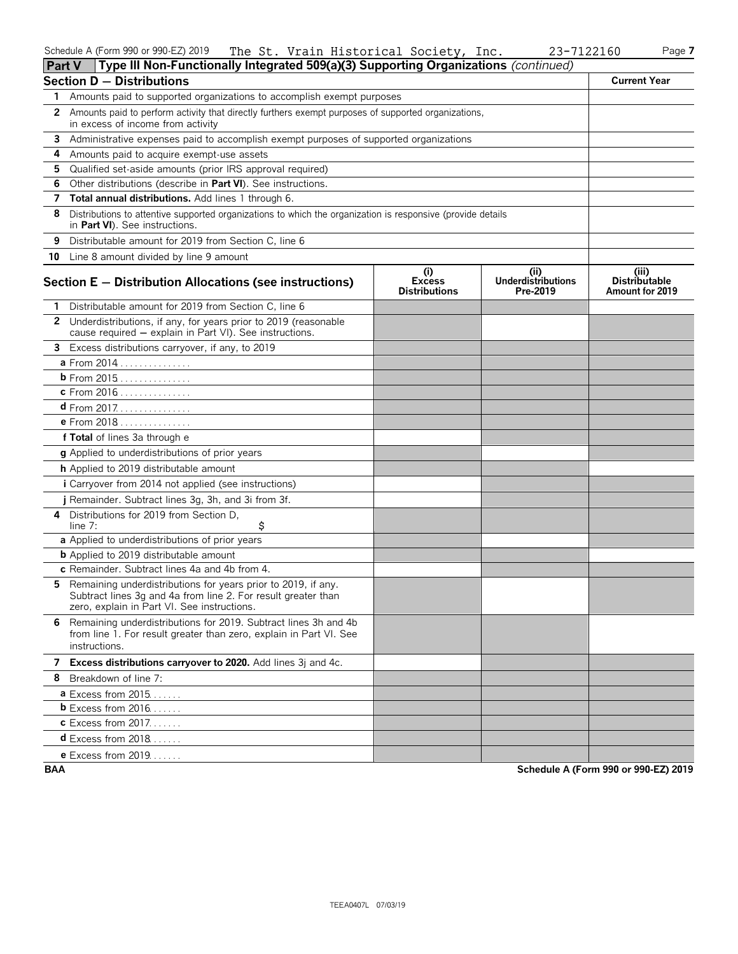| Schedule A (Form 990 or 990-EZ) 2019 |  | The St. Vrain Historical Society, Inc. |  |  | 23-7122160 | Page 7 |
|--------------------------------------|--|----------------------------------------|--|--|------------|--------|
|--------------------------------------|--|----------------------------------------|--|--|------------|--------|

| <b>Part V</b> | Type III Non-Functionally Integrated 509(a)(3) Supporting Organizations (continued)                                                                                           |                                              |                                               |                                                  |
|---------------|-------------------------------------------------------------------------------------------------------------------------------------------------------------------------------|----------------------------------------------|-----------------------------------------------|--------------------------------------------------|
|               | <b>Section D - Distributions</b>                                                                                                                                              |                                              |                                               | <b>Current Year</b>                              |
| 1.            | Amounts paid to supported organizations to accomplish exempt purposes                                                                                                         |                                              |                                               |                                                  |
| 2             | Amounts paid to perform activity that directly furthers exempt purposes of supported organizations,<br>in excess of income from activity                                      |                                              |                                               |                                                  |
| 3             | Administrative expenses paid to accomplish exempt purposes of supported organizations                                                                                         |                                              |                                               |                                                  |
| 4             | Amounts paid to acquire exempt-use assets                                                                                                                                     |                                              |                                               |                                                  |
| 5             | Qualified set-aside amounts (prior IRS approval required)                                                                                                                     |                                              |                                               |                                                  |
| 6             | Other distributions (describe in Part VI). See instructions.                                                                                                                  |                                              |                                               |                                                  |
| 7             | Total annual distributions. Add lines 1 through 6.                                                                                                                            |                                              |                                               |                                                  |
| 8             | Distributions to attentive supported organizations to which the organization is responsive (provide details<br>in Part VI). See instructions.                                 |                                              |                                               |                                                  |
| 9             | Distributable amount for 2019 from Section C, line 6                                                                                                                          |                                              |                                               |                                                  |
|               | 10 Line 8 amount divided by line 9 amount                                                                                                                                     |                                              |                                               |                                                  |
|               | Section $E -$ Distribution Allocations (see instructions)                                                                                                                     | (i)<br><b>Excess</b><br><b>Distributions</b> | (ii)<br><b>Underdistributions</b><br>Pre-2019 | (iii)<br><b>Distributable</b><br>Amount for 2019 |
| 1.            | Distributable amount for 2019 from Section C, line 6                                                                                                                          |                                              |                                               |                                                  |
|               | 2 Underdistributions, if any, for years prior to 2019 (reasonable<br>cause required - explain in Part VI). See instructions.                                                  |                                              |                                               |                                                  |
|               | 3 Excess distributions carryover, if any, to 2019                                                                                                                             |                                              |                                               |                                                  |
|               | a From 2014                                                                                                                                                                   |                                              |                                               |                                                  |
|               | <b>b</b> From 2015                                                                                                                                                            |                                              |                                               |                                                  |
|               | c From 2016                                                                                                                                                                   |                                              |                                               |                                                  |
|               | <b>d</b> From 2017.                                                                                                                                                           |                                              |                                               |                                                  |
|               | <b>e</b> From 2018                                                                                                                                                            |                                              |                                               |                                                  |
|               | f Total of lines 3a through e                                                                                                                                                 |                                              |                                               |                                                  |
|               | g Applied to underdistributions of prior years                                                                                                                                |                                              |                                               |                                                  |
|               | h Applied to 2019 distributable amount                                                                                                                                        |                                              |                                               |                                                  |
|               | i Carryover from 2014 not applied (see instructions)                                                                                                                          |                                              |                                               |                                                  |
|               | j Remainder. Subtract lines 3g, 3h, and 3i from 3f.                                                                                                                           |                                              |                                               |                                                  |
| 4             | Distributions for 2019 from Section D.<br>\$<br>line 7:                                                                                                                       |                                              |                                               |                                                  |
|               | a Applied to underdistributions of prior years                                                                                                                                |                                              |                                               |                                                  |
|               | <b>b</b> Applied to 2019 distributable amount                                                                                                                                 |                                              |                                               |                                                  |
|               | c Remainder. Subtract lines 4a and 4b from 4.                                                                                                                                 |                                              |                                               |                                                  |
| 5.            | Remaining underdistributions for years prior to 2019, if any.<br>Subtract lines 3g and 4a from line 2. For result greater than<br>zero, explain in Part VI. See instructions. |                                              |                                               |                                                  |
|               | 6 Remaining underdistributions for 2019. Subtract lines 3h and 4b<br>from line 1. For result greater than zero, explain in Part VI. See<br>instructions.                      |                                              |                                               |                                                  |
|               | 7 Excess distributions carryover to 2020. Add lines 3j and 4c.                                                                                                                |                                              |                                               |                                                  |
|               | 8 Breakdown of line 7:                                                                                                                                                        |                                              |                                               |                                                  |
|               | $a$ Excess from 2015                                                                                                                                                          |                                              |                                               |                                                  |
|               | $b$ Excess from 2016                                                                                                                                                          |                                              |                                               |                                                  |
|               | <b>c</b> Excess from 2017.                                                                                                                                                    |                                              |                                               |                                                  |
|               | $d$ Excess from 2018                                                                                                                                                          |                                              |                                               |                                                  |
|               | <b>e</b> Excess from 2019.                                                                                                                                                    |                                              |                                               |                                                  |

**BAA** Schedule A (Form 990 or 990-EZ) 2019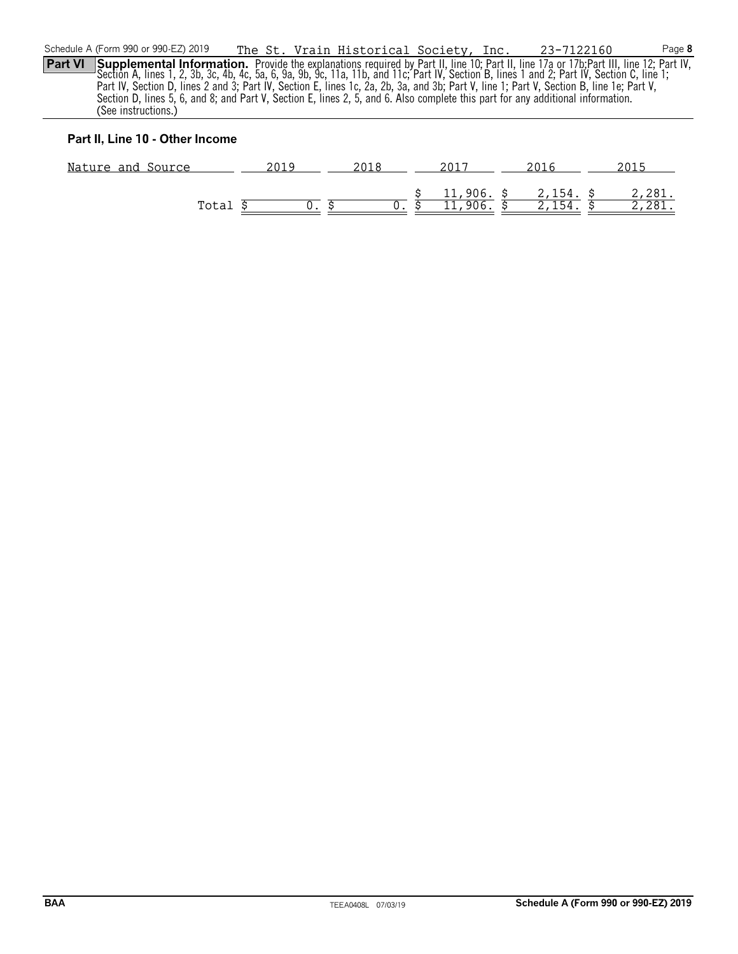**Part VI** Supplemental Information. Provide the explanations required by Part II, line 10; Part II, line 17a or 17b; Part III, line 12; Part IV, Section A, lines 1, 2, 3b, 3c, 4b, 4c, 5a, 6, 9a, 9b, 9c, 11a, 11b, and 11c; Part IV, Section B, lines 1 and 2; Part IV, Section C, line 1; Part IV, Section D, lines 2 and 3; Part IV, Section E, lines 1c, 2a, 2b, 3a, and 3b; Part V, line 1; Part V, Section B, line 1e; Part V, Section D, lines 5, 6, and 8; and Part V, Section E, lines 2, 5, and 6. Also complete this part for any additional information. (See instructions.)

### **Part II, Line 10 - Other Income**

| Nature and Source |  |                     |                 |                         |
|-------------------|--|---------------------|-----------------|-------------------------|
| Total             |  | $11,906.$ \$<br>906 | 2,154. S<br>151 | 2,281.<br>701<br>2,201. |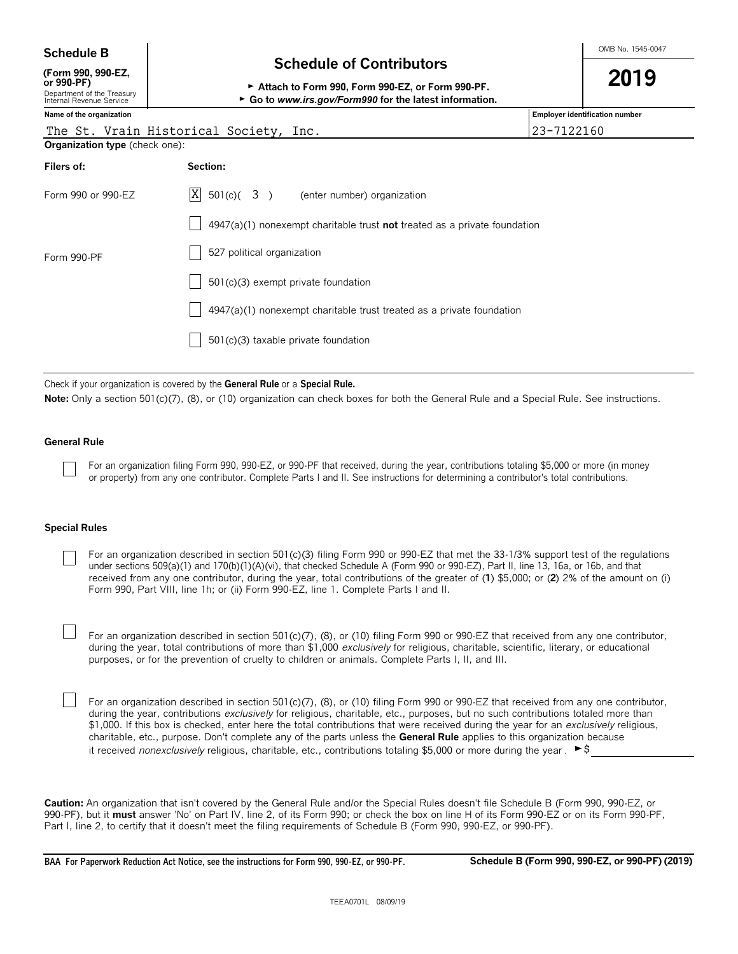| <b>Schedule B</b>                                                                          |                                                                                                                                                | OMB No. 1545-0047                     |
|--------------------------------------------------------------------------------------------|------------------------------------------------------------------------------------------------------------------------------------------------|---------------------------------------|
| (Form 990, 990-EZ,<br>or 990-PF)<br>Department of the Treasury<br>Internal Revenue Service | <b>Schedule of Contributors</b><br>Attach to Form 990, Form 990-EZ, or Form 990-PF.<br>► Go to www.irs.gov/Form990 for the latest information. | 2019                                  |
| Name of the organization                                                                   |                                                                                                                                                | <b>Employer identification number</b> |
|                                                                                            | The St. Vrain Historical Society, Inc.                                                                                                         | 23-7122160                            |
| Organization type (check one):                                                             |                                                                                                                                                |                                       |
| Filers of:                                                                                 | Section:                                                                                                                                       |                                       |
| Form 990 or 990-EZ                                                                         | X<br>$501(c)$ $(3)$ (enter number) organization                                                                                                |                                       |
|                                                                                            | $4947(a)(1)$ nonexempt charitable trust not treated as a private foundation                                                                    |                                       |
| Form 990-PF                                                                                | 527 political organization                                                                                                                     |                                       |
|                                                                                            | 501(c)(3) exempt private foundation                                                                                                            |                                       |
|                                                                                            | 4947(a)(1) nonexempt charitable trust treated as a private foundation                                                                          |                                       |
|                                                                                            | 501(c)(3) taxable private foundation                                                                                                           |                                       |
|                                                                                            |                                                                                                                                                |                                       |

Check if your organization is covered by the **General Rule** or a **Special Rule.**

Note: Only a section 501(c)(7), (8), or (10) organization can check boxes for both the General Rule and a Special Rule. See instructions.

### **General Rule**

For an organization filing Form 990, 990-EZ, or 990-PF that received, during the year, contributions totaling \$5,000 or more (in money or property) from any one contributor. Complete Parts I and II. See instructions for determining a contributor's total contributions.

### **Special Rules**

For an organization described in section 501(c)(3) filing Form 990 or 990-EZ that met the 33-1/3% support test of the regulations under sections 509(a)(1) and 170(b)(1)(A)(vi), that checked Schedule A (Form 990 or 990-EZ), Part II, line 13, 16a, or 16b, and that received from any one contributor, during the year, total contributions of the greater of (**1**) \$5,000; or (**2**) 2% of the amount on (i) Form 990, Part VIII, line 1h; or (ii) Form 990-EZ, line 1. Complete Parts I and II.

For an organization described in section 501(c)(7), (8), or (10) filing Form 990 or 990-EZ that received from any one contributor, during the year, total contributions of more than \$1,000 *exclusively* for religious, charitable, scientific, literary, or educational purposes, or for the prevention of cruelty to children or animals. Complete Parts I, II, and III.

For an organization described in section 501(c)(7), (8), or (10) filing Form 990 or 990-EZ that received from any one contributor, during the year, contributions *exclusively* for religious, charitable, etc., purposes, but no such contributions totaled more than \$1,000. If this box is checked, enter here the total contributions that were received during the year for an *exclusively* religious, charitable, etc., purpose. Don't complete any of the parts unless the **General Rule** applies to this organization because it received *nonexclusively* religious, charitable, etc., contributions totaling \$5,000 or more during the year . ►\$

**Caution:** An organization that isn't covered by the General Rule and/or the Special Rules doesn't file Schedule B (Form 990, 990-EZ, or 990-PF), but it **must** answer 'No' on Part IV, line 2, of its Form 990; or check the box on line H of its Form 990-EZ or on its Form 990-PF, Part I, line 2, to certify that it doesn't meet the filing requirements of Schedule B (Form 990, 990-EZ, or 990-PF).

**BAA For Paperwork Reduction Act Notice, see the instructions for Form 990, 990-EZ, or 990-PF. Schedule B (Form 990, 990-EZ, or 990-PF) (2019)**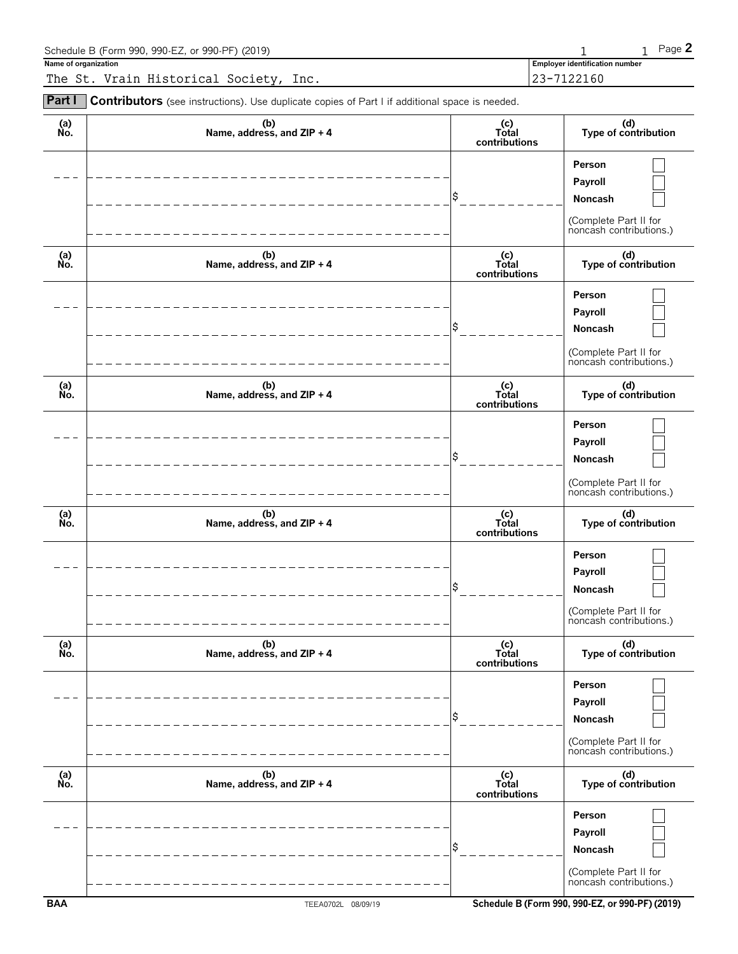| Schedule B (Form 990, 990-EZ, or 990-PF) (2019)                                                              |                                       | Page 2 |
|--------------------------------------------------------------------------------------------------------------|---------------------------------------|--------|
| Name of organization                                                                                         | <b>Employer identification number</b> |        |
| The St. Vrain Historical Society, Inc.                                                                       | $123 - 7122160$                       |        |
| <b>Part I</b> Contributors (see instructions). Use duplicate copies of Part I if additional space is needed. |                                       |        |

| (a)<br>No. | (b)<br>Name, address, and ZIP + 4 | (c)<br>Total<br>contributions | (d)<br>Type of contribution                                                      |
|------------|-----------------------------------|-------------------------------|----------------------------------------------------------------------------------|
|            |                                   |                               | Person<br>Payroll<br>Noncash<br>(Complete Part II for                            |
|            |                                   |                               | noncash contributions.)                                                          |
| (a)<br>No. | (b)<br>Name, address, and ZIP + 4 | (c)<br>Total<br>contributions | (d)<br>Type of contribution                                                      |
|            |                                   |                               | Person<br>Payroll<br>Noncash<br>(Complete Part II for<br>noncash contributions.) |
| (a)<br>No. | (b)<br>Name, address, and ZIP + 4 | (c)<br>Total<br>contributions | (d)<br>Type of contribution                                                      |
|            |                                   |                               | Person<br>Payroll<br>Noncash<br>(Complete Part II for                            |
|            |                                   |                               | noncash contributions.)                                                          |
| (a)<br>No. | (b)<br>Name, address, and ZIP + 4 | (c)<br>Total<br>contributions | (d)<br>Type of contribution                                                      |
|            |                                   |                               | Person<br>Payroll<br>Noncash<br>(Complete Part II for<br>noncash contributions.) |
| (a)<br>Ňó. | (b)<br>Name, address, and ZIP + 4 | (c)<br>Total<br>contributions | (d)<br>Type of contribution                                                      |
|            |                                   | S                             | Person<br>Payroll<br>Noncash<br>(Complete Part II for<br>noncash contributions.) |
| (a)<br>No. | (b)<br>Name, address, and ZIP + 4 | (c)<br>Total<br>contributions | (d)<br>Type of contribution                                                      |
|            |                                   |                               | Person<br>Payroll                                                                |
|            |                                   |                               | Noncash<br>(Complete Part II for<br>noncash contributions.)                      |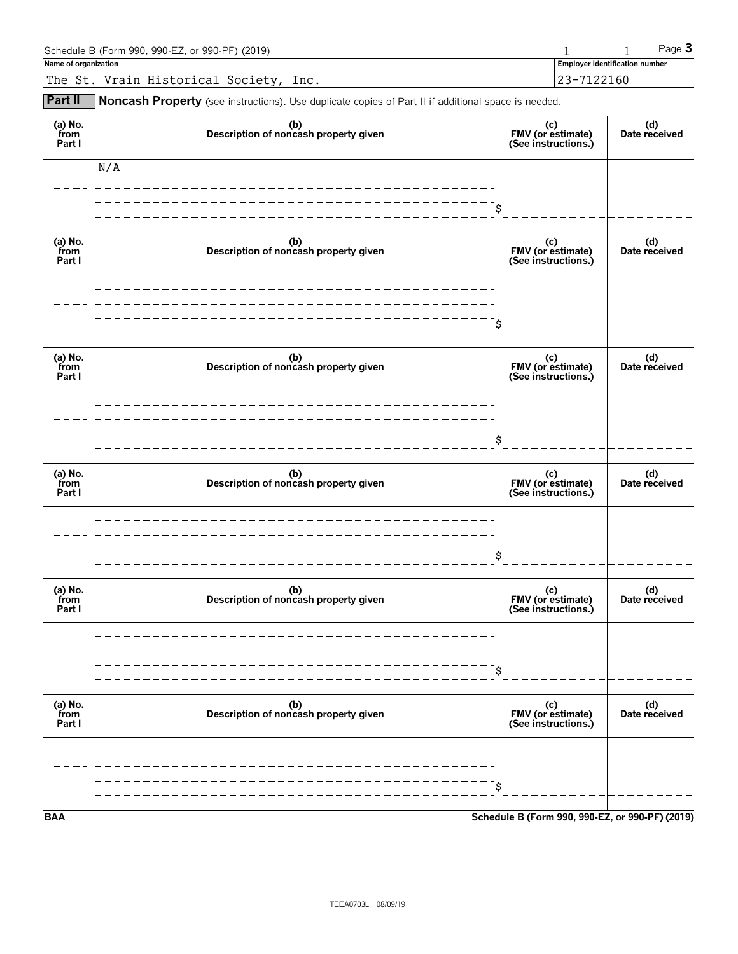| Schedule B (Form 990, 990-EZ, or 990-PF) (2019) |                                | $P$ ade 3 |
|-------------------------------------------------|--------------------------------|-----------|
| Name of organization                            | Employer identification number |           |
| The St. Vrain Historical Society, Inc.          | 23-7122160                     |           |

**Part II** Noncash Property (see instructions). Use duplicate copies of Part II if additional space is needed.

| (a) No.<br>from<br>Part I | (b)<br>Description of noncash property given | (c)<br>FMV (or estimate)<br>(See instructions.) | (d)<br>Date received |
|---------------------------|----------------------------------------------|-------------------------------------------------|----------------------|
|                           | N/A                                          |                                                 |                      |
|                           |                                              | \$                                              |                      |
| (a) No.<br>from<br>Part I | (b)<br>Description of noncash property given | (c)<br>FMV (or estimate)<br>(See instructions.) | (d)<br>Date received |
|                           |                                              |                                                 |                      |
|                           |                                              | \$                                              |                      |
| (a) No.<br>from<br>Part I | (b)<br>Description of noncash property given | (c)<br>FMV (or estimate)<br>(See instructions.) | (d)<br>Date received |
|                           |                                              |                                                 |                      |
|                           |                                              | \$                                              |                      |
| (a) No.<br>from<br>Part I | (b)<br>Description of noncash property given | (c)<br>FMV (or estimate)<br>(See instructions.) | (d)<br>Date received |
|                           |                                              |                                                 |                      |
|                           |                                              | \$                                              |                      |
| (a) No.<br>from<br>Part I | (b)<br>Description of noncash property given | (c)<br>FMV (or estimate)<br>(See instructions.) | (d)<br>Date received |
|                           |                                              |                                                 |                      |
|                           |                                              | \$                                              |                      |
| (a) No.<br>from<br>Part I | (b)<br>Description of noncash property given | (c)<br>FMV (or estimate)<br>(See instructions.) | (d)<br>Date received |
|                           |                                              |                                                 |                      |
|                           |                                              | \$                                              |                      |
|                           |                                              |                                                 |                      |

**BAA Schedule B (Form 990, 990-EZ, or 990-PF) (2019)**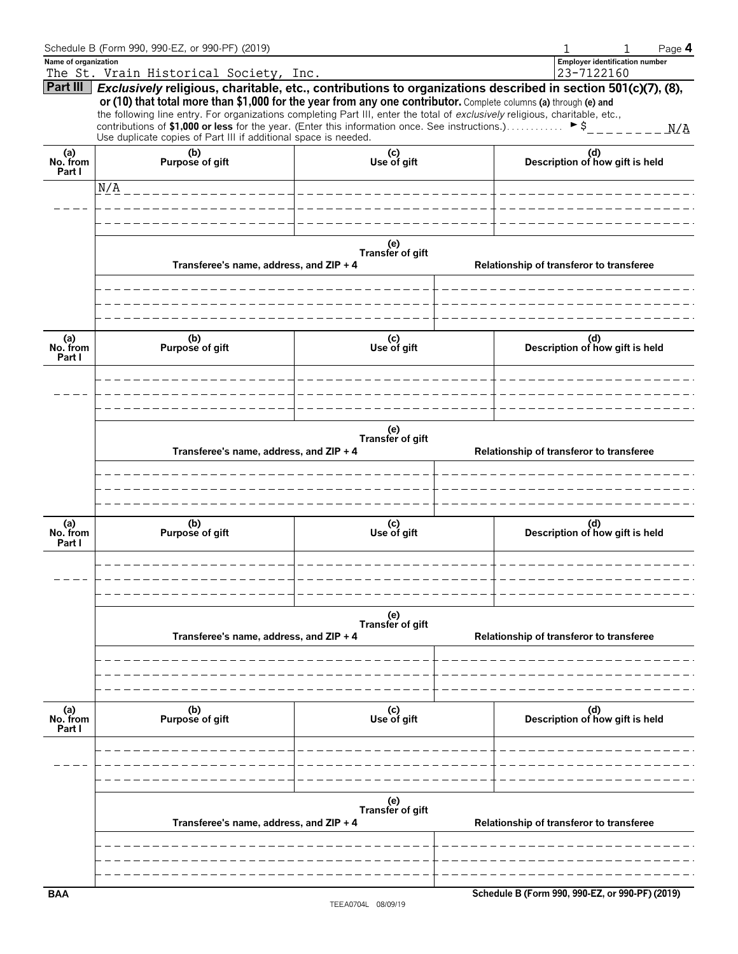|                           | Schedule B (Form 990, 990-EZ, or 990-PF) (2019)                                                                                                                                                                                                                                                                                                                                                            |                         |                                          | Page 4                                          |  |  |  |  |  |  |  |
|---------------------------|------------------------------------------------------------------------------------------------------------------------------------------------------------------------------------------------------------------------------------------------------------------------------------------------------------------------------------------------------------------------------------------------------------|-------------------------|------------------------------------------|-------------------------------------------------|--|--|--|--|--|--|--|
| Name of organization      |                                                                                                                                                                                                                                                                                                                                                                                                            |                         |                                          | <b>Employer identification number</b>           |  |  |  |  |  |  |  |
| Part III                  | The St. Vrain Historical Society, Inc.<br>Exclusively religious, charitable, etc., contributions to organizations described in section 501(c)(7), (8),<br>or (10) that total more than \$1,000 for the year from any one contributor. Complete columns (a) through (e) and<br>the following line entry. For organizations completing Part III, enter the total of exclusively religious, charitable, etc., |                         |                                          | 23-7122160                                      |  |  |  |  |  |  |  |
|                           | contributions of \$1,000 or less for the year. (Enter this information once. See instructions.) $\triangleright$ \$<br>Use duplicate copies of Part III if additional space is needed.                                                                                                                                                                                                                     |                         |                                          |                                                 |  |  |  |  |  |  |  |
| (a)<br>No. from<br>Part I | (b)<br>Purpose of gift                                                                                                                                                                                                                                                                                                                                                                                     | (c)<br>Use of gift      |                                          | (d)<br>Description of how gift is held          |  |  |  |  |  |  |  |
|                           | N/A<br>_________________                                                                                                                                                                                                                                                                                                                                                                                   | _____________________   |                                          |                                                 |  |  |  |  |  |  |  |
|                           |                                                                                                                                                                                                                                                                                                                                                                                                            |                         |                                          |                                                 |  |  |  |  |  |  |  |
|                           |                                                                                                                                                                                                                                                                                                                                                                                                            |                         |                                          |                                                 |  |  |  |  |  |  |  |
|                           | Transferee's name, address, and ZIP + 4                                                                                                                                                                                                                                                                                                                                                                    | (e)<br>Transfer of gift |                                          | Relationship of transferor to transferee        |  |  |  |  |  |  |  |
|                           |                                                                                                                                                                                                                                                                                                                                                                                                            |                         |                                          |                                                 |  |  |  |  |  |  |  |
| (a)<br>No. from           | (b)<br>Purpose of gift                                                                                                                                                                                                                                                                                                                                                                                     | (c)<br>Use of gift      |                                          | (d)<br>Description of how gift is held          |  |  |  |  |  |  |  |
| Part I                    |                                                                                                                                                                                                                                                                                                                                                                                                            |                         |                                          |                                                 |  |  |  |  |  |  |  |
|                           |                                                                                                                                                                                                                                                                                                                                                                                                            |                         |                                          |                                                 |  |  |  |  |  |  |  |
|                           | Transferee's name, address, and ZIP + 4                                                                                                                                                                                                                                                                                                                                                                    |                         | Relationship of transferor to transferee |                                                 |  |  |  |  |  |  |  |
|                           |                                                                                                                                                                                                                                                                                                                                                                                                            |                         |                                          |                                                 |  |  |  |  |  |  |  |
| (a)<br>No. from<br>Part I | (b)<br>Purpose of gift                                                                                                                                                                                                                                                                                                                                                                                     | (c)<br>Use of gift      |                                          | (d)<br>Description of how gift is held          |  |  |  |  |  |  |  |
|                           |                                                                                                                                                                                                                                                                                                                                                                                                            |                         |                                          |                                                 |  |  |  |  |  |  |  |
|                           | Transferee's name, address, and ZIP + 4                                                                                                                                                                                                                                                                                                                                                                    | (e)<br>Transfer of gift | Relationship of transferor to transferee |                                                 |  |  |  |  |  |  |  |
|                           |                                                                                                                                                                                                                                                                                                                                                                                                            |                         |                                          |                                                 |  |  |  |  |  |  |  |
|                           |                                                                                                                                                                                                                                                                                                                                                                                                            |                         |                                          |                                                 |  |  |  |  |  |  |  |
| (a)<br>No. from<br>Part I | (b)<br>Purpose of gift                                                                                                                                                                                                                                                                                                                                                                                     | (c)<br>Use of gift      |                                          | (d)<br>Description of how gift is held          |  |  |  |  |  |  |  |
|                           |                                                                                                                                                                                                                                                                                                                                                                                                            |                         |                                          |                                                 |  |  |  |  |  |  |  |
|                           |                                                                                                                                                                                                                                                                                                                                                                                                            |                         |                                          |                                                 |  |  |  |  |  |  |  |
|                           |                                                                                                                                                                                                                                                                                                                                                                                                            |                         |                                          |                                                 |  |  |  |  |  |  |  |
|                           | Transferee's name, address, and ZIP + 4                                                                                                                                                                                                                                                                                                                                                                    | (e)<br>Transfer of gift | Relationship of transferor to transferee |                                                 |  |  |  |  |  |  |  |
|                           |                                                                                                                                                                                                                                                                                                                                                                                                            |                         |                                          |                                                 |  |  |  |  |  |  |  |
|                           |                                                                                                                                                                                                                                                                                                                                                                                                            |                         |                                          |                                                 |  |  |  |  |  |  |  |
| <b>BAA</b>                |                                                                                                                                                                                                                                                                                                                                                                                                            |                         |                                          | Schedule B (Form 990, 990-EZ, or 990-PF) (2019) |  |  |  |  |  |  |  |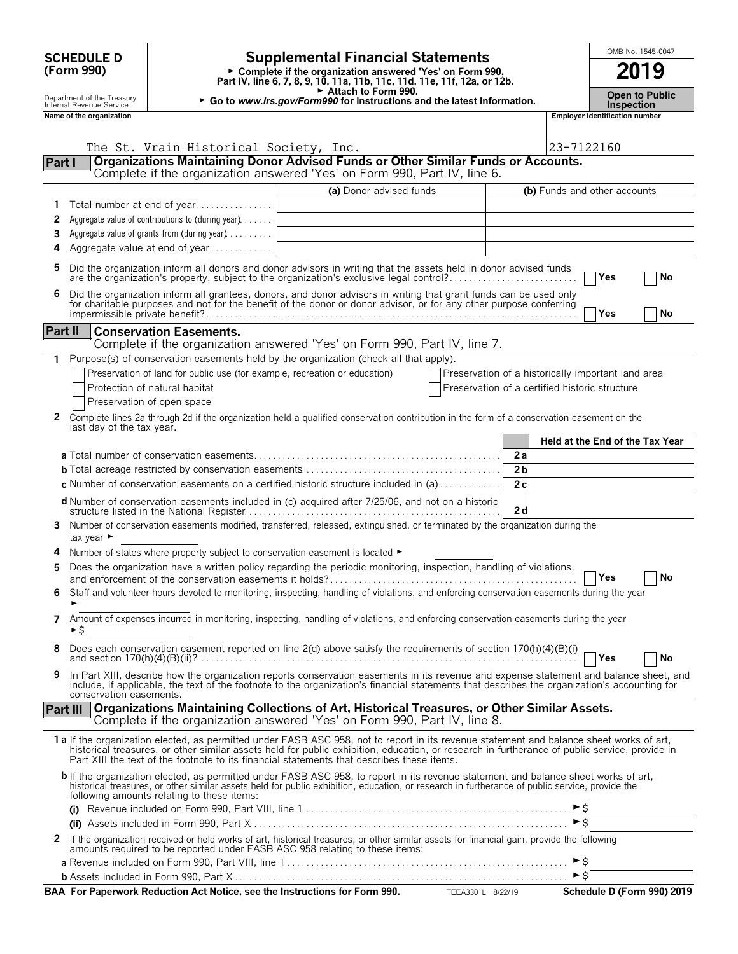|         | <b>SCHEDULE D</b>                                      |                                                                               | <b>Supplemental Financial Statements</b>                                                                                                                                                                                                                                                                                                                                               |                                                    |                     | OMB No. 1545-0047                          |    |
|---------|--------------------------------------------------------|-------------------------------------------------------------------------------|----------------------------------------------------------------------------------------------------------------------------------------------------------------------------------------------------------------------------------------------------------------------------------------------------------------------------------------------------------------------------------------|----------------------------------------------------|---------------------|--------------------------------------------|----|
|         | (Form 990)                                             |                                                                               | Complete if the organization answered 'Yes' on Form 990,<br>Part IV, line 6, 7, 8, 9, 10, 11a, 11b, 11c, 11d, 11e, 11f, 12a, or 12b.                                                                                                                                                                                                                                                   |                                                    |                     | 2019                                       |    |
|         | Department of the Treasury<br>Internal Revenue Service |                                                                               | Attach to Form 990.<br>► Go to www.irs.gov/Form990 for instructions and the latest information.                                                                                                                                                                                                                                                                                        |                                                    |                     | <b>Open to Public</b><br><b>Inspection</b> |    |
|         | Name of the organization                               |                                                                               |                                                                                                                                                                                                                                                                                                                                                                                        |                                                    |                     | <b>Employer identification number</b>      |    |
|         |                                                        |                                                                               |                                                                                                                                                                                                                                                                                                                                                                                        |                                                    |                     |                                            |    |
|         |                                                        | The St. Vrain Historical Society, Inc.                                        |                                                                                                                                                                                                                                                                                                                                                                                        |                                                    | 23-7122160          |                                            |    |
| Part I  |                                                        |                                                                               | Organizations Maintaining Donor Advised Funds or Other Similar Funds or Accounts.<br>Complete if the organization answered 'Yes' on Form 990, Part IV, line 6.                                                                                                                                                                                                                         |                                                    |                     |                                            |    |
|         |                                                        |                                                                               | (a) Donor advised funds                                                                                                                                                                                                                                                                                                                                                                |                                                    |                     | (b) Funds and other accounts               |    |
|         |                                                        | Total number at end of year                                                   |                                                                                                                                                                                                                                                                                                                                                                                        |                                                    |                     |                                            |    |
| 2       | Aggregate value of contributions to (during year)      |                                                                               |                                                                                                                                                                                                                                                                                                                                                                                        |                                                    |                     |                                            |    |
| 3       | Aggregate value of grants from (during year)           |                                                                               |                                                                                                                                                                                                                                                                                                                                                                                        |                                                    |                     |                                            |    |
| 4       |                                                        | Aggregate value at end of year                                                |                                                                                                                                                                                                                                                                                                                                                                                        |                                                    |                     |                                            |    |
| 5       |                                                        |                                                                               | Did the organization inform all donors and donor advisors in writing that the assets held in donor advised funds<br>are the organization's property, subject to the organization's exclusive legal control?                                                                                                                                                                            |                                                    |                     | ∣Yes                                       | No |
| 6       |                                                        |                                                                               | Did the organization inform all grantees, donors, and donor advisors in writing that grant funds can be used only<br>for charitable purposes and not for the benefit of the donor or donor advisor, or for any other purpose conferring                                                                                                                                                |                                                    |                     |                                            |    |
|         |                                                        |                                                                               |                                                                                                                                                                                                                                                                                                                                                                                        |                                                    |                     | Yes                                        | No |
| Part II |                                                        | <b>Conservation Easements.</b>                                                |                                                                                                                                                                                                                                                                                                                                                                                        |                                                    |                     |                                            |    |
|         |                                                        |                                                                               | Complete if the organization answered 'Yes' on Form 990, Part IV, line 7.<br>Purpose(s) of conservation easements held by the organization (check all that apply).                                                                                                                                                                                                                     |                                                    |                     |                                            |    |
| 1.      |                                                        | Preservation of land for public use (for example, recreation or education)    |                                                                                                                                                                                                                                                                                                                                                                                        | Preservation of a historically important land area |                     |                                            |    |
|         |                                                        | Protection of natural habitat                                                 |                                                                                                                                                                                                                                                                                                                                                                                        | Preservation of a certified historic structure     |                     |                                            |    |
|         |                                                        | Preservation of open space                                                    |                                                                                                                                                                                                                                                                                                                                                                                        |                                                    |                     |                                            |    |
| 2       | last day of the tax year.                              |                                                                               | Complete lines 2a through 2d if the organization held a qualified conservation contribution in the form of a conservation easement on the                                                                                                                                                                                                                                              |                                                    |                     |                                            |    |
|         |                                                        |                                                                               |                                                                                                                                                                                                                                                                                                                                                                                        |                                                    |                     | Held at the End of the Tax Year            |    |
|         |                                                        |                                                                               |                                                                                                                                                                                                                                                                                                                                                                                        | 2a<br>2 <sub>b</sub>                               |                     |                                            |    |
|         |                                                        |                                                                               | <b>c</b> Number of conservation easements on a certified historic structure included in (a)                                                                                                                                                                                                                                                                                            | 2c                                                 |                     |                                            |    |
|         |                                                        |                                                                               | d Number of conservation easements included in (c) acquired after 7/25/06, and not on a historic                                                                                                                                                                                                                                                                                       |                                                    |                     |                                            |    |
|         |                                                        |                                                                               |                                                                                                                                                                                                                                                                                                                                                                                        | 2d                                                 |                     |                                            |    |
| 3       | tax year $\blacktriangleright$                         |                                                                               | Number of conservation easements modified, transferred, released, extinguished, or terminated by the organization during the                                                                                                                                                                                                                                                           |                                                    |                     |                                            |    |
|         |                                                        | Number of states where property subject to conservation easement is located ► |                                                                                                                                                                                                                                                                                                                                                                                        |                                                    |                     |                                            |    |
|         |                                                        |                                                                               | Does the organization have a written policy regarding the periodic monitoring, inspection, handling of violations,                                                                                                                                                                                                                                                                     |                                                    |                     | Yes                                        | No |
| 6       |                                                        |                                                                               | Staff and volunteer hours devoted to monitoring, inspecting, handling of violations, and enforcing conservation easements during the year                                                                                                                                                                                                                                              |                                                    |                     |                                            |    |
| 7       | ►\$                                                    |                                                                               | Amount of expenses incurred in monitoring, inspecting, handling of violations, and enforcing conservation easements during the year                                                                                                                                                                                                                                                    |                                                    |                     |                                            |    |
| 8       |                                                        |                                                                               | Does each conservation easement reported on line 2(d) above satisfy the requirements of section 170(h)(4)(B)(i)                                                                                                                                                                                                                                                                        |                                                    |                     | Yes                                        | No |
| 9       | conservation easements.                                |                                                                               | In Part XIII, describe how the organization reports conservation easements in its revenue and expense statement and balance sheet, and<br>include, if applicable, the text of the footnote to the organization's financial statements that describes the organization's accounting for                                                                                                 |                                                    |                     |                                            |    |
|         | <b>Part III</b>                                        |                                                                               | Organizations Maintaining Collections of Art, Historical Treasures, or Other Similar Assets.<br>Complete if the organization answered 'Yes' on Form 990, Part IV, line 8.                                                                                                                                                                                                              |                                                    |                     |                                            |    |
|         |                                                        |                                                                               | 1a If the organization elected, as permitted under FASB ASC 958, not to report in its revenue statement and balance sheet works of art,<br>historical treasures, or other similar assets held for public exhibition, education, or research in furtherance of public service, provide in<br>Part XIII the text of the footnote to its financial statements that describes these items. |                                                    |                     |                                            |    |
|         |                                                        | following amounts relating to these items:                                    | b If the organization elected, as permitted under FASB ASC 958, to report in its revenue statement and balance sheet works of art,<br>historical treasures, or other similar assets held for public exhibition, education, or research in furtherance of public service, provide the                                                                                                   |                                                    |                     |                                            |    |
|         |                                                        |                                                                               |                                                                                                                                                                                                                                                                                                                                                                                        |                                                    |                     |                                            |    |
|         |                                                        |                                                                               |                                                                                                                                                                                                                                                                                                                                                                                        |                                                    | $\triangleright$ \$ |                                            |    |
| 2       |                                                        |                                                                               | If the organization received or held works of art, historical treasures, or other similar assets for financial gain, provide the following<br>amounts required to be reported under FASB ASC 958 relating to these items:                                                                                                                                                              |                                                    | $\triangleright$ \$ |                                            |    |
|         |                                                        |                                                                               |                                                                                                                                                                                                                                                                                                                                                                                        |                                                    | $\triangleright$ \$ |                                            |    |
|         |                                                        |                                                                               | BAA For Paperwork Reduction Act Notice, see the Instructions for Form 990. TEEA3301L 8/22/19                                                                                                                                                                                                                                                                                           |                                                    |                     | Schedule D (Form 990) 2019                 |    |
|         |                                                        |                                                                               |                                                                                                                                                                                                                                                                                                                                                                                        |                                                    |                     |                                            |    |

| BAA  For Paperwork Reduction Act Notice, see the Instructions for Form 99 |  |  |  |
|---------------------------------------------------------------------------|--|--|--|
|---------------------------------------------------------------------------|--|--|--|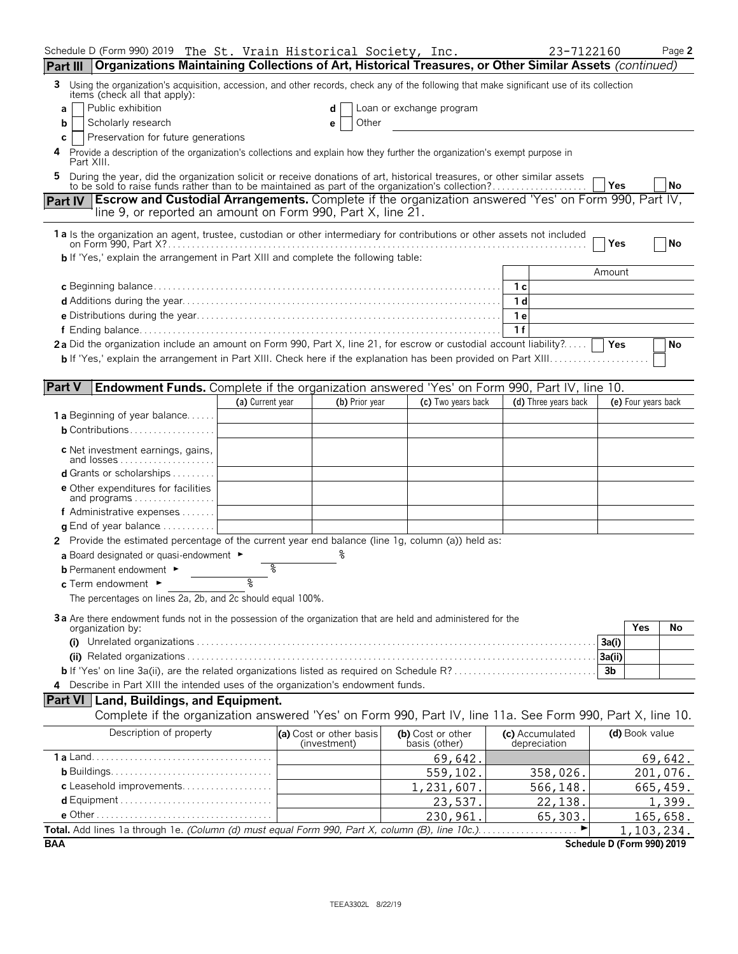| Schedule D (Form 990) 2019 The St. Vrain Historical Society, Inc.                                                                                                                                                         |                  |                                         |                                    | 23-7122160                      |                            | Page 2             |
|---------------------------------------------------------------------------------------------------------------------------------------------------------------------------------------------------------------------------|------------------|-----------------------------------------|------------------------------------|---------------------------------|----------------------------|--------------------|
| Organizations Maintaining Collections of Art, Historical Treasures, or Other Similar Assets (continued)<br>Part III                                                                                                       |                  |                                         |                                    |                                 |                            |                    |
| Using the organization's acquisition, accession, and other records, check any of the following that make significant use of its collection<br>3.<br>items (check all that apply):                                         |                  |                                         |                                    |                                 |                            |                    |
| Public exhibition<br>a                                                                                                                                                                                                    |                  | d                                       | Loan or exchange program           |                                 |                            |                    |
| Scholarly research<br>b                                                                                                                                                                                                   |                  | Other<br>е                              |                                    |                                 |                            |                    |
| Preservation for future generations<br>С<br>Provide a description of the organization's collections and explain how they further the organization's exempt purpose in<br>4<br>Part XIII.                                  |                  |                                         |                                    |                                 |                            |                    |
| During the year, did the organization solicit or receive donations of art, historical treasures, or other similar assets to be sold to raise funds rather than to be maintained as part of the organization's collection? |                  |                                         |                                    |                                 | Yes                        | No                 |
| Part IV Escrow and Custodial Arrangements. Complete if the organization answered 'Yes' on Form 990, Part IV,<br>line 9, or reported an amount on Form 990, Part X, line 21.                                               |                  |                                         |                                    |                                 |                            |                    |
| 1a Is the organization an agent, trustee, custodian or other intermediary for contributions or other assets not included                                                                                                  |                  |                                         |                                    |                                 | Yes                        | No                 |
| <b>b</b> If 'Yes,' explain the arrangement in Part XIII and complete the following table:                                                                                                                                 |                  |                                         |                                    |                                 |                            |                    |
|                                                                                                                                                                                                                           |                  |                                         |                                    |                                 | Amount                     |                    |
|                                                                                                                                                                                                                           |                  |                                         |                                    | 1c                              |                            |                    |
|                                                                                                                                                                                                                           |                  |                                         |                                    | 1 d<br>1e                       |                            |                    |
|                                                                                                                                                                                                                           |                  |                                         |                                    | 1f                              |                            |                    |
| 2a Did the organization include an amount on Form 990, Part X, line 21, for escrow or custodial account liability?                                                                                                        |                  |                                         |                                    |                                 |                            | No                 |
|                                                                                                                                                                                                                           |                  |                                         |                                    |                                 |                            |                    |
|                                                                                                                                                                                                                           |                  |                                         |                                    |                                 |                            |                    |
| Part V<br>Endowment Funds. Complete if the organization answered 'Yes' on Form 990, Part IV, line 10.                                                                                                                     |                  |                                         |                                    |                                 |                            |                    |
|                                                                                                                                                                                                                           | (a) Current year | (b) Prior year                          | (c) Two years back                 | (d) Three years back            | (e) Four years back        |                    |
| <b>1 a</b> Beginning of year balance                                                                                                                                                                                      |                  |                                         |                                    |                                 |                            |                    |
| <b>b</b> Contributions                                                                                                                                                                                                    |                  |                                         |                                    |                                 |                            |                    |
| c Net investment earnings, gains,<br>and losses                                                                                                                                                                           |                  |                                         |                                    |                                 |                            |                    |
| <b>d</b> Grants or scholarships $\ldots$                                                                                                                                                                                  |                  |                                         |                                    |                                 |                            |                    |
| <b>e</b> Other expenditures for facilities<br>and programs                                                                                                                                                                |                  |                                         |                                    |                                 |                            |                    |
| f Administrative expenses                                                                                                                                                                                                 |                  |                                         |                                    |                                 |                            |                    |
| <b>g</b> End of year balance $\dots\dots\dots\dots$                                                                                                                                                                       |                  |                                         |                                    |                                 |                            |                    |
| 2 Provide the estimated percentage of the current year end balance (line 1g, column (a)) held as:                                                                                                                         |                  |                                         |                                    |                                 |                            |                    |
| a Board designated or quasi-endowment $\blacktriangleright$                                                                                                                                                               |                  |                                         |                                    |                                 |                            |                    |
| <b>b</b> Permanent endowment ►                                                                                                                                                                                            |                  |                                         |                                    |                                 |                            |                    |
| c Term endowment ▶                                                                                                                                                                                                        | ્ર               |                                         |                                    |                                 |                            |                    |
| The percentages on lines 2a, 2b, and 2c should equal 100%.                                                                                                                                                                |                  |                                         |                                    |                                 |                            |                    |
| 3a Are there endowment funds not in the possession of the organization that are held and administered for the<br>organization by:                                                                                         |                  |                                         |                                    |                                 | Yes                        | No                 |
|                                                                                                                                                                                                                           |                  |                                         |                                    |                                 | 3a(i)                      |                    |
|                                                                                                                                                                                                                           |                  |                                         |                                    |                                 | 3a(ii)                     |                    |
|                                                                                                                                                                                                                           |                  |                                         |                                    |                                 | 3b                         |                    |
| Describe in Part XIII the intended uses of the organization's endowment funds.<br>4                                                                                                                                       |                  |                                         |                                    |                                 |                            |                    |
| <b>Part VI</b> Land, Buildings, and Equipment.                                                                                                                                                                            |                  |                                         |                                    |                                 |                            |                    |
| Complete if the organization answered 'Yes' on Form 990, Part IV, line 11a. See Form 990, Part X, line 10.                                                                                                                |                  |                                         |                                    |                                 |                            |                    |
| Description of property                                                                                                                                                                                                   |                  | (a) Cost or other basis<br>(investment) | (b) Cost or other<br>basis (other) | (c) Accumulated<br>depreciation | (d) Book value             |                    |
|                                                                                                                                                                                                                           |                  |                                         | 69,642.                            |                                 |                            | 69,642.            |
|                                                                                                                                                                                                                           |                  |                                         | 559,102.                           | 358,026.                        |                            | 201,076.           |
| c Leasehold improvements                                                                                                                                                                                                  |                  |                                         | 1,231,607.                         | 566,148.                        |                            | 665,459.           |
|                                                                                                                                                                                                                           |                  |                                         | 23,537.<br>230,961                 | 22,138.<br>65,303.              |                            | 1,399.<br>165,658. |
|                                                                                                                                                                                                                           |                  |                                         |                                    |                                 |                            | 1,103,234.         |
| <b>BAA</b>                                                                                                                                                                                                                |                  |                                         |                                    |                                 | Schedule D (Form 990) 2019 |                    |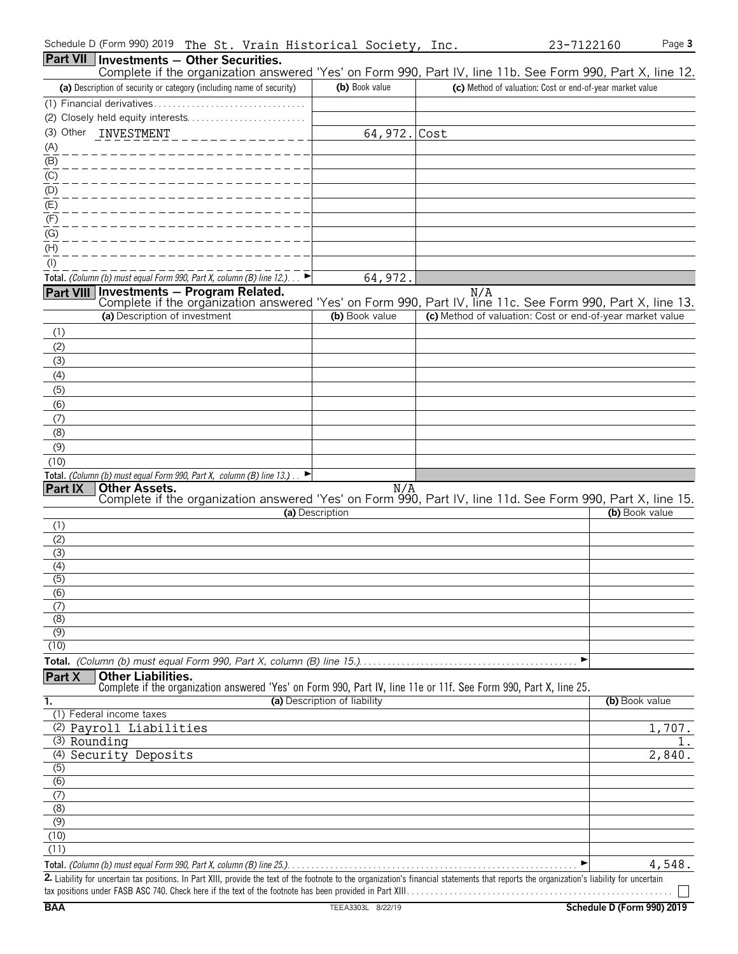|                  | <b>Part VII   Investments - Other Securities.</b>                                                                                                                            |                 |                              |                                                                                                                                                                         |                |
|------------------|------------------------------------------------------------------------------------------------------------------------------------------------------------------------------|-----------------|------------------------------|-------------------------------------------------------------------------------------------------------------------------------------------------------------------------|----------------|
|                  | (a) Description of security or category (including name of security)                                                                                                         |                 | (b) Book value               | Complete if the organization answered 'Yes' on Form 990, Part IV, line 11b. See Form 990, Part X, line 12.<br>(c) Method of valuation: Cost or end-of-year market value |                |
|                  |                                                                                                                                                                              |                 |                              |                                                                                                                                                                         |                |
|                  | (2) Closely held equity interests                                                                                                                                            |                 |                              |                                                                                                                                                                         |                |
|                  | (3) Other INVESTMENT                                                                                                                                                         |                 | 64,972. Cost                 |                                                                                                                                                                         |                |
| (A)              |                                                                                                                                                                              |                 |                              |                                                                                                                                                                         |                |
| (B)              |                                                                                                                                                                              |                 |                              |                                                                                                                                                                         |                |
| (C)              |                                                                                                                                                                              |                 |                              |                                                                                                                                                                         |                |
| (D)              |                                                                                                                                                                              |                 |                              |                                                                                                                                                                         |                |
| (E)              |                                                                                                                                                                              |                 |                              |                                                                                                                                                                         |                |
| (F)              |                                                                                                                                                                              |                 |                              |                                                                                                                                                                         |                |
| (G)              |                                                                                                                                                                              |                 |                              |                                                                                                                                                                         |                |
| (H)              |                                                                                                                                                                              |                 |                              |                                                                                                                                                                         |                |
| $($ l $)$        |                                                                                                                                                                              |                 |                              |                                                                                                                                                                         |                |
|                  | Total. (Column (b) must equal Form 990, Part X, column (B) line 12.)                                                                                                         | E               | 64,972.                      |                                                                                                                                                                         |                |
|                  | Part VIII Investments - Program Related.                                                                                                                                     |                 |                              | N/A                                                                                                                                                                     |                |
|                  |                                                                                                                                                                              |                 |                              | Complete if the organization answered 'Yes' on Form 990, Part IV, line 11c. See Form 990, Part X, line 13.                                                              |                |
|                  | (a) Description of investment                                                                                                                                                |                 | (b) Book value               | (c) Method of valuation: Cost or end-of-year market value                                                                                                               |                |
| (1)              |                                                                                                                                                                              |                 |                              |                                                                                                                                                                         |                |
| (2)              |                                                                                                                                                                              |                 |                              |                                                                                                                                                                         |                |
| (3)              |                                                                                                                                                                              |                 |                              |                                                                                                                                                                         |                |
| (4)              |                                                                                                                                                                              |                 |                              |                                                                                                                                                                         |                |
| (5)<br>(6)       |                                                                                                                                                                              |                 |                              |                                                                                                                                                                         |                |
| (7)              |                                                                                                                                                                              |                 |                              |                                                                                                                                                                         |                |
| (8)              |                                                                                                                                                                              |                 |                              |                                                                                                                                                                         |                |
| (9)              |                                                                                                                                                                              |                 |                              |                                                                                                                                                                         |                |
| (10)             |                                                                                                                                                                              |                 |                              |                                                                                                                                                                         |                |
|                  | Total. (Column (b) must equal Form 990, Part X, column (B) line 13.) $\Box$                                                                                                  |                 |                              |                                                                                                                                                                         |                |
| <b>Part IX</b>   | <b>Other Assets.</b>                                                                                                                                                         |                 | N/A                          |                                                                                                                                                                         |                |
|                  |                                                                                                                                                                              | (a) Description |                              | Complete if the organization answered 'Yes' on Form 990, Part IV, line 11d. See Form 990, Part X, line 15.                                                              | (b) Book value |
| (1)              |                                                                                                                                                                              |                 |                              |                                                                                                                                                                         |                |
| (2)              |                                                                                                                                                                              |                 |                              |                                                                                                                                                                         |                |
| (3)              |                                                                                                                                                                              |                 |                              |                                                                                                                                                                         |                |
| (4)              |                                                                                                                                                                              |                 |                              |                                                                                                                                                                         |                |
| $\overline{(5)}$ |                                                                                                                                                                              |                 |                              |                                                                                                                                                                         |                |
| (6)              |                                                                                                                                                                              |                 |                              |                                                                                                                                                                         |                |
| (7)<br>(8)       |                                                                                                                                                                              |                 |                              |                                                                                                                                                                         |                |
| (9)              |                                                                                                                                                                              |                 |                              |                                                                                                                                                                         |                |
| (10)             |                                                                                                                                                                              |                 |                              |                                                                                                                                                                         |                |
|                  |                                                                                                                                                                              |                 |                              |                                                                                                                                                                         | ▶              |
| Part X           | <b>Other Liabilities.</b>                                                                                                                                                    |                 |                              |                                                                                                                                                                         |                |
|                  |                                                                                                                                                                              |                 |                              | Complete if the organization answered 'Yes' on Form 990, Part IV, line 11e or 11f. See Form 990, Part X, line 25.                                                       |                |
| 1.               |                                                                                                                                                                              |                 | (a) Description of liability |                                                                                                                                                                         | (b) Book value |
|                  | (1) Federal income taxes                                                                                                                                                     |                 |                              |                                                                                                                                                                         |                |
|                  | (2) Payroll Liabilities                                                                                                                                                      |                 |                              |                                                                                                                                                                         | 1,707.         |
| (3) Rounding     | (4) Security Deposits                                                                                                                                                        |                 |                              |                                                                                                                                                                         | 2,840.         |
| $\overline{(5)}$ |                                                                                                                                                                              |                 |                              |                                                                                                                                                                         |                |
| $\overline{(6)}$ |                                                                                                                                                                              |                 |                              |                                                                                                                                                                         |                |
| (7)              |                                                                                                                                                                              |                 |                              |                                                                                                                                                                         |                |
| (8)              |                                                                                                                                                                              |                 |                              |                                                                                                                                                                         |                |
| (9)              |                                                                                                                                                                              |                 |                              |                                                                                                                                                                         |                |
| (10)             |                                                                                                                                                                              |                 |                              |                                                                                                                                                                         |                |
| (11)             |                                                                                                                                                                              |                 |                              |                                                                                                                                                                         |                |
|                  | 2 Lightlify for ungertain tax positions, In Part VIII, provide the tout of the feetnets to the granuation's financial statements that reports the granuation's lightlify for |                 |                              |                                                                                                                                                                         | ▶<br>4,548.    |

2. Liability for uncertain tax positions. In Part XIII, provide the text of the footnote to the organization's financial statements that reports the organization's liability for uncertain tax positions under FASB ASC 740. Check here if the text of the footnote has been provided in Part XIII. . . . . . . . . . . . . . . . . . . . . . . . . . . . . . . . . . . . . . . . . . . . . . . . . . . . . . . .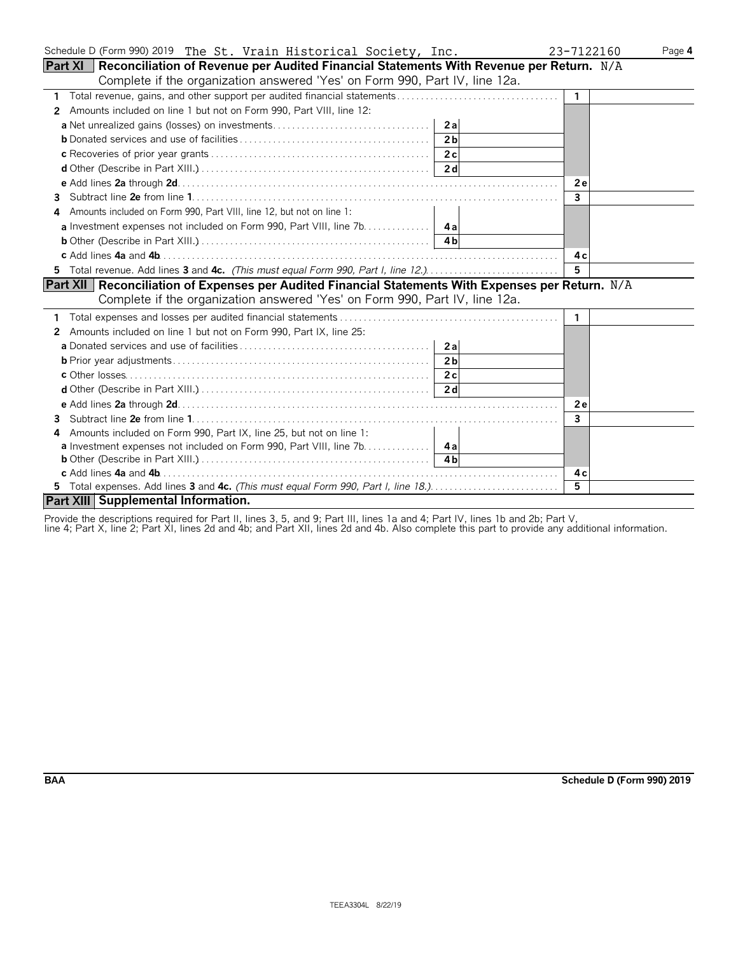| Schedule D (Form 990) 2019 The St. Vrain Historical Society, Inc.                                          | 23-7122160   | Page 4 |
|------------------------------------------------------------------------------------------------------------|--------------|--------|
| <b>Part XI</b>   Reconciliation of Revenue per Audited Financial Statements With Revenue per Return. $N/A$ |              |        |
| Complete if the organization answered 'Yes' on Form 990, Part IV, line 12a.                                |              |        |
| $\mathbf{1}$                                                                                               | $\mathbf{1}$ |        |
| Amounts included on line 1 but not on Form 990, Part VIII, line 12:<br>2                                   |              |        |
| 2a                                                                                                         |              |        |
| 2 <sub>b</sub>                                                                                             |              |        |
|                                                                                                            |              |        |
|                                                                                                            |              |        |
|                                                                                                            | 2e           |        |
| 3                                                                                                          | 3            |        |
| Amounts included on Form 990, Part VIII, line 12, but not on line 1:<br>4                                  |              |        |
|                                                                                                            |              |        |
|                                                                                                            |              |        |
|                                                                                                            | 4 c          |        |
| 5 Total revenue. Add lines 3 and 4c. (This must equal Form 990, Part I, line 12.)                          | 5            |        |
| Part XII Reconciliation of Expenses per Audited Financial Statements With Expenses per Return. N/A         |              |        |
| Complete if the organization answered 'Yes' on Form 990, Part IV, line 12a.                                |              |        |
|                                                                                                            | 1.           |        |
| Amounts included on line 1 but not on Form 990, Part IX, line 25:<br>$\mathbf{2}$                          |              |        |
| 2al                                                                                                        |              |        |
|                                                                                                            |              |        |
|                                                                                                            |              |        |
|                                                                                                            |              |        |
|                                                                                                            | <b>2e</b>    |        |
| 3                                                                                                          | $\mathbf{3}$ |        |
| Amounts included on Form 990, Part IX, line 25, but not on line 1:<br>4                                    |              |        |
| a Investment expenses not included on Form 990, Part VIII, line 7b. 4a                                     |              |        |
|                                                                                                            |              |        |
|                                                                                                            | 4 c          |        |
| 5 Total expenses. Add lines 3 and 4c. (This must equal Form 990, Part I, line 18.)                         | 5            |        |
| Part XIII Supplemental Information.                                                                        |              |        |

Provide the descriptions required for Part II, lines 3, 5, and 9; Part III, lines 1a and 4; Part IV, lines 1b and 2b; Part V,

line 4; Part X, line 2; Part XI, lines 2d and 4b; and Part XII, lines 2d and 4b. Also complete this part to provide any additional information.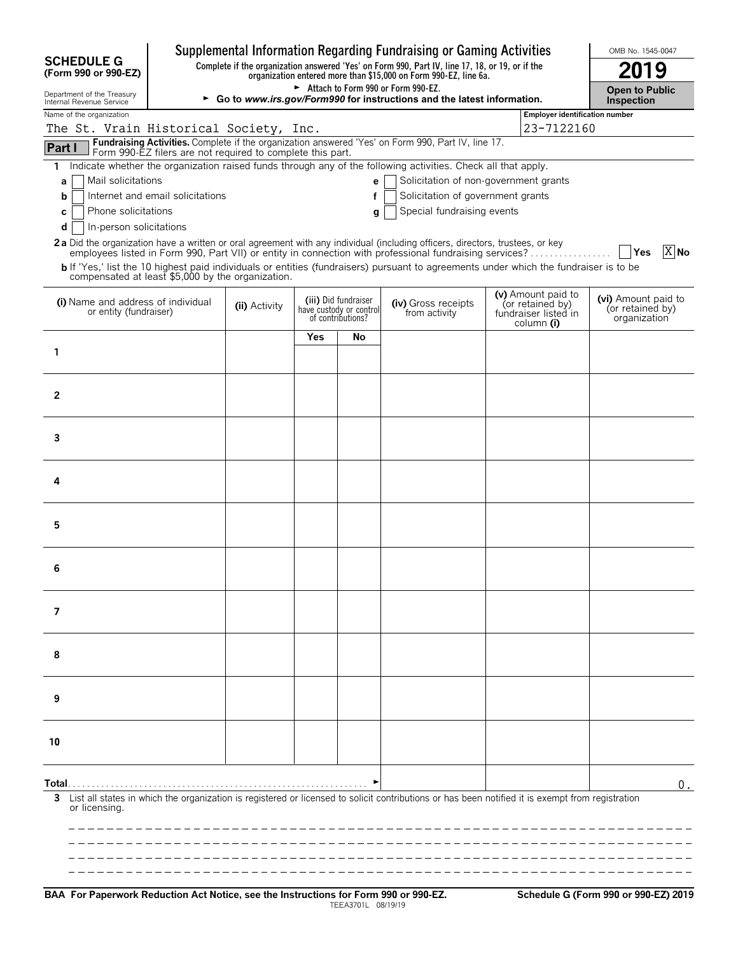|                                                                    |                                                            |               |     |                                                                      | Supplemental Information Regarding Fundraising or Gaming Activities                                                                                                                                                                                                                                                                                                               |                                                                              | OMB No. 1545-0047                                       |
|--------------------------------------------------------------------|------------------------------------------------------------|---------------|-----|----------------------------------------------------------------------|-----------------------------------------------------------------------------------------------------------------------------------------------------------------------------------------------------------------------------------------------------------------------------------------------------------------------------------------------------------------------------------|------------------------------------------------------------------------------|---------------------------------------------------------|
| <b>SCHEDULE G</b><br>(Form 990 or 990-EZ)                          |                                                            |               |     |                                                                      | Complete if the organization answered 'Yes' on Form 990, Part IV, line 17, 18, or 19, or if the<br>organization entered more than \$15,000 on Form 990-EZ, line 6a.                                                                                                                                                                                                               |                                                                              | 19                                                      |
| Department of the Treasury<br>Internal Revenue Service             |                                                            |               |     |                                                                      | Attach to Form 990 or Form 990-EZ.<br>► Go to www.irs.gov/Form990 for instructions and the latest information.                                                                                                                                                                                                                                                                    |                                                                              | <b>Open to Public</b><br><b>Inspection</b>              |
| Name of the organization<br>The St. Vrain Historical Society, Inc. |                                                            |               |     |                                                                      |                                                                                                                                                                                                                                                                                                                                                                                   | Employer identification number<br>23-7122160                                 |                                                         |
| Part I                                                             |                                                            |               |     |                                                                      | Fundraising Activities. Complete if the organization answered 'Yes' on Form 990, Part IV, line 17.                                                                                                                                                                                                                                                                                |                                                                              |                                                         |
| 1.                                                                 | Form 990-EZ filers are not required to complete this part. |               |     |                                                                      | Indicate whether the organization raised funds through any of the following activities. Check all that apply.                                                                                                                                                                                                                                                                     |                                                                              |                                                         |
| Mail solicitations<br>a                                            |                                                            |               |     | e                                                                    | Solicitation of non-government grants                                                                                                                                                                                                                                                                                                                                             |                                                                              |                                                         |
| b<br>Phone solicitations                                           | Internet and email solicitations                           |               |     | f                                                                    | Solicitation of government grants                                                                                                                                                                                                                                                                                                                                                 |                                                                              |                                                         |
| C<br>In-person solicitations<br>d                                  |                                                            |               |     | q                                                                    | Special fundraising events                                                                                                                                                                                                                                                                                                                                                        |                                                                              |                                                         |
|                                                                    |                                                            |               |     |                                                                      | 2a Did the organization have a written or oral agreement with any individual (including officers, directors, trustees, or key<br>employees listed in Form 990, Part VII) or entity in connection with professional fundraising services?<br>b If 'Yes,' list the 10 highest paid individuals or entities (fundraisers) pursuant to agreements under which the fundraiser is to be |                                                                              | $X$ No<br>Yes                                           |
| compensated at least \$5,000 by the organization.                  |                                                            |               |     |                                                                      |                                                                                                                                                                                                                                                                                                                                                                                   |                                                                              |                                                         |
| (i) Name and address of individual<br>or entity (fundraiser)       |                                                            | (ii) Activity |     | (iii) Did fundraiser<br>have custody or control<br>of contributions? | (iv) Gross receipts<br>from activity                                                                                                                                                                                                                                                                                                                                              | (v) Amount paid to<br>(or retained by)<br>fundraiser listed in<br>column (i) | (vi) Amount paid to<br>(or retained by)<br>organization |
|                                                                    |                                                            |               | Yes | No                                                                   |                                                                                                                                                                                                                                                                                                                                                                                   |                                                                              |                                                         |
| 1                                                                  |                                                            |               |     |                                                                      |                                                                                                                                                                                                                                                                                                                                                                                   |                                                                              |                                                         |
| 2                                                                  |                                                            |               |     |                                                                      |                                                                                                                                                                                                                                                                                                                                                                                   |                                                                              |                                                         |
|                                                                    |                                                            |               |     |                                                                      |                                                                                                                                                                                                                                                                                                                                                                                   |                                                                              |                                                         |
| 3                                                                  |                                                            |               |     |                                                                      |                                                                                                                                                                                                                                                                                                                                                                                   |                                                                              |                                                         |
| 4                                                                  |                                                            |               |     |                                                                      |                                                                                                                                                                                                                                                                                                                                                                                   |                                                                              |                                                         |
| 5                                                                  |                                                            |               |     |                                                                      |                                                                                                                                                                                                                                                                                                                                                                                   |                                                                              |                                                         |
| 6                                                                  |                                                            |               |     |                                                                      |                                                                                                                                                                                                                                                                                                                                                                                   |                                                                              |                                                         |
| 7                                                                  |                                                            |               |     |                                                                      |                                                                                                                                                                                                                                                                                                                                                                                   |                                                                              |                                                         |
| 8                                                                  |                                                            |               |     |                                                                      |                                                                                                                                                                                                                                                                                                                                                                                   |                                                                              |                                                         |
| 9                                                                  |                                                            |               |     |                                                                      |                                                                                                                                                                                                                                                                                                                                                                                   |                                                                              |                                                         |
| 10                                                                 |                                                            |               |     |                                                                      |                                                                                                                                                                                                                                                                                                                                                                                   |                                                                              |                                                         |
| Total                                                              |                                                            |               |     |                                                                      |                                                                                                                                                                                                                                                                                                                                                                                   |                                                                              | 0.                                                      |
| 3<br>or licensing.                                                 |                                                            |               |     |                                                                      | List all states in which the organization is registered or licensed to solicit contributions or has been notified it is exempt from registration                                                                                                                                                                                                                                  |                                                                              |                                                         |
|                                                                    |                                                            |               |     |                                                                      |                                                                                                                                                                                                                                                                                                                                                                                   |                                                                              |                                                         |
|                                                                    |                                                            |               |     |                                                                      |                                                                                                                                                                                                                                                                                                                                                                                   |                                                                              |                                                         |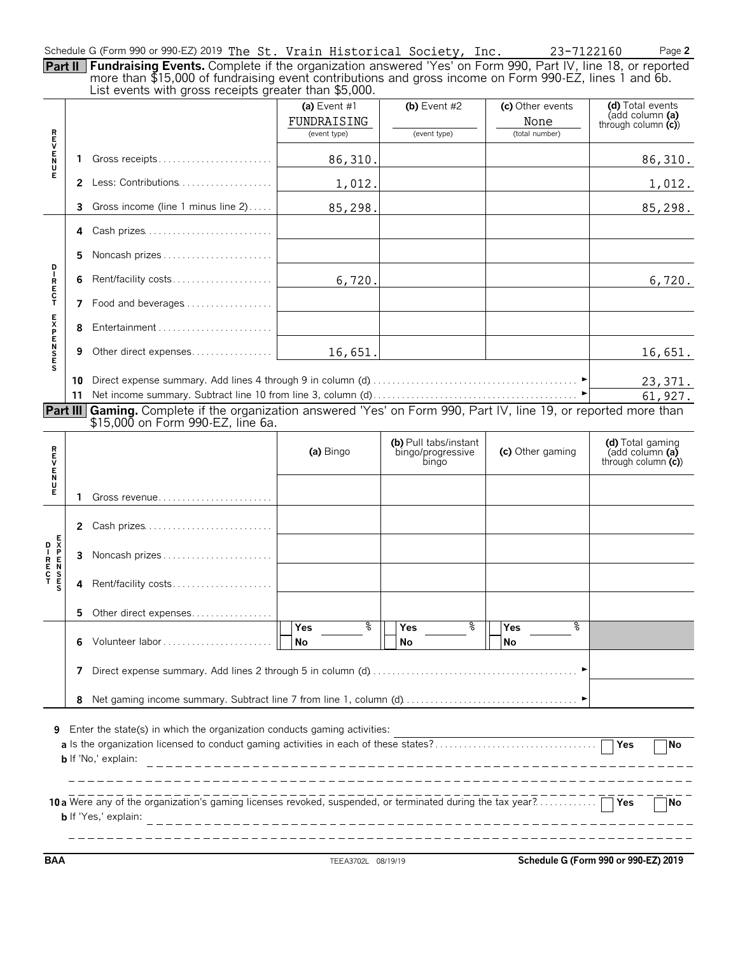| Schedule G (Form 990 or 990-EZ) 2019 The St. Vrain Historical Society, Inc. |  |  |  | 23-7122160 |
|-----------------------------------------------------------------------------|--|--|--|------------|
|-----------------------------------------------------------------------------|--|--|--|------------|

Schedule G (Form 990 or 990-EZ) 2019 Page **2**

**Part II Fundraising Events.** Complete if the organization answered 'Yes' on Form 990, Part IV, line 18, or reported more than \$15,000 of fundraising event contributions and gross income on Form 990-EZ, lines 1 and 6b. List events with gross receipts greater than \$5,000.

|               |                | LIST EVENTS WITH GLOSS FECEIDIS GLEATER THAIT \$5,000.                                                                                                 |                             |                                                     |                        |                                                               |
|---------------|----------------|--------------------------------------------------------------------------------------------------------------------------------------------------------|-----------------------------|-----------------------------------------------------|------------------------|---------------------------------------------------------------|
|               |                |                                                                                                                                                        | (a) Event #1<br>FUNDRAISING | (b) Event $#2$                                      | (c) Other events       | (d) Total events<br>(add column (a)                           |
|               |                |                                                                                                                                                        | (event type)                | (event type)                                        | None<br>(total number) | through column $(c)$                                          |
| ロマロスロ         | 1.             | Gross receipts                                                                                                                                         | 86,310.                     |                                                     |                        | 86,310.                                                       |
| Е             | $\mathbf{2}^-$ | Less: Contributions                                                                                                                                    | 1,012.                      |                                                     |                        | 1,012.                                                        |
|               | 3              | Gross income (line 1 minus line 2)                                                                                                                     | 85,298.                     |                                                     |                        | 85,298.                                                       |
|               | 4              | Cash prizes                                                                                                                                            |                             |                                                     |                        |                                                               |
|               | 5              | Noncash prizes                                                                                                                                         |                             |                                                     |                        |                                                               |
| D – R E C T   | 6              | Rent/facility costs                                                                                                                                    | 6,720.                      |                                                     |                        | 6,720.                                                        |
|               | 7              | Food and beverages                                                                                                                                     |                             |                                                     |                        |                                                               |
|               | 8              |                                                                                                                                                        |                             |                                                     |                        |                                                               |
| <b>SENSES</b> | 9              | Other direct expenses                                                                                                                                  | 16,651.                     |                                                     |                        | 16,651.                                                       |
|               | 10             |                                                                                                                                                        |                             |                                                     |                        | 23,371.                                                       |
|               | 11             |                                                                                                                                                        |                             |                                                     |                        | 61,927.                                                       |
|               |                | Part III Gaming. Complete if the organization answered 'Yes' on Form 990, Part IV, line 19, or reported more than<br>\$15,000 on Form 990-EZ, line 6a. |                             |                                                     |                        |                                                               |
|               |                |                                                                                                                                                        |                             |                                                     |                        |                                                               |
| アロンドロス        |                |                                                                                                                                                        | (a) Bingo                   | (b) Pull tabs/instant<br>bingo/progressive<br>bingo | (c) Other gaming       | (d) Total gaming<br>(add column (a)<br>through column $(c)$ ) |
|               | 1              | Gross revenue                                                                                                                                          |                             |                                                     |                        |                                                               |
|               |                | 2 Cash prizes                                                                                                                                          |                             |                                                     |                        |                                                               |
|               | 3              | Noncash prizes                                                                                                                                         |                             |                                                     |                        |                                                               |
|               | 4              | Rent/facility costs                                                                                                                                    |                             |                                                     |                        |                                                               |
|               | 5.             | Other direct expenses                                                                                                                                  |                             |                                                     |                        |                                                               |
|               |                |                                                                                                                                                        | ್ಠಿ<br>Yes                  | ႜ<br>Yes                                            | နွ<br><b>T</b> Yes     |                                                               |
|               | 6              | Volunteer labor                                                                                                                                        | No                          | No                                                  | No                     |                                                               |
|               | 7              |                                                                                                                                                        |                             |                                                     |                        |                                                               |
|               | 8              |                                                                                                                                                        |                             |                                                     |                        |                                                               |
|               |                |                                                                                                                                                        |                             |                                                     |                        |                                                               |
| 9             |                | Enter the state(s) in which the organization conducts gaming activities:<br><b>b</b> If 'No,' explain:                                                 |                             |                                                     |                        | Yes<br><b>No</b>                                              |
|               |                | 10 a Were any of the organization's gaming licenses revoked, suspended, or terminated during the tax year?<br><b>b</b> If 'Yes,' explain:              |                             |                                                     |                        | $\overline{\mathsf{Yes}}^-$<br><b>No</b>                      |

**BAA** TEEA3702L 08/19/19 **Schedule G (Form 990 or 990-EZ) 2019**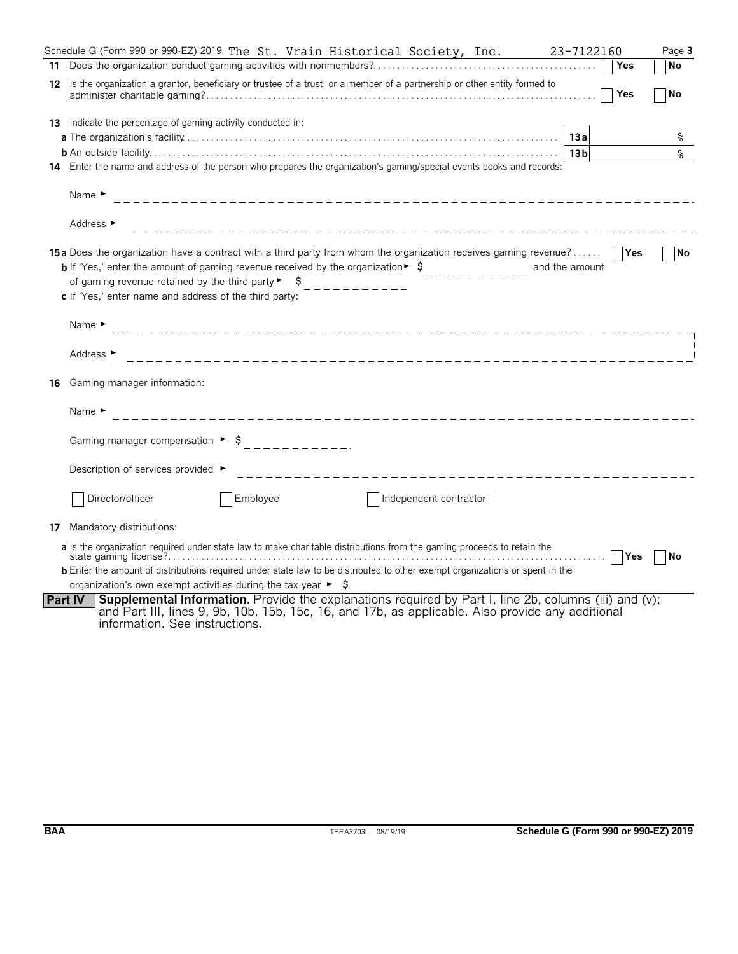|    | Schedule G (Form 990 or 990-EZ) 2019 The St. Vrain Historical Society, Inc.<br>23-7122160                                                                                                                                                                                                                                                                                                                                  | Page 3    |
|----|----------------------------------------------------------------------------------------------------------------------------------------------------------------------------------------------------------------------------------------------------------------------------------------------------------------------------------------------------------------------------------------------------------------------------|-----------|
|    | Yes                                                                                                                                                                                                                                                                                                                                                                                                                        | No        |
|    | 12 Is the organization a grantor, beneficiary or trustee of a trust, or a member of a partnership or other entity formed to<br>Yes                                                                                                                                                                                                                                                                                         | No        |
|    | 13 Indicate the percentage of gaming activity conducted in:<br>13 al                                                                                                                                                                                                                                                                                                                                                       | ႜ         |
|    | 13 <sub>b</sub><br>14 Enter the name and address of the person who prepares the organization's gaming/special events books and records:                                                                                                                                                                                                                                                                                    | ጱ         |
|    |                                                                                                                                                                                                                                                                                                                                                                                                                            |           |
|    | Name $\blacktriangleright$                                                                                                                                                                                                                                                                                                                                                                                                 |           |
|    | Address ►                                                                                                                                                                                                                                                                                                                                                                                                                  |           |
|    | <b>15a</b> Does the organization have a contract with a third party from whom the organization receives gaming revenue?<br><b>b</b> If 'Yes,' enter the amount of gaming revenue received by the organization $\frac{1}{2}$<br>and the amount<br>of gaming revenue retained by the third party $\blacktriangleright$ $\blacktriangleright$ $\blacktriangleright$<br>c If 'Yes,' enter name and address of the third party: | <b>No</b> |
|    | Name $\blacktriangleright$                                                                                                                                                                                                                                                                                                                                                                                                 |           |
|    | Address ►                                                                                                                                                                                                                                                                                                                                                                                                                  |           |
| 16 | Gaming manager information:                                                                                                                                                                                                                                                                                                                                                                                                |           |
|    | Name $\blacktriangleright$<br>___________________________________                                                                                                                                                                                                                                                                                                                                                          |           |
|    | Gaming manager compensation ► $$$<br>------------                                                                                                                                                                                                                                                                                                                                                                          |           |
|    | Description of services provided ►                                                                                                                                                                                                                                                                                                                                                                                         |           |
|    | Director/officer<br>Employee<br>Independent contractor                                                                                                                                                                                                                                                                                                                                                                     |           |
|    | 17 Mandatory distributions:                                                                                                                                                                                                                                                                                                                                                                                                |           |
|    | a Is the organization required under state law to make charitable distributions from the gaming proceeds to retain the<br>Yes                                                                                                                                                                                                                                                                                              | l No      |
|    | <b>b</b> Enter the amount of distributions required under state law to be distributed to other exempt organizations or spent in the                                                                                                                                                                                                                                                                                        |           |
|    | organization's own exempt activities during the tax year $\blacktriangleright$ $\blacklozenge$                                                                                                                                                                                                                                                                                                                             |           |
|    | <b>Supplemental Information.</b> Provide the explanations required by Part I, line 2b, columns (iii) and (v);<br><b>Part IV</b><br>and Part III, lines 9, 9b, 10b, 15b, 15c, 16, and 17b, as applicable. Also provide any additional<br>information. See instructions.                                                                                                                                                     |           |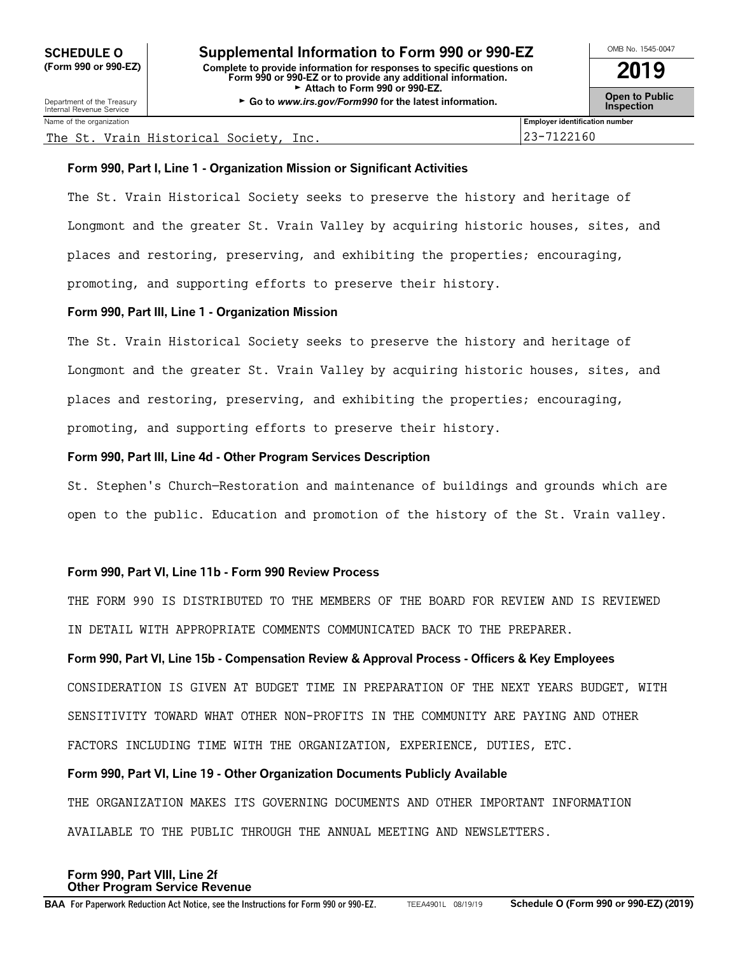Department of the Treasury **Constant Comment of the Collaboration Constant Constant Comment Constant Constant Constant Constant Constant Constant Constant Constant Constant Constant Constant Constant Constant Constant C** 

The St. Vrain Historical Society, Inc. 23-7122160

### **Form 990, Part I, Line 1 - Organization Mission or Significant Activities**

The St. Vrain Historical Society seeks to preserve the history and heritage of Longmont and the greater St. Vrain Valley by acquiring historic houses, sites, and places and restoring, preserving, and exhibiting the properties; encouraging, promoting, and supporting efforts to preserve their history.

### **Form 990, Part III, Line 1 - Organization Mission**

The St. Vrain Historical Society seeks to preserve the history and heritage of Longmont and the greater St. Vrain Valley by acquiring historic houses, sites, and places and restoring, preserving, and exhibiting the properties; encouraging, promoting, and supporting efforts to preserve their history.

### **Form 990, Part III, Line 4d - Other Program Services Description**

St. Stephen's Church–Restoration and maintenance of buildings and grounds which are open to the public. Education and promotion of the history of the St. Vrain valley.

### **Form 990, Part VI, Line 11b - Form 990 Review Process**

THE FORM 990 IS DISTRIBUTED TO THE MEMBERS OF THE BOARD FOR REVIEW AND IS REVIEWED IN DETAIL WITH APPROPRIATE COMMENTS COMMUNICATED BACK TO THE PREPARER.

### **Form 990, Part VI, Line 15b - Compensation Review & Approval Process - Officers & Key Employees**

CONSIDERATION IS GIVEN AT BUDGET TIME IN PREPARATION OF THE NEXT YEARS BUDGET, WITH SENSITIVITY TOWARD WHAT OTHER NON-PROFITS IN THE COMMUNITY ARE PAYING AND OTHER FACTORS INCLUDING TIME WITH THE ORGANIZATION, EXPERIENCE, DUTIES, ETC.

### **Form 990, Part VI, Line 19 - Other Organization Documents Publicly Available**

THE ORGANIZATION MAKES ITS GOVERNING DOCUMENTS AND OTHER IMPORTANT INFORMATION AVAILABLE TO THE PUBLIC THROUGH THE ANNUAL MEETING AND NEWSLETTERS.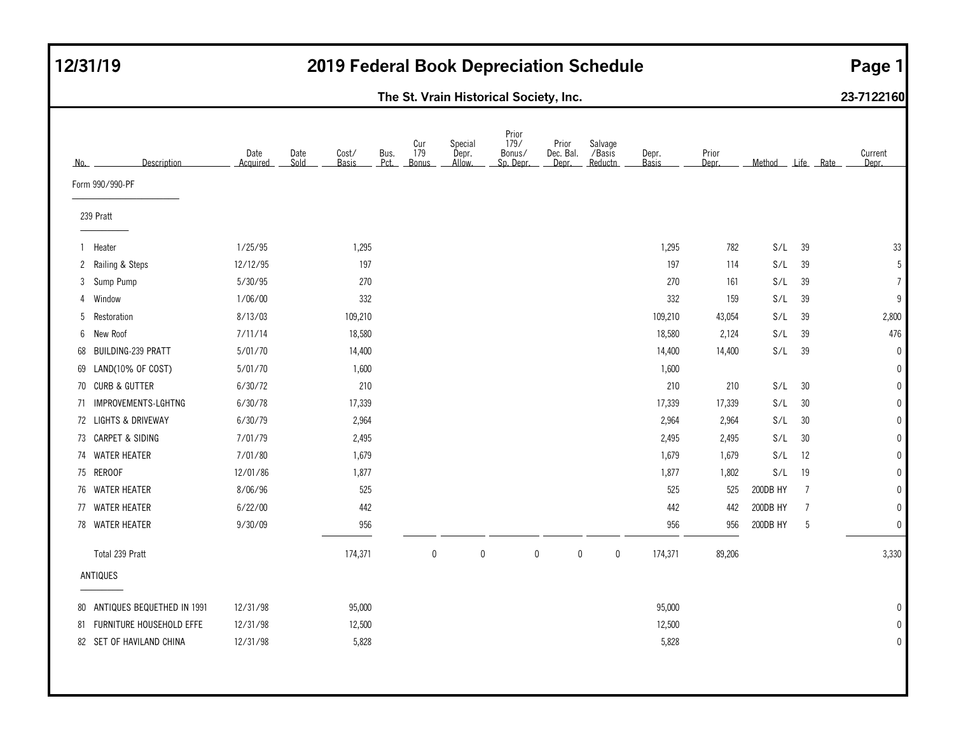| No. | Description                | Date<br>Acquired | Date<br>Sold | Cost/<br><b>Basis</b> | Bus.<br>Pct. | Cur<br>179<br><b>Bonus</b> | Special<br>Depr.<br>Allow. | Prior<br>179/<br>Bonus/<br>Sp. Depr | Prior<br>Dec. Bal.<br>Depr | Salvage<br>/Basis<br>Reductn | Depr.<br>Basis | Prior<br>Depr. | Method   |                | Life Rate | Current<br>Depr. |
|-----|----------------------------|------------------|--------------|-----------------------|--------------|----------------------------|----------------------------|-------------------------------------|----------------------------|------------------------------|----------------|----------------|----------|----------------|-----------|------------------|
|     | Form 990/990-PF            |                  |              |                       |              |                            |                            |                                     |                            |                              |                |                |          |                |           |                  |
|     | 239 Pratt                  |                  |              |                       |              |                            |                            |                                     |                            |                              |                |                |          |                |           |                  |
|     | 1 Heater                   | 1/25/95          |              | 1,295                 |              |                            |                            |                                     |                            |                              | 1,295          | 782            | S/L      | 39             |           | 33               |
| 2   | Railing & Steps            | 12/12/95         |              | 197                   |              |                            |                            |                                     |                            |                              | 197            | 114            | S/L      | 39             |           | 5                |
|     | 3 Sump Pump                | 5/30/95          |              | 270                   |              |                            |                            |                                     |                            |                              | 270            | 161            | S/L      | 39             |           | 7                |
| 4   | Window                     | 1/06/00          |              | 332                   |              |                            |                            |                                     |                            |                              | 332            | 159            | S/L      | 39             |           | 9                |
| 5   | Restoration                | 8/13/03          |              | 109,210               |              |                            |                            |                                     |                            |                              | 109,210        | 43,054         | S/L      | 39             |           | 2,800            |
| 6   | New Roof                   | 7/11/14          |              | 18,580                |              |                            |                            |                                     |                            |                              | 18,580         | 2,124          | S/L      | 39             |           | 476              |
| 68  | BUILDING-239 PRATT         | 5/01/70          |              | 14,400                |              |                            |                            |                                     |                            |                              | 14,400         | 14,400         | S/L      | 39             |           | 0                |
| 69  | LAND(10% OF COST)          | 5/01/70          |              | 1,600                 |              |                            |                            |                                     |                            |                              | 1,600          |                |          |                |           | U                |
| 70  | CURB & GUTTER              | 6/30/72          |              | 210                   |              |                            |                            |                                     |                            |                              | 210            | 210            | S/L      | 30             |           |                  |
| 71  | IMPROVEMENTS-LGHTNG        | 6/30/78          |              | 17,339                |              |                            |                            |                                     |                            |                              | 17,339         | 17,339         | S/L      | 30             |           |                  |
|     | 72 LIGHTS & DRIVEWAY       | 6/30/79          |              | 2,964                 |              |                            |                            |                                     |                            |                              | 2,964          | 2,964          | S/L      | 30             |           |                  |
| 73  | CARPET & SIDING            | 7/01/79          |              | 2,495                 |              |                            |                            |                                     |                            |                              | 2,495          | 2,495          | S/L      | 30             |           |                  |
| 74  | <b>WATER HEATER</b>        | 7/01/80          |              | 1,679                 |              |                            |                            |                                     |                            |                              | 1,679          | 1,679          | S/L      | 12             |           |                  |
|     | 75 REROOF                  | 12/01/86         |              | 1,877                 |              |                            |                            |                                     |                            |                              | 1,877          | 1,802          | S/L      | 19             |           |                  |
| 76  | <b>WATER HEATER</b>        | 8/06/96          |              | 525                   |              |                            |                            |                                     |                            |                              | 525            | 525            | 200DB HY | 7              |           |                  |
| 77  | <b>WATER HEATER</b>        | 6/22/00          |              | 442                   |              |                            |                            |                                     |                            |                              | 442            | 442            | 200DB HY | $\overline{7}$ |           |                  |
|     | 78 WATER HEATER            | 9/30/09          |              | 956                   |              |                            |                            |                                     |                            |                              | 956            | 956            | 200DB HY | 5              |           | $\theta$         |
|     | Total 239 Pratt            |                  |              | 174,371               |              | 0                          | $\pmb{0}$                  |                                     | $\pmb{0}$<br>0             | $\pmb{0}$                    | 174,371        | 89,206         |          |                |           | 3,330            |
|     | ANTIQUES                   |                  |              |                       |              |                            |                            |                                     |                            |                              |                |                |          |                |           |                  |
| 80  | ANTIQUES BEQUETHED IN 1991 | 12/31/98         |              | 95,000                |              |                            |                            |                                     |                            |                              | 95,000         |                |          |                |           |                  |
| 81  | FURNITURE HOUSEHOLD EFFE   | 12/31/98         |              | 12,500                |              |                            |                            |                                     |                            |                              | 12,500         |                |          |                |           |                  |
| 82  | SET OF HAVILAND CHINA      | 12/31/98         |              | 5,828                 |              |                            |                            |                                     |                            |                              | 5,828          |                |          |                |           |                  |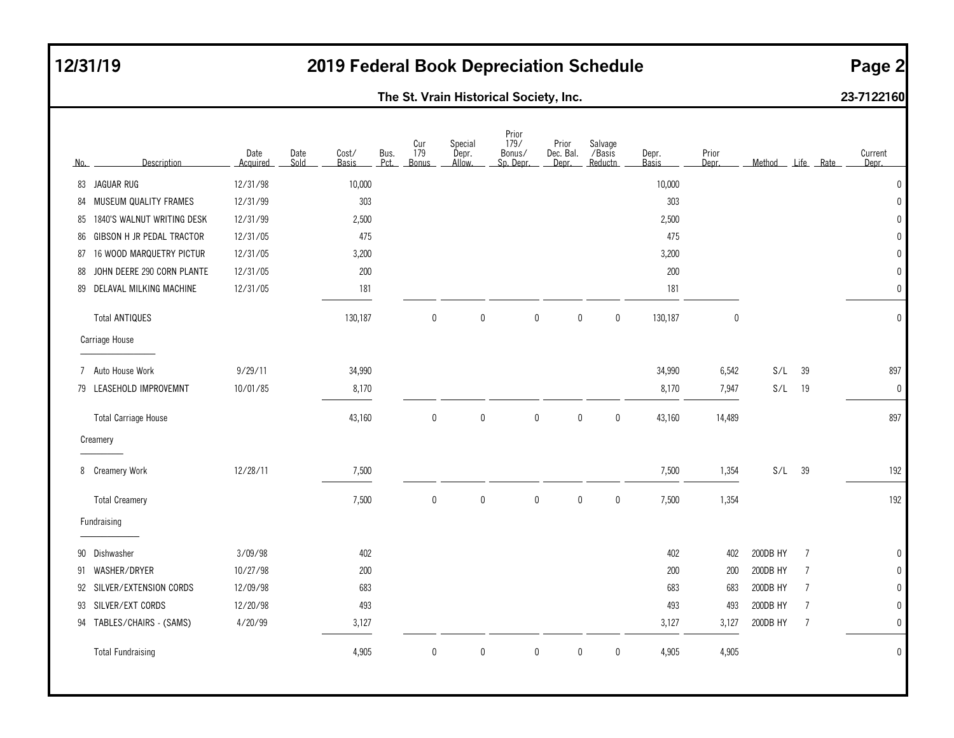## **Page 2**

| No. | Description                 | Date<br>Acquired | Date<br>Sold | Cost/<br><b>Rasis</b> | Bus.<br>Pct. | Cur<br>179<br><b>Bonus</b> | Special<br>Depr.<br>Allow. | Prior<br>179/<br>Bonus/<br>Sp. Depr. | Prior<br>Dec. Bal.<br>Depr. | Salvage<br>/Basis<br>Reductn |              | Depr.<br><b>Rasis</b> | Prior<br>Denr. | Method   | Life Rate      | Current<br>Denr. |
|-----|-----------------------------|------------------|--------------|-----------------------|--------------|----------------------------|----------------------------|--------------------------------------|-----------------------------|------------------------------|--------------|-----------------------|----------------|----------|----------------|------------------|
| 83  | JAGUAR RUG                  | 12/31/98         |              | 10,000                |              |                            |                            |                                      |                             |                              |              | 10,000                |                |          |                |                  |
| 84  | MUSEUM QUALITY FRAMES       | 12/31/99         |              | 303                   |              |                            |                            |                                      |                             |                              |              | 303                   |                |          |                |                  |
| 85  | 1840'S WALNUT WRITING DESK  | 12/31/99         |              | 2,500                 |              |                            |                            |                                      |                             |                              |              | 2,500                 |                |          |                |                  |
| 86  | GIBSON H JR PEDAL TRACTOR   | 12/31/05         |              | 475                   |              |                            |                            |                                      |                             |                              |              | 475                   |                |          |                |                  |
| 87  | 16 WOOD MARQUETRY PICTUR    | 12/31/05         |              | 3,200                 |              |                            |                            |                                      |                             |                              |              | 3,200                 |                |          |                |                  |
| 88  | JOHN DEERE 290 CORN PLANTE  | 12/31/05         |              | 200                   |              |                            |                            |                                      |                             |                              |              | 200                   |                |          |                |                  |
| 89  | DELAVAL MILKING MACHINE     | 12/31/05         |              | 181                   |              |                            |                            |                                      |                             |                              |              | 181                   |                |          |                | $\Omega$         |
|     | <b>Total ANTIQUES</b>       |                  |              | 130,187               |              | $\mathbf 0$                | 0                          |                                      | $\mathbf 0$                 | $\mathbf 0$                  | $\mathbf{0}$ | 130,187               | $\mathbf{0}$   |          |                | $\mathbf{0}$     |
|     | Carriage House              |                  |              |                       |              |                            |                            |                                      |                             |                              |              |                       |                |          |                |                  |
| 7   | Auto House Work             | 9/29/11          |              | 34,990                |              |                            |                            |                                      |                             |                              |              | 34,990                | 6,542          | S/L      | 39             | 897              |
|     | 79 LEASEHOLD IMPROVEMNT     | 10/01/85         |              | 8,170                 |              |                            |                            |                                      |                             |                              |              | 8,170                 | 7,947          | S/L      | 19             | $\mathbf 0$      |
|     | <b>Total Carriage House</b> |                  |              | 43,160                |              | $\mathbf 0$                | $\pmb{0}$                  |                                      | $\mathbf 0$                 | $\mathbf 0$                  | $\mathbf 0$  | 43,160                | 14,489         |          |                | 897              |
|     | Creamery                    |                  |              |                       |              |                            |                            |                                      |                             |                              |              |                       |                |          |                |                  |
|     | 8 Creamery Work             | 12/28/11         |              | 7,500                 |              |                            |                            |                                      |                             |                              |              | 7,500                 | 1,354          | $S/L$ 39 |                | 192              |
|     | <b>Total Creamery</b>       |                  |              | 7,500                 |              | $\mathbf 0$                | $\mathbf 0$                |                                      | $\mathbf 0$                 | $\pmb{0}$                    | $\mathbf 0$  | 7,500                 | 1,354          |          |                | 192              |
|     | Fundraising                 |                  |              |                       |              |                            |                            |                                      |                             |                              |              |                       |                |          |                |                  |
| 90  | Dishwasher                  | 3/09/98          |              | 402                   |              |                            |                            |                                      |                             |                              |              | 402                   | 402            | 200DB HY | $\overline{7}$ | $\cup$           |
| 91  | WASHER/DRYER                | 10/27/98         |              | 200                   |              |                            |                            |                                      |                             |                              |              | 200                   | 200            | 200DB HY | $\overline{7}$ |                  |
| 92  | SILVER/EXTENSION CORDS      | 12/09/98         |              | 683                   |              |                            |                            |                                      |                             |                              |              | 683                   | 683            | 200DB HY | $\overline{7}$ |                  |
| 93  | SILVER/EXT CORDS            | 12/20/98         |              | 493                   |              |                            |                            |                                      |                             |                              |              | 493                   | 493            | 200DB HY | $\overline{7}$ | $\theta$         |
|     | 94 TABLES/CHAIRS - (SAMS)   | 4/20/99          |              | 3,127                 |              |                            |                            |                                      |                             |                              |              | 3,127                 | 3,127          | 200DB HY | $\overline{7}$ | $\theta$         |
|     | <b>Total Fundraising</b>    |                  |              | 4,905                 |              | $\mathbf 0$                | $\mathbf 0$                |                                      | $\mathbf 0$                 | $\mathbf 0$                  | $\mathbf 0$  | 4,905                 | 4,905          |          |                | $\theta$         |
|     |                             |                  |              |                       |              |                            |                            |                                      |                             |                              |              |                       |                |          |                |                  |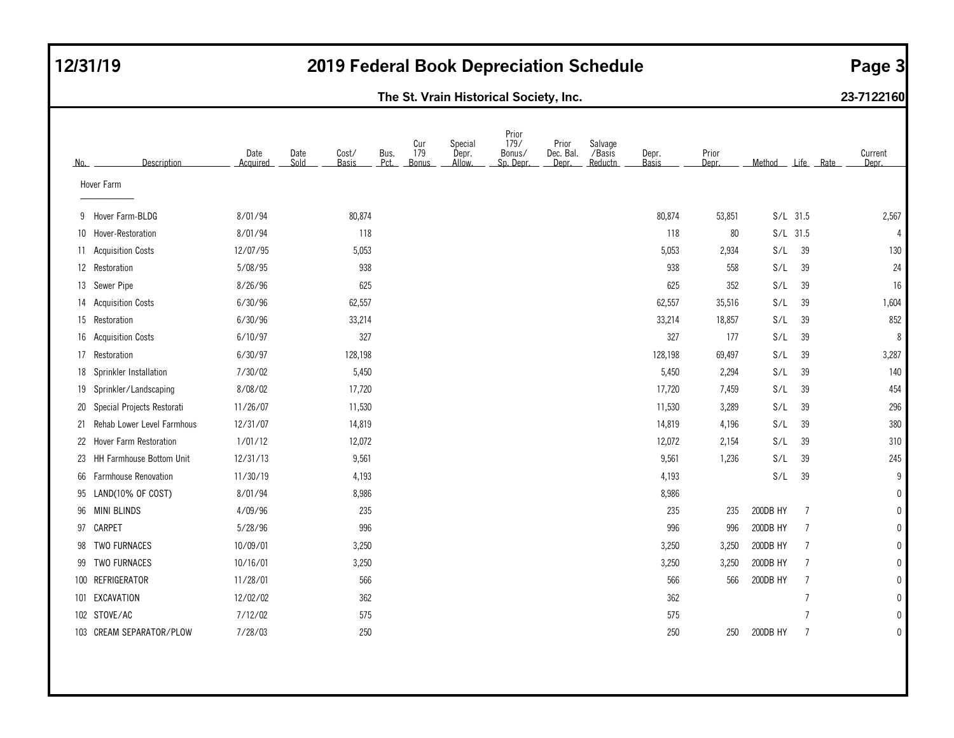## **Page 3**

| No. | Description                     | Date<br>Acquired | Date<br>Cost/<br>Sold<br><b>Basis</b> | Bus.<br>Pct. | Cur<br>179<br><b>Bonus</b> | Special<br>Depr.<br>Allow. | Prior<br>179/<br>Bonus/<br>Sp. Depr | Prior<br>Dec. Bal.<br>Depr. | Salvage<br>/Basis<br>Reductn | Depr.<br><b>Basis</b> | Prior<br>Depr. | Method   | Life Rate      | Current<br>Depr. |
|-----|---------------------------------|------------------|---------------------------------------|--------------|----------------------------|----------------------------|-------------------------------------|-----------------------------|------------------------------|-----------------------|----------------|----------|----------------|------------------|
|     | Hover Farm                      |                  |                                       |              |                            |                            |                                     |                             |                              |                       |                |          |                |                  |
|     | 9 Hover Farm-BLDG               | 8/01/94          | 80,874                                |              |                            |                            |                                     |                             |                              | 80,874                | 53,851         |          | $S/L$ 31.5     | 2,567            |
| 10  | Hover-Restoration               | 8/01/94          | 118                                   |              |                            |                            |                                     |                             |                              | 118                   | $80\,$         |          | S/L 31.5       | 4                |
| 11  | <b>Acquisition Costs</b>        | 12/07/95         | 5,053                                 |              |                            |                            |                                     |                             |                              | 5,053                 | 2,934          | S/L      | 39             | 130              |
| 12  | Restoration                     | 5/08/95          | 938                                   |              |                            |                            |                                     |                             |                              | 938                   | 558            | S/L      | 39             | 24               |
| 13  | Sewer Pipe                      | 8/26/96          | 625                                   |              |                            |                            |                                     |                             |                              | 625                   | 352            | S/L      | 39             | 16               |
| 14  | <b>Acquisition Costs</b>        | 6/30/96          | 62,557                                |              |                            |                            |                                     |                             |                              | 62,557                | 35,516         | S/L      | 39             | 1,604            |
| 15  | Restoration                     | 6/30/96          | 33,214                                |              |                            |                            |                                     |                             |                              | 33,214                | 18,857         | S/L      | 39             | 852              |
| 16  | <b>Acquisition Costs</b>        | 6/10/97          | 327                                   |              |                            |                            |                                     |                             |                              | 327                   | 177            | S/L      | 39             | 8                |
| 17  | Restoration                     | 6/30/97          | 128,198                               |              |                            |                            |                                     |                             |                              | 128,198               | 69,497         | S/L      | 39             | 3,287            |
| 18  | Sprinkler Installation          | 7/30/02          | 5,450                                 |              |                            |                            |                                     |                             |                              | 5,450                 | 2,294          | S/L      | 39             | 140              |
| 19  | Sprinkler/Landscaping           | 8/08/02          | 17,720                                |              |                            |                            |                                     |                             |                              | 17,720                | 7,459          | S/L      | 39             | 454              |
| 20  | Special Projects Restorati      | 11/26/07         | 11,530                                |              |                            |                            |                                     |                             |                              | 11,530                | 3,289          | S/L      | 39             | 296              |
| 21  | Rehab Lower Level Farmhous      | 12/31/07         | 14,819                                |              |                            |                            |                                     |                             |                              | 14,819                | 4,196          | S/L      | 39             | 380              |
| 22  | Hover Farm Restoration          | 1/01/12          | 12,072                                |              |                            |                            |                                     |                             |                              | 12,072                | 2,154          | S/L      | 39             | 310              |
| 23  | <b>HH Farmhouse Bottom Unit</b> | 12/31/13         | 9,561                                 |              |                            |                            |                                     |                             |                              | 9,561                 | 1,236          | S/L      | 39             | 245              |
| 66  | Farmhouse Renovation            | 11/30/19         | 4,193                                 |              |                            |                            |                                     |                             |                              | 4,193                 |                | S/L      | 39             | 9                |
| 95  | LAND(10% OF COST)               | 8/01/94          | 8,986                                 |              |                            |                            |                                     |                             |                              | 8,986                 |                |          |                |                  |
| 96  | <b>MINI BLINDS</b>              | 4/09/96          | 235                                   |              |                            |                            |                                     |                             |                              | 235                   | 235            | 200DB HY | 7              |                  |
| 97  | CARPET                          | 5/28/96          | 996                                   |              |                            |                            |                                     |                             |                              | 996                   | 996            | 200DB HY | 7              |                  |
| 98  | TWO FURNACES                    | 10/09/01         | 3,250                                 |              |                            |                            |                                     |                             |                              | 3,250                 | 3,250          | 200DB HY | 7              |                  |
| 99  | <b>TWO FURNACES</b>             | 10/16/01         | 3,250                                 |              |                            |                            |                                     |                             |                              | 3,250                 | 3,250          | 200DB HY | $\overline{7}$ |                  |
| 100 | REFRIGERATOR                    | 11/28/01         | 566                                   |              |                            |                            |                                     |                             |                              | 566                   | 566            | 200DB HY | 7              |                  |
| 101 | EXCAVATION                      | 12/02/02         | 362                                   |              |                            |                            |                                     |                             |                              | 362                   |                |          | $\overline{7}$ |                  |
|     | 102 STOVE/AC                    | 7/12/02          | 575                                   |              |                            |                            |                                     |                             |                              | 575                   |                |          | $\overline{7}$ |                  |
|     | 103 CREAM SEPARATOR/PLOW        | 7/28/03          | 250                                   |              |                            |                            |                                     |                             |                              | 250                   | 250            | 200DB HY | 7              | 0                |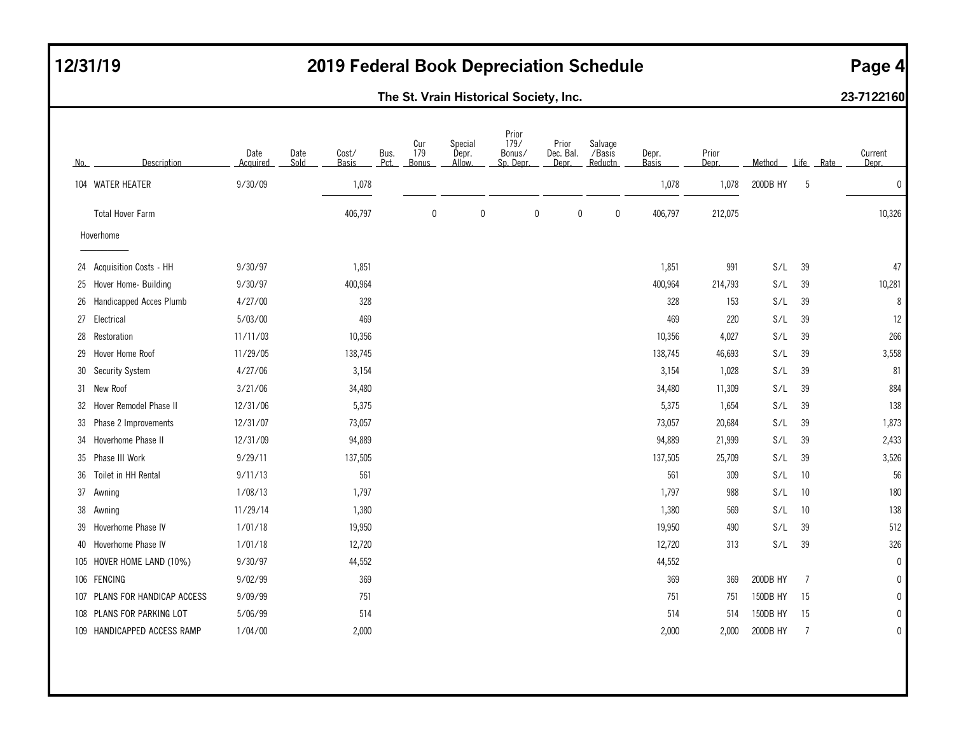### **Page 4**

| No. | Description                 | Date<br>Acquired | Date<br>Sold | Cost/<br><b>Basis</b> | Bus.<br>Pct. | Cur<br>179<br><b>Bonus</b> | Special<br>Depr.<br>Allow. | Prior<br>179/<br>Bonus/<br>Sp. Depr | Prior<br>Dec. Bal.<br>Depr | Salvage<br>/Basis<br>Reductn | Depr.<br><b>Basis</b> | Prior<br>Depr. | Method   | Life<br>Rate   | Current<br>Depr. |
|-----|-----------------------------|------------------|--------------|-----------------------|--------------|----------------------------|----------------------------|-------------------------------------|----------------------------|------------------------------|-----------------------|----------------|----------|----------------|------------------|
| 104 | WATER HEATER                | 9/30/09          |              | 1,078                 |              |                            |                            |                                     |                            |                              | 1,078                 | 1,078          | 200DB HY | 5              | 0                |
|     | Total Hover Farm            |                  |              | 406,797               |              | 0                          | 0                          |                                     | $\pmb{0}$<br>$\mathbf 0$   | $\pmb{0}$                    | 406,797               | 212,075        |          |                | 10,326           |
|     | Hoverhome                   |                  |              |                       |              |                            |                            |                                     |                            |                              |                       |                |          |                |                  |
| 24  | Acquisition Costs - HH      | 9/30/97          |              | 1,851                 |              |                            |                            |                                     |                            |                              | 1,851                 | 991            | S/L      | 39             | 47               |
| 25  | Hover Home- Building        | 9/30/97          |              | 400,964               |              |                            |                            |                                     |                            |                              | 400,964               | 214,793        | S/L      | 39             | 10,281           |
| 26  | Handicapped Acces Plumb     | 4/27/00          |              | 328                   |              |                            |                            |                                     |                            |                              | 328                   | 153            | S/L      | 39             | 8                |
| 27  | Electrical                  | 5/03/00          |              | 469                   |              |                            |                            |                                     |                            |                              | 469                   | 220            | S/L      | 39             | 12               |
| 28  | Restoration                 | 11/11/03         |              | 10,356                |              |                            |                            |                                     |                            |                              | 10,356                | 4,027          | S/L      | 39             | 266              |
| 29  | Hover Home Roof             | 11/29/05         |              | 138,745               |              |                            |                            |                                     |                            |                              | 138,745               | 46,693         | S/L      | 39             | 3,558            |
| 30  | Security System             | 4/27/06          |              | 3,154                 |              |                            |                            |                                     |                            |                              | 3,154                 | 1,028          | S/L      | 39             | 81               |
| 31  | New Roof                    | 3/21/06          |              | 34,480                |              |                            |                            |                                     |                            |                              | 34,480                | 11,309         | S/L      | 39             | 884              |
| 32  | Hover Remodel Phase II      | 12/31/06         |              | 5,375                 |              |                            |                            |                                     |                            |                              | 5,375                 | 1,654          | S/L      | 39             | 138              |
| 33  | Phase 2 Improvements        | 12/31/07         |              | 73,057                |              |                            |                            |                                     |                            |                              | 73,057                | 20,684         | S/L      | 39             | 1,873            |
| 34  | Hoverhome Phase II          | 12/31/09         |              | 94,889                |              |                            |                            |                                     |                            |                              | 94,889                | 21,999         | S/L      | 39             | 2,433            |
| 35  | Phase III Work              | 9/29/11          |              | 137,505               |              |                            |                            |                                     |                            |                              | 137,505               | 25,709         | S/L      | 39             | 3,526            |
| 36  | Toilet in HH Rental         | 9/11/13          |              | 561                   |              |                            |                            |                                     |                            |                              | 561                   | 309            | S/L      | 10             | 56               |
| 37  | Awning                      | 1/08/13          |              | 1,797                 |              |                            |                            |                                     |                            |                              | 1,797                 | 988            | S/L      | 10             | 180              |
| 38  | Awning                      | 11/29/14         |              | 1,380                 |              |                            |                            |                                     |                            |                              | 1,380                 | 569            | S/L      | 10             | 138              |
| 39  | Hoverhome Phase IV          | 1/01/18          |              | 19,950                |              |                            |                            |                                     |                            |                              | 19,950                | 490            | S/L      | 39             | 512              |
| 40  | Hoverhome Phase IV          | 1/01/18          |              | 12,720                |              |                            |                            |                                     |                            |                              | 12,720                | 313            | S/L      | 39             | 326              |
| 105 | HOVER HOME LAND (10%)       | 9/30/97          |              | 44,552                |              |                            |                            |                                     |                            |                              | 44,552                |                |          |                | 0                |
|     | 106 FENCING                 | 9/02/99          |              | 369                   |              |                            |                            |                                     |                            |                              | 369                   | 369            | 200DB HY | $\overline{7}$ | 0                |
| 107 | PLANS FOR HANDICAP ACCESS   | 9/09/99          |              | 751                   |              |                            |                            |                                     |                            |                              | 751                   | 751            | 150DB HY | 15             |                  |
|     | 108 PLANS FOR PARKING LOT   | 5/06/99          |              | 514                   |              |                            |                            |                                     |                            |                              | 514                   | 514            | 150DB HY | 15             |                  |
|     | 109 HANDICAPPED ACCESS RAMP | 1/04/00          |              | 2,000                 |              |                            |                            |                                     |                            |                              | 2,000                 | 2,000          | 200DB HY | 7              | 0                |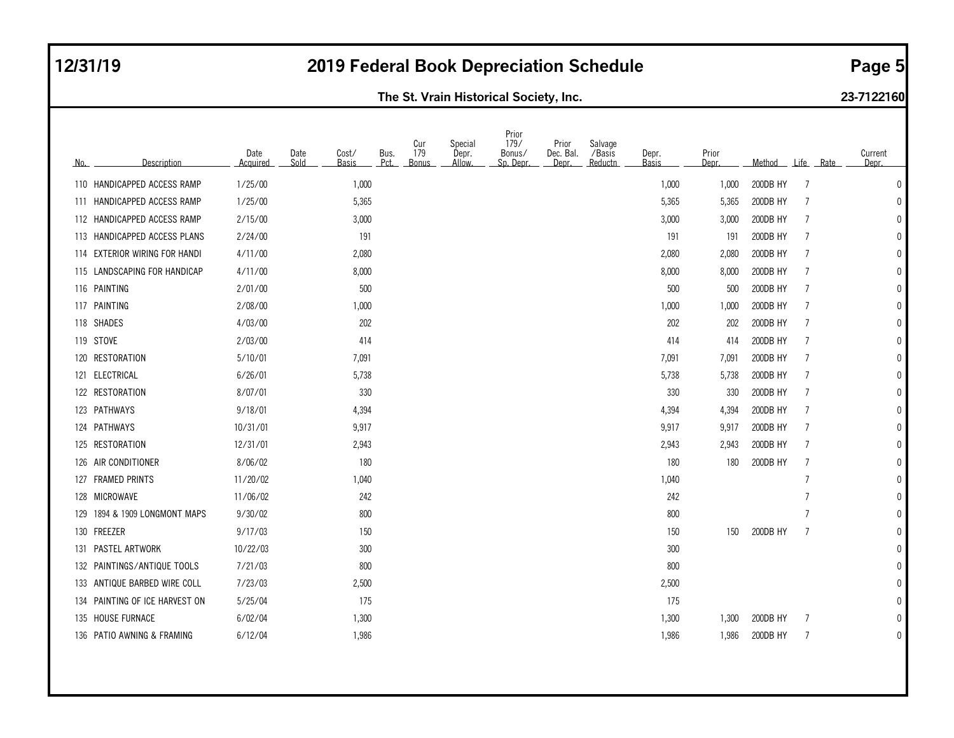## **Page 5**

| No. | Description                   | Date<br>Acquired | Date<br>Sold | Cost/<br><b>Basis</b> | Bus.<br>Pct. | Cur<br>179<br><b>Bonus</b> | Special<br>Depr.<br>Allow. | Prior<br>179/<br>Bonus/<br>Sp. Depr. | Prior<br>Dec. Bal.<br>Depr. | Salvage<br>/Basis<br>Reductn | Depr.<br><b>Basis</b> | Prior<br>Depr | Method   | Life Rate      | Current<br>Depr. |
|-----|-------------------------------|------------------|--------------|-----------------------|--------------|----------------------------|----------------------------|--------------------------------------|-----------------------------|------------------------------|-----------------------|---------------|----------|----------------|------------------|
|     | 110 HANDICAPPED ACCESS RAMP   | 1/25/00          |              | 1,000                 |              |                            |                            |                                      |                             |                              | 1,000                 | 1,000         | 200DB HY | $\overline{7}$ |                  |
|     | 111 HANDICAPPED ACCESS RAMP   | 1/25/00          |              | 5,365                 |              |                            |                            |                                      |                             |                              | 5,365                 | 5,365         | 200DB HY | 7              |                  |
|     | 112 HANDICAPPED ACCESS RAMP   | 2/15/00          |              | 3,000                 |              |                            |                            |                                      |                             |                              | 3,000                 | 3,000         | 200DB HY | 7              |                  |
|     | 113 HANDICAPPED ACCESS PLANS  | 2/24/00          |              | 191                   |              |                            |                            |                                      |                             |                              | 191                   | 191           | 200DB HY | 7              |                  |
|     | 114 EXTERIOR WIRING FOR HANDI | 4/11/00          |              | 2,080                 |              |                            |                            |                                      |                             |                              | 2,080                 | 2,080         | 200DB HY | 7              |                  |
|     | 115 LANDSCAPING FOR HANDICAP  | 4/11/00          |              | 8,000                 |              |                            |                            |                                      |                             |                              | 8,000                 | 8,000         | 200DB HY | 7              |                  |
|     | 116 PAINTING                  | 2/01/00          |              | 500                   |              |                            |                            |                                      |                             |                              | 500                   | 500           | 200DB HY | 7              |                  |
|     | 117 PAINTING                  | 2/08/00          |              | 1,000                 |              |                            |                            |                                      |                             |                              | 1,000                 | 1,000         | 200DB HY | $\overline{7}$ |                  |
|     | 118 SHADES                    | 4/03/00          |              | 202                   |              |                            |                            |                                      |                             |                              | 202                   | 202           | 200DB HY | 7              |                  |
|     | 119 STOVE                     | 2/03/00          |              | 414                   |              |                            |                            |                                      |                             |                              | 414                   | 414           | 200DB HY | 7              |                  |
| 120 | <b>RESTORATION</b>            | 5/10/01          |              | 7,091                 |              |                            |                            |                                      |                             |                              | 7,091                 | 7,091         | 200DB HY | 7              |                  |
|     | 121 ELECTRICAL                | 6/26/01          |              | 5,738                 |              |                            |                            |                                      |                             |                              | 5,738                 | 5,738         | 200DB HY | 7              |                  |
|     | 122 RESTORATION               | 8/07/01          |              | 330                   |              |                            |                            |                                      |                             |                              | 330                   | 330           | 200DB HY | 7              |                  |
|     | 123 PATHWAYS                  | 9/18/01          |              | 4,394                 |              |                            |                            |                                      |                             |                              | 4,394                 | 4,394         | 200DB HY | 7              |                  |
|     | 124 PATHWAYS                  | 10/31/01         |              | 9,917                 |              |                            |                            |                                      |                             |                              | 9,917                 | 9,917         | 200DB HY | $\overline{7}$ |                  |
|     | 125 RESTORATION               | 12/31/01         |              | 2,943                 |              |                            |                            |                                      |                             |                              | 2,943                 | 2,943         | 200DB HY | 7              |                  |
|     | 126 AIR CONDITIONER           | 8/06/02          |              | 180                   |              |                            |                            |                                      |                             |                              | 180                   | 180           | 200DB HY | 7              |                  |
| 127 | <b>FRAMED PRINTS</b>          | 11/20/02         |              | 1,040                 |              |                            |                            |                                      |                             |                              | 1,040                 |               |          | $\overline{7}$ |                  |
| 128 | <b>MICROWAVE</b>              | 11/06/02         |              | 242                   |              |                            |                            |                                      |                             |                              | 242                   |               |          | 7              |                  |
| 129 | 1894 & 1909 LONGMONT MAPS     | 9/30/02          |              | 800                   |              |                            |                            |                                      |                             |                              | 800                   |               |          | 7              |                  |
|     | 130 FREEZER                   | 9/17/03          |              | 150                   |              |                            |                            |                                      |                             |                              | 150                   | 150           | 200DB HY | 7              |                  |
|     | 131 PASTEL ARTWORK            | 10/22/03         |              | 300                   |              |                            |                            |                                      |                             |                              | 300                   |               |          |                |                  |
| 132 | PAINTINGS/ANTIQUE TOOLS       | 7/21/03          |              | 800                   |              |                            |                            |                                      |                             |                              | 800                   |               |          |                |                  |
| 133 | ANTIQUE BARBED WIRE COLL      | 7/23/03          |              | 2,500                 |              |                            |                            |                                      |                             |                              | 2,500                 |               |          |                |                  |
| 134 | PAINTING OF ICE HARVEST ON    | 5/25/04          |              | 175                   |              |                            |                            |                                      |                             |                              | 175                   |               |          |                |                  |
|     | 135 HOUSE FURNACE             | 6/02/04          |              | 1,300                 |              |                            |                            |                                      |                             |                              | 1,300                 | 1,300         | 200DB HY | 7              |                  |
|     | 136 PATIO AWNING & FRAMING    | 6/12/04          |              | 1,986                 |              |                            |                            |                                      |                             |                              | 1,986                 | 1,986         | 200DB HY | 7              |                  |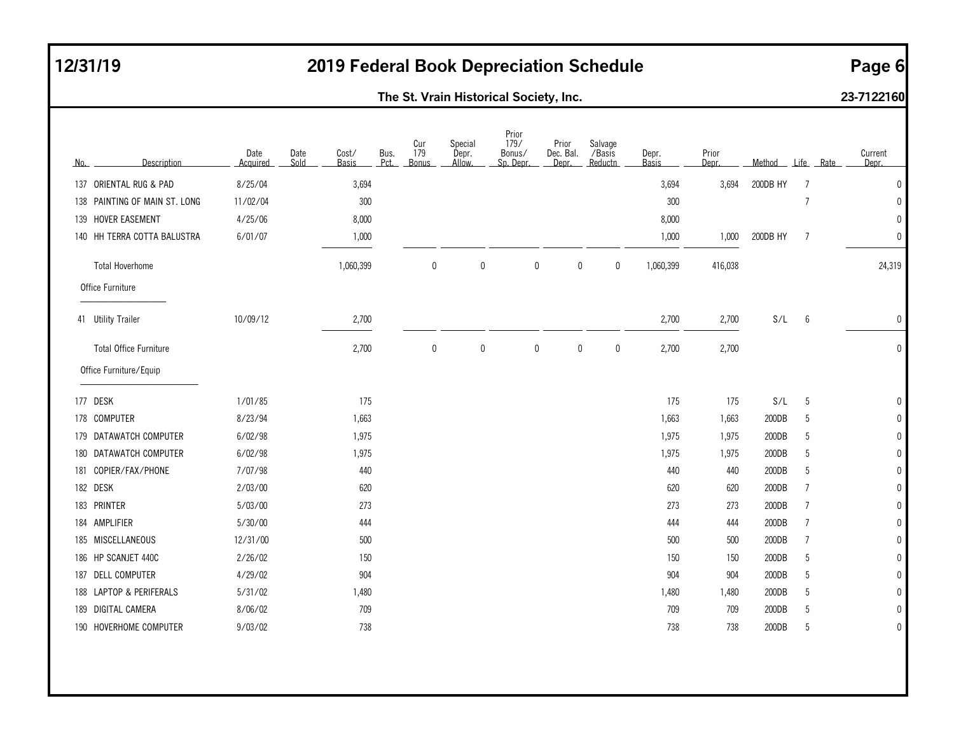## **Page 6**

| Description<br>No.            | Date<br>Acquired | Date<br>Sold | Cost/<br><b>Basis</b> | Bus.<br>Pct. | Cur<br>179<br><b>Bonus</b> | Special<br>Depr.<br>Allow. | Prior<br>179/<br>Bonus/<br>Sp. Depr. | Prior<br>Dec. Bal.<br>Depr. | Salvage<br>/Basis<br>Reductn |             | Depr.<br><b>Rasis</b> | Prior<br>Depr. | Method   | Life Rate      | Current<br>Depr. |
|-------------------------------|------------------|--------------|-----------------------|--------------|----------------------------|----------------------------|--------------------------------------|-----------------------------|------------------------------|-------------|-----------------------|----------------|----------|----------------|------------------|
| ORIENTAL RUG & PAD<br>137     | 8/25/04          |              | 3,694                 |              |                            |                            |                                      |                             |                              |             | 3,694                 | 3,694          | 200DB HY | 7              | $\cup$           |
| 138 PAINTING OF MAIN ST. LONG | 11/02/04         |              | 300                   |              |                            |                            |                                      |                             |                              |             | 300                   |                |          | $\overline{7}$ | $\Omega$         |
| HOVER EASEMENT<br>139         | 4/25/06          |              | 8,000                 |              |                            |                            |                                      |                             |                              |             | 8,000                 |                |          |                | $\Omega$         |
| 140 HH TERRA COTTA BALUSTRA   | 6/01/07          |              | 1,000                 |              |                            |                            |                                      |                             |                              |             | 1,000                 | 1,000          | 200DB HY | 7              | $\Omega$         |
| <b>Total Hoverhome</b>        |                  |              | 1,060,399             |              | 0                          | 0                          |                                      | 0                           | 0                            | $\mathbf 0$ | 1,060,399             | 416,038        |          |                | 24,319           |
| Office Furniture              |                  |              |                       |              |                            |                            |                                      |                             |                              |             |                       |                |          |                |                  |
| 41 Utility Trailer            | 10/09/12         |              | 2,700                 |              |                            |                            |                                      |                             |                              |             | 2,700                 | 2,700          | S/L      | 6              | $\mathbf{0}$     |
| <b>Total Office Furniture</b> |                  |              | 2,700                 |              | $\mathbf 0$                | 0                          |                                      | $\mathbf 0$                 | $\mathbf 0$                  | $\mathbf 0$ | 2,700                 | 2,700          |          |                | $\mathbf{0}$     |
| Office Furniture/Equip        |                  |              |                       |              |                            |                            |                                      |                             |                              |             |                       |                |          |                |                  |
| 177 DESK                      | 1/01/85          |              | 175                   |              |                            |                            |                                      |                             |                              |             | 175                   | 175            | S/L      | 5              |                  |
| 178 COMPUTER                  | 8/23/94          |              | 1,663                 |              |                            |                            |                                      |                             |                              |             | 1,663                 | 1,663          | 200DB    | 5              |                  |
| 179 DATAWATCH COMPUTER        | 6/02/98          |              | 1,975                 |              |                            |                            |                                      |                             |                              |             | 1,975                 | 1,975          | 200DB    | 5              |                  |
| 180 DATAWATCH COMPUTER        | 6/02/98          |              | 1,975                 |              |                            |                            |                                      |                             |                              |             | 1,975                 | 1,975          | 200DB    | 5              |                  |
| COPIER/FAX/PHONE<br>181       | 7/07/98          |              | 440                   |              |                            |                            |                                      |                             |                              |             | 440                   | 440            | 200DB    | 5              |                  |
| 182 DESK                      | 2/03/00          |              | 620                   |              |                            |                            |                                      |                             |                              |             | 620                   | 620            | 200DB    | 7              |                  |
| PRINTER<br>183                | 5/03/00          |              | 273                   |              |                            |                            |                                      |                             |                              |             | 273                   | 273            | 200DB    | 7              | $\cup$           |
| AMPLIFIER<br>184              | 5/30/00          |              | 444                   |              |                            |                            |                                      |                             |                              |             | 444                   | 444            | 200DB    | 7              |                  |
| MISCELLANEOUS<br>185          | 12/31/00         |              | 500                   |              |                            |                            |                                      |                             |                              |             | 500                   | 500            | 200DB    | 7              |                  |
| HP SCANJET 440C<br>186        | 2/26/02          |              | 150                   |              |                            |                            |                                      |                             |                              |             | 150                   | 150            | 200DB    | 5              |                  |
| 187 DELL COMPUTER             | 4/29/02          |              | 904                   |              |                            |                            |                                      |                             |                              |             | 904                   | 904            | 200DB    | 5              |                  |
| 188 LAPTOP & PERIFERALS       | 5/31/02          |              | 1,480                 |              |                            |                            |                                      |                             |                              |             | 1,480                 | 1,480          | 200DB    | 5              |                  |
| 189 DIGITAL CAMERA            | 8/06/02          |              | 709                   |              |                            |                            |                                      |                             |                              |             | 709                   | 709            | 200DB    | 5              |                  |
| HOVERHOME COMPUTER<br>190     | 9/03/02          |              | 738                   |              |                            |                            |                                      |                             |                              |             | 738                   | 738            | 200DB    | 5              | $\Omega$         |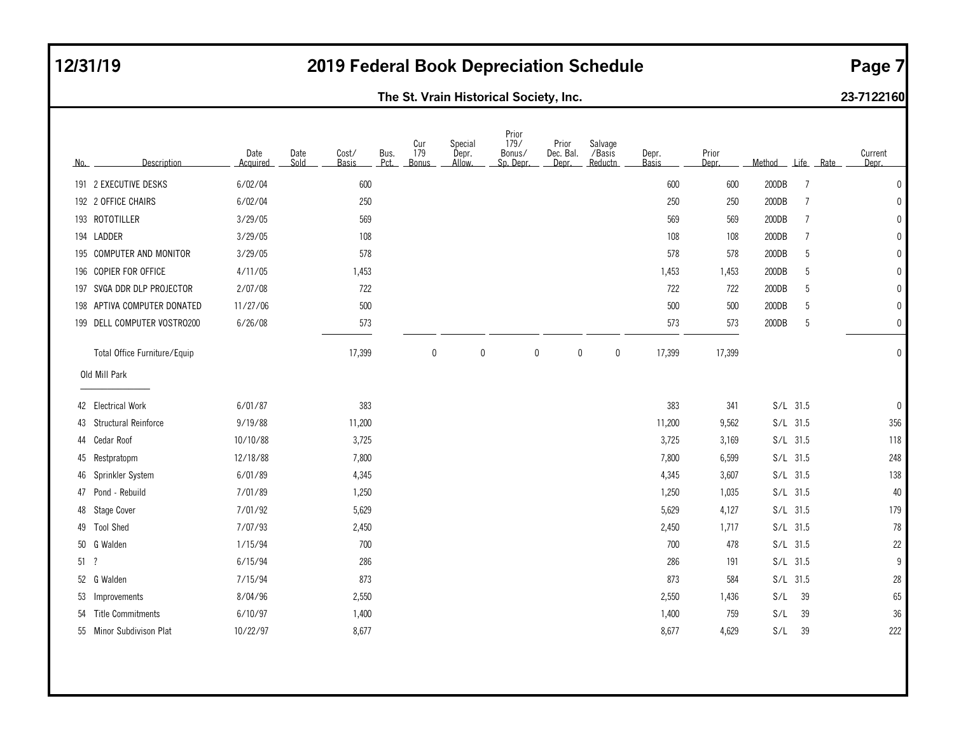## **Page 7**

| No.    | Description                  | Date<br>Acquired | Date<br>Sold | Cost/<br><b>Basis</b> | Bus.<br>Pct. | Cur<br>179<br><b>Bonus</b> | Special<br>Depr.<br>Allow. | Prior<br>179/<br>Bonus/<br>Sp. Depr. | Prior<br>Dec. Bal.<br>Depr. | Salvage<br>/Basis<br>Reductn | Depr.<br><b>Basis</b> | Prior<br>Depr. | Method | Life Rate      | Current<br>Depr. |
|--------|------------------------------|------------------|--------------|-----------------------|--------------|----------------------------|----------------------------|--------------------------------------|-----------------------------|------------------------------|-----------------------|----------------|--------|----------------|------------------|
|        | 191 2 EXECUTIVE DESKS        | 6/02/04          |              | 600                   |              |                            |                            |                                      |                             |                              | 600                   | 600            | 200DB  | $\overline{7}$ | $\Omega$         |
|        | 192 2 OFFICE CHAIRS          | 6/02/04          |              | 250                   |              |                            |                            |                                      |                             |                              | 250                   | 250            | 200DB  | $\overline{7}$ |                  |
|        | 193 ROTOTILLER               | 3/29/05          |              | 569                   |              |                            |                            |                                      |                             |                              | 569                   | 569            | 200DB  | 7              |                  |
|        | 194 LADDER                   | 3/29/05          |              | 108                   |              |                            |                            |                                      |                             |                              | 108                   | 108            | 200DB  | 7              |                  |
|        | 195 COMPUTER AND MONITOR     | 3/29/05          |              | 578                   |              |                            |                            |                                      |                             |                              | 578                   | 578            | 200DB  | 5              |                  |
| 196    | COPIER FOR OFFICE            | 4/11/05          |              | 1,453                 |              |                            |                            |                                      |                             |                              | 1,453                 | 1,453          | 200DB  | 5              |                  |
|        | 197 SVGA DDR DLP PROJECTOR   | 2/07/08          |              | 722                   |              |                            |                            |                                      |                             |                              | 722                   | 722            | 200DB  | 5              | $\Omega$         |
|        | 198 APTIVA COMPUTER DONATED  | 11/27/06         |              | 500                   |              |                            |                            |                                      |                             |                              | 500                   | 500            | 200DB  | 5              | $\mathbf{0}$     |
|        | 199 DELL COMPUTER VOSTRO200  | 6/26/08          |              | 573                   |              |                            |                            |                                      |                             |                              | 573                   | 573            | 200DB  | 5              | 0                |
|        | Total Office Furniture/Equip |                  |              | 17,399                |              | $\mathbf 0$                | 0                          | 0                                    |                             | 0<br>$\mathbf 0$             | 17,399                | 17,399         |        |                | $\mathbf 0$      |
|        | Old Mill Park                |                  |              |                       |              |                            |                            |                                      |                             |                              |                       |                |        |                |                  |
|        | 42 Electrical Work           | 6/01/87          |              | 383                   |              |                            |                            |                                      |                             |                              | 383                   | 341            |        | $S/L$ 31.5     | $\theta$         |
| 43     | Structural Reinforce         | 9/19/88          |              | 11,200                |              |                            |                            |                                      |                             |                              | 11,200                | 9,562          |        | S/L 31.5       | 356              |
| 44     | Cedar Roof                   | 10/10/88         |              | 3,725                 |              |                            |                            |                                      |                             |                              | 3,725                 | 3,169          |        | S/L 31.5       | 118              |
| 45     | Restpratopm                  | 12/18/88         |              | 7,800                 |              |                            |                            |                                      |                             |                              | 7,800                 | 6,599          |        | $S/L$ 31.5     | 248              |
| 46     | Sprinkler System             | 6/01/89          |              | 4,345                 |              |                            |                            |                                      |                             |                              | 4,345                 | 3,607          |        | $S/L$ 31.5     | 138              |
| 47     | Pond - Rebuild               | 7/01/89          |              | 1,250                 |              |                            |                            |                                      |                             |                              | 1,250                 | 1,035          |        | $S/L$ 31.5     | 40               |
| 48     | Stage Cover                  | 7/01/92          |              | 5,629                 |              |                            |                            |                                      |                             |                              | 5,629                 | 4,127          |        | $S/L$ 31.5     | 179              |
| 49     | <b>Tool Shed</b>             | 7/07/93          |              | 2,450                 |              |                            |                            |                                      |                             |                              | 2,450                 | 1,717          |        | S/L 31.5       | 78               |
| 50     | G Walden                     | 1/15/94          |              | 700                   |              |                            |                            |                                      |                             |                              | 700                   | 478            |        | S/L 31.5       | 22               |
| $51$ ? |                              | 6/15/94          |              | 286                   |              |                            |                            |                                      |                             |                              | 286                   | 191            |        | $S/L$ 31.5     | 9                |
| 52     | G Walden                     | 7/15/94          |              | 873                   |              |                            |                            |                                      |                             |                              | 873                   | 584            |        | S/L 31.5       | 28               |
| 53     | Improvements                 | 8/04/96          |              | 2,550                 |              |                            |                            |                                      |                             |                              | 2,550                 | 1,436          | S/L    | 39             | 65               |
| 54     | <b>Title Commitments</b>     | 6/10/97          |              | 1,400                 |              |                            |                            |                                      |                             |                              | 1,400                 | 759            | S/L    | 39             | 36               |
| 55     | Minor Subdivison Plat        | 10/22/97         |              | 8,677                 |              |                            |                            |                                      |                             |                              | 8,677                 | 4,629          | S/L    | 39             | 222              |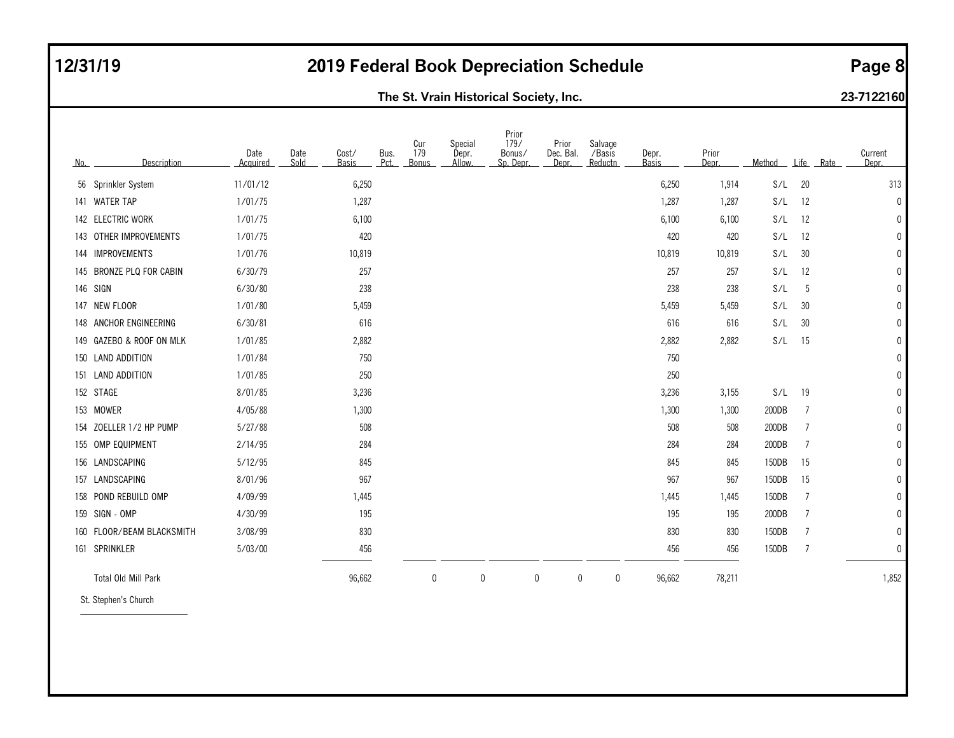## **Page 8**

**The St. Vrain Historical Society, Inc. 23-7122160**

| No. | <b>Description</b>       | Date<br>Acquired | Date<br>Sold | Cost/<br><b>Basis</b> | Bus.<br>Pct. | Cur<br>179<br><b>Bonus</b> | Special<br>Depr.<br>Allow. | Prior<br>179/<br>Bonus/<br>Sp. Depr. | Prior<br>Dec. Bal.<br>Depr. | Salvage<br>/Basis<br>Reductn | Depr.<br><b>Basis</b> | Prior<br>Depr. | Method | Life Rate      | Current<br>Depr. |
|-----|--------------------------|------------------|--------------|-----------------------|--------------|----------------------------|----------------------------|--------------------------------------|-----------------------------|------------------------------|-----------------------|----------------|--------|----------------|------------------|
|     | 56 Sprinkler System      | 11/01/12         |              | 6,250                 |              |                            |                            |                                      |                             |                              | 6,250                 | 1,914          | S/L    | 20             | 313              |
|     | 141 WATER TAP            | 1/01/75          |              | 1,287                 |              |                            |                            |                                      |                             |                              | 1,287                 | 1,287          | S/L    | 12             | $\theta$         |
|     | 142 ELECTRIC WORK        | 1/01/75          |              | 6,100                 |              |                            |                            |                                      |                             |                              | 6,100                 | 6,100          | S/L    | 12             |                  |
|     | 143 OTHER IMPROVEMENTS   | 1/01/75          |              | 420                   |              |                            |                            |                                      |                             |                              | 420                   | 420            | S/L    | -12            |                  |
| 144 | <b>IMPROVEMENTS</b>      | 1/01/76          |              | 10,819                |              |                            |                            |                                      |                             |                              | 10,819                | 10,819         | S/L    | 30             |                  |
|     | 145 BRONZE PLQ FOR CABIN | 6/30/79          |              | 257                   |              |                            |                            |                                      |                             |                              | 257                   | 257            | S/L    | 12             |                  |
|     | 146 SIGN                 | 6/30/80          |              | 238                   |              |                            |                            |                                      |                             |                              | 238                   | 238            | S/L    | 5              |                  |
| 147 | NEW FLOOR                | 1/01/80          |              | 5,459                 |              |                            |                            |                                      |                             |                              | 5,459                 | 5,459          | S/L    | 30             |                  |
|     | 148 ANCHOR ENGINEERING   | 6/30/81          |              | 616                   |              |                            |                            |                                      |                             |                              | 616                   | 616            | S/L    | 30             | $\Omega$         |
|     | 149 GAZEBO & ROOF ON MLK | 1/01/85          |              | 2,882                 |              |                            |                            |                                      |                             |                              | 2,882                 | 2,882          | S/L    | 15             |                  |
|     | 150 LAND ADDITION        | 1/01/84          |              | 750                   |              |                            |                            |                                      |                             |                              | 750                   |                |        |                |                  |
|     | 151 LAND ADDITION        | 1/01/85          |              | 250                   |              |                            |                            |                                      |                             |                              | 250                   |                |        |                |                  |
|     | 152 STAGE                | 8/01/85          |              | 3,236                 |              |                            |                            |                                      |                             |                              | 3,236                 | 3,155          | S/L    | 19             |                  |
|     | 153 MOWER                | 4/05/88          |              | 1,300                 |              |                            |                            |                                      |                             |                              | 1,300                 | 1,300          | 200DB  | 7              |                  |
|     | 154 ZOELLER 1/2 HP PUMP  | 5/27/88          |              | 508                   |              |                            |                            |                                      |                             |                              | 508                   | 508            | 200DB  | 7              |                  |
|     | 155 OMP EQUIPMENT        | 2/14/95          |              | 284                   |              |                            |                            |                                      |                             |                              | 284                   | 284            | 200DB  | 7              |                  |
|     | 156 LANDSCAPING          | 5/12/95          |              | 845                   |              |                            |                            |                                      |                             |                              | 845                   | 845            | 150DB  | 15             | $\Omega$         |
|     | 157 LANDSCAPING          | 8/01/96          |              | 967                   |              |                            |                            |                                      |                             |                              | 967                   | 967            | 150DB  | 15             |                  |
|     | 158 POND REBUILD OMP     | 4/09/99          |              | 1,445                 |              |                            |                            |                                      |                             |                              | 1,445                 | 1,445          | 150DB  | 7              |                  |
|     | 159 SIGN - OMP           | 4/30/99          |              | 195                   |              |                            |                            |                                      |                             |                              | 195                   | 195            | 200DB  | $\overline{7}$ |                  |
| 160 | FLOOR/BEAM BLACKSMITH    | 3/08/99          |              | 830                   |              |                            |                            |                                      |                             |                              | 830                   | 830            | 150DB  | 7              | $\theta$         |
|     | 161 SPRINKLER            | 5/03/00          |              | 456                   |              |                            |                            |                                      |                             |                              | 456                   | 456            | 150DB  | 7              | $\theta$         |
|     | Total Old Mill Park      |                  |              | 96,662                |              | 0                          | 0                          |                                      | $\mathbf 0$                 | 0<br>0                       | 96,662                | 78,211         |        |                | 1,852            |

St. Stephen's Church  $\mathcal{L}=\mathcal{L}^{\mathcal{L}}$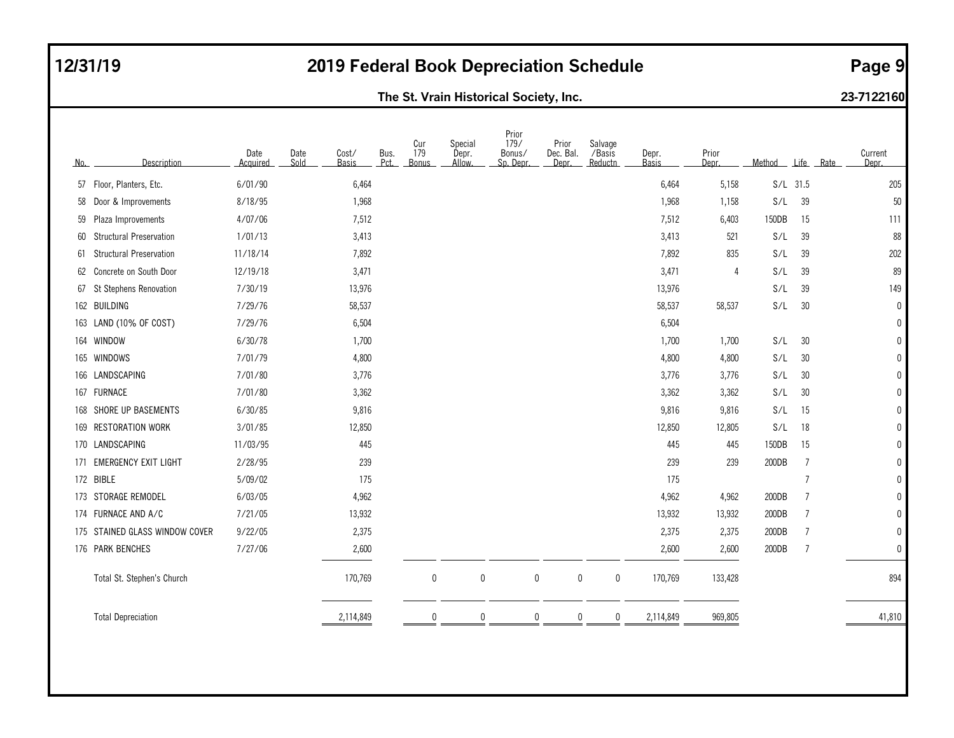## **Page 9**

| No. | <b>Description</b>             | Date<br>Acquired | Date<br>Sold | Cost/<br><b>Basis</b> | Bus.<br>Pct. | Cur<br>179<br><b>Bonus</b> | Special<br>Depr.<br>Allow. | Prior<br>179/<br>Bonus/<br>Sp. Depr. | Prior<br>Dec. Bal.<br>Depr. | Salvage<br>/Basis<br>Reductn | Depr.<br><b>Basis</b> | Prior<br>Depr. | Method |                | Life Rate | Current<br>Depr. |
|-----|--------------------------------|------------------|--------------|-----------------------|--------------|----------------------------|----------------------------|--------------------------------------|-----------------------------|------------------------------|-----------------------|----------------|--------|----------------|-----------|------------------|
| 57  | Floor, Planters, Etc.          | 6/01/90          |              | 6,464                 |              |                            |                            |                                      |                             |                              | 6,464                 | 5,158          |        | $S/L$ 31.5     |           | 205              |
| 58  | Door & Improvements            | 8/18/95          |              | 1,968                 |              |                            |                            |                                      |                             |                              | 1,968                 | 1,158          | S/L    | 39             |           | 50               |
| 59  | Plaza Improvements             | 4/07/06          |              | 7,512                 |              |                            |                            |                                      |                             |                              | 7,512                 | 6,403          | 150DB  | 15             |           | 111              |
| 60  | <b>Structural Preservation</b> | 1/01/13          |              | 3,413                 |              |                            |                            |                                      |                             |                              | 3,413                 | 521            | S/L    | 39             |           | 88               |
| 61  | <b>Structural Preservation</b> | 11/18/14         |              | 7,892                 |              |                            |                            |                                      |                             |                              | 7,892                 | 835            | S/L    | 39             |           | 202              |
| 62  | Concrete on South Door         | 12/19/18         |              | 3,471                 |              |                            |                            |                                      |                             |                              | 3,471                 | $\overline{4}$ | S/L    | 39             |           | 89               |
| 67  | St Stephens Renovation         | 7/30/19          |              | 13,976                |              |                            |                            |                                      |                             |                              | 13,976                |                | S/L    | 39             |           | 149              |
|     | 162 BUILDING                   | 7/29/76          |              | 58,537                |              |                            |                            |                                      |                             |                              | 58,537                | 58,537         | S/L    | 30             |           | $\mathbf 0$      |
|     | 163 LAND (10% OF COST)         | 7/29/76          |              | 6,504                 |              |                            |                            |                                      |                             |                              | 6,504                 |                |        |                |           | $\mathbf{0}$     |
|     | 164 WINDOW                     | 6/30/78          |              | 1,700                 |              |                            |                            |                                      |                             |                              | 1,700                 | 1,700          | S/L    | 30             |           | $\mathbf 0$      |
| 165 | WINDOWS                        | 7/01/79          |              | 4,800                 |              |                            |                            |                                      |                             |                              | 4,800                 | 4,800          | S/L    | 30             |           | $\mathbf 0$      |
|     | 166 LANDSCAPING                | 7/01/80          |              | 3,776                 |              |                            |                            |                                      |                             |                              | 3,776                 | 3,776          | S/L    | 30             |           | $\mathbf{0}$     |
| 167 | <b>FURNACE</b>                 | 7/01/80          |              | 3,362                 |              |                            |                            |                                      |                             |                              | 3,362                 | 3,362          | S/L    | 30             |           | $\mathbf{0}$     |
| 168 | SHORE UP BASEMENTS             | 6/30/85          |              | 9,816                 |              |                            |                            |                                      |                             |                              | 9,816                 | 9,816          | S/L    | 15             |           | $\mathbf 0$      |
|     | 169 RESTORATION WORK           | 3/01/85          |              | 12,850                |              |                            |                            |                                      |                             |                              | 12,850                | 12,805         | S/L    | 18             |           | $\mathbf{0}$     |
|     | 170 LANDSCAPING                | 11/03/95         |              | 445                   |              |                            |                            |                                      |                             |                              | 445                   | 445            | 150DB  | 15             |           | $\mathbf{0}$     |
| 171 | <b>EMERGENCY EXIT LIGHT</b>    | 2/28/95          |              | 239                   |              |                            |                            |                                      |                             |                              | 239                   | 239            | 200DB  | 7              |           | $\mathbf{0}$     |
|     | 172 BIBLE                      | 5/09/02          |              | 175                   |              |                            |                            |                                      |                             |                              | 175                   |                |        | $\overline{7}$ |           | $\mathbf{0}$     |
|     | 173 STORAGE REMODEL            | 6/03/05          |              | 4,962                 |              |                            |                            |                                      |                             |                              | 4,962                 | 4,962          | 200DB  | $\overline{7}$ |           | $\mathbf{0}$     |
|     | 174 FURNACE AND A/C            | 7/21/05          |              | 13,932                |              |                            |                            |                                      |                             |                              | 13,932                | 13,932         | 200DB  | $\overline{7}$ |           | $\mathbf{0}$     |
|     | 175 STAINED GLASS WINDOW COVER | 9/22/05          |              | 2,375                 |              |                            |                            |                                      |                             |                              | 2,375                 | 2,375          | 200DB  | $\overline{7}$ |           | $\mathbf{0}$     |
|     | 176 PARK BENCHES               | 7/27/06          |              | 2,600                 |              |                            |                            |                                      |                             |                              | 2,600                 | 2,600          | 200DB  | $\overline{7}$ |           | $\mathbf 0$      |
|     | Total St. Stephen's Church     |                  |              | 170,769               |              | $\mathbf{0}$               | $\mathbf{0}$               |                                      | 0<br>$\mathbf 0$            | $\mathbf 0$                  | 170,769               | 133,428        |        |                |           | 894              |
|     | <b>Total Depreciation</b>      |                  |              | 2,114,849             |              | $\Omega$                   | <sup>0</sup>               | 0                                    | $\theta$                    | $\bigcap$                    | 2,114,849             | 969,805        |        |                |           | 41,810           |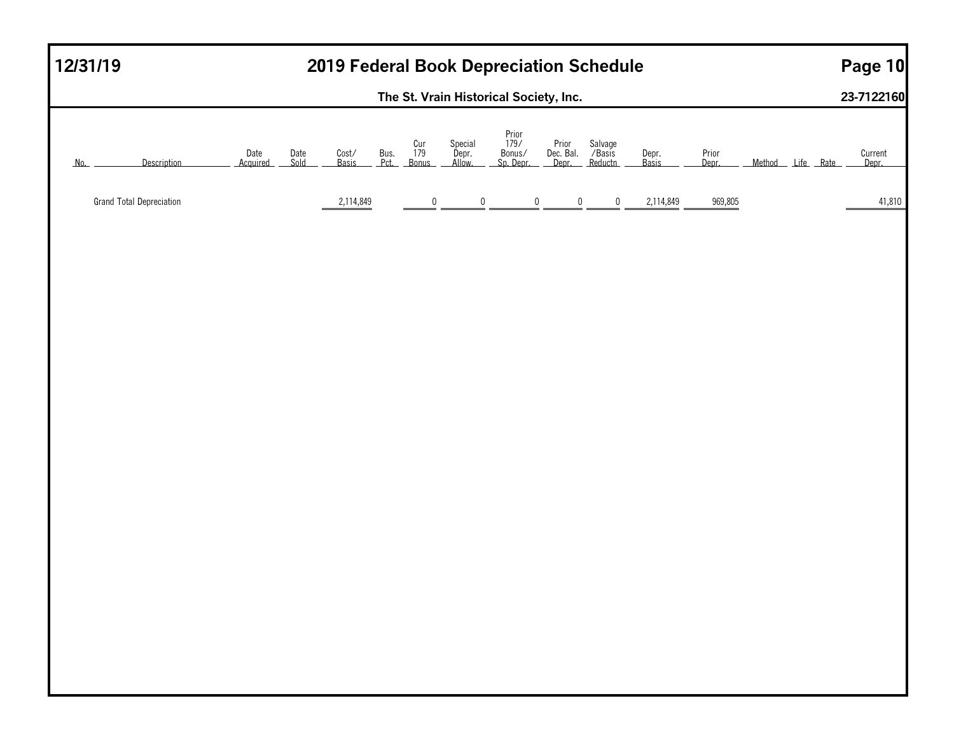| 12/31/19 |                                 | 2019 Federal Book Depreciation Schedule<br>The St. Vrain Historical Society, Inc. |              |                |              |                     |                            |                                      |                             |                                  |                |                |                  |  |  | Page 10          |
|----------|---------------------------------|-----------------------------------------------------------------------------------|--------------|----------------|--------------|---------------------|----------------------------|--------------------------------------|-----------------------------|----------------------------------|----------------|----------------|------------------|--|--|------------------|
|          |                                 |                                                                                   |              |                |              |                     |                            |                                      |                             |                                  |                |                |                  |  |  | 23-7122160       |
| No.      | Description                     | Date<br>Acquired                                                                  | Date<br>Sold | Cost/<br>Basis | Bus.<br>Pct. | Cur<br>179<br>Bonus | Special<br>Depr.<br>Allow. | Prior<br>179/<br>Bonus/<br>Sp. Depr. | Prior<br>Dec. Bal.<br>Depr. | Salvage<br>/Basis<br>Reductn     | Depr.<br>Basis | Prior<br>Depr. | Method Life Rate |  |  | Current<br>Depr. |
|          | <b>Grand Total Depreciation</b> |                                                                                   |              | 2,114,849      |              | $\pmb{0}$           | $\overline{0}$             |                                      | $\overline{0}$              | $\overline{0}$<br>$\overline{0}$ | 2,114,849      | 969,805        |                  |  |  | 41,810           |
|          |                                 |                                                                                   |              |                |              |                     |                            |                                      |                             |                                  |                |                |                  |  |  |                  |
|          |                                 |                                                                                   |              |                |              |                     |                            |                                      |                             |                                  |                |                |                  |  |  |                  |
|          |                                 |                                                                                   |              |                |              |                     |                            |                                      |                             |                                  |                |                |                  |  |  |                  |
|          |                                 |                                                                                   |              |                |              |                     |                            |                                      |                             |                                  |                |                |                  |  |  |                  |
|          |                                 |                                                                                   |              |                |              |                     |                            |                                      |                             |                                  |                |                |                  |  |  |                  |
|          |                                 |                                                                                   |              |                |              |                     |                            |                                      |                             |                                  |                |                |                  |  |  |                  |
|          |                                 |                                                                                   |              |                |              |                     |                            |                                      |                             |                                  |                |                |                  |  |  |                  |
|          |                                 |                                                                                   |              |                |              |                     |                            |                                      |                             |                                  |                |                |                  |  |  |                  |
|          |                                 |                                                                                   |              |                |              |                     |                            |                                      |                             |                                  |                |                |                  |  |  |                  |
|          |                                 |                                                                                   |              |                |              |                     |                            |                                      |                             |                                  |                |                |                  |  |  |                  |
|          |                                 |                                                                                   |              |                |              |                     |                            |                                      |                             |                                  |                |                |                  |  |  |                  |
|          |                                 |                                                                                   |              |                |              |                     |                            |                                      |                             |                                  |                |                |                  |  |  |                  |
|          |                                 |                                                                                   |              |                |              |                     |                            |                                      |                             |                                  |                |                |                  |  |  |                  |
|          |                                 |                                                                                   |              |                |              |                     |                            |                                      |                             |                                  |                |                |                  |  |  |                  |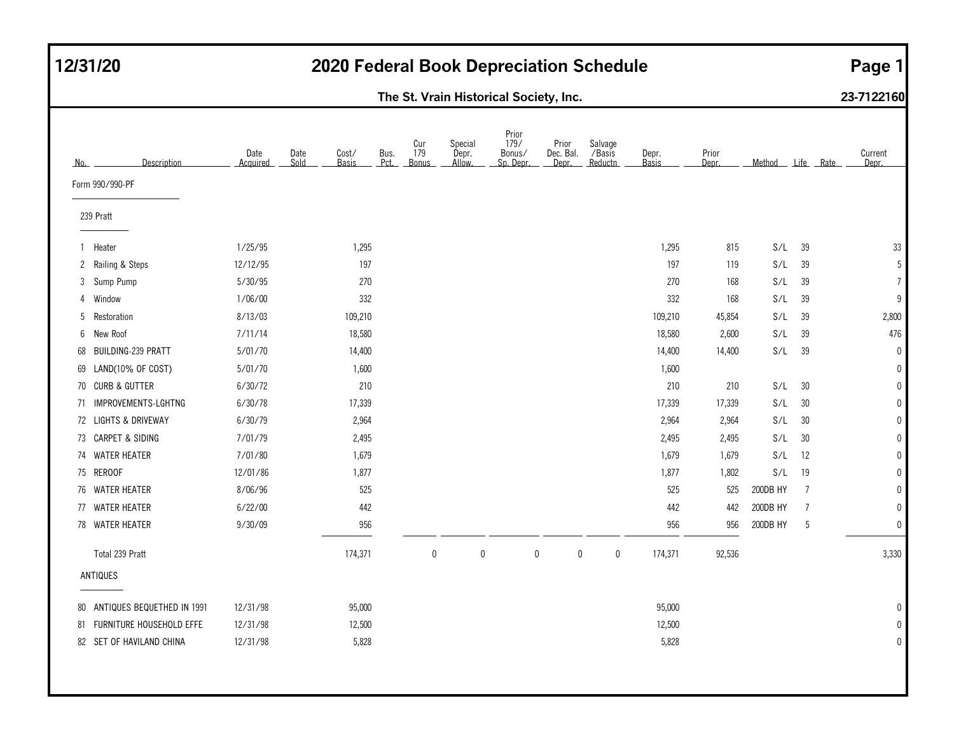| No.          | Description                | Date<br>Acquired | Date<br>Sold | Cost/<br><b>Basis</b> | Bus.<br>Pct. | Cur<br>179<br><b>Bonus</b> | Special<br>Depr.<br>Allow. | Prior<br>179/<br>Bonus/<br>Sp. Depr | Prior<br>Dec. Bal.<br>Depr. | Salvage<br>/Basis<br>Reductn | Depr.<br><b>Basis</b> | Prior<br>Depr. | Method   |                | Life Rate | Current<br>Depr. |
|--------------|----------------------------|------------------|--------------|-----------------------|--------------|----------------------------|----------------------------|-------------------------------------|-----------------------------|------------------------------|-----------------------|----------------|----------|----------------|-----------|------------------|
|              | Form 990/990-PF            |                  |              |                       |              |                            |                            |                                     |                             |                              |                       |                |          |                |           |                  |
|              | 239 Pratt                  |                  |              |                       |              |                            |                            |                                     |                             |                              |                       |                |          |                |           |                  |
|              | 1 Heater                   | 1/25/95          |              | 1,295                 |              |                            |                            |                                     |                             |                              | 1,295                 | 815            | S/L      | 39             |           | 33               |
| $\mathbf{2}$ | Railing & Steps            | 12/12/95         |              | 197                   |              |                            |                            |                                     |                             |                              | 197                   | 119            | S/L      | 39             |           | 5                |
| 3            | Sump Pump                  | 5/30/95          |              | 270                   |              |                            |                            |                                     |                             |                              | 270                   | 168            | S/L      | 39             |           | 7                |
| 4            | Window                     | 1/06/00          |              | 332                   |              |                            |                            |                                     |                             |                              | 332                   | 168            | S/L      | 39             |           | 9                |
| 5            | Restoration                | 8/13/03          |              | 109,210               |              |                            |                            |                                     |                             |                              | 109,210               | 45,854         | S/L      | 39             |           | 2,800            |
| 6            | New Roof                   | 7/11/14          |              | 18,580                |              |                            |                            |                                     |                             |                              | 18,580                | 2,600          | S/L      | 39             |           | 476              |
| 68           | BUILDING-239 PRATT         | 5/01/70          |              | 14,400                |              |                            |                            |                                     |                             |                              | 14,400                | 14,400         | S/L      | 39             |           | 0                |
| 69           | LAND(10% OF COST)          | 5/01/70          |              | 1,600                 |              |                            |                            |                                     |                             |                              | 1,600                 |                |          |                |           | 0                |
| 70           | CURB & GUTTER              | 6/30/72          |              | 210                   |              |                            |                            |                                     |                             |                              | 210                   | 210            | S/L      | 30             |           |                  |
| 71           | IMPROVEMENTS-LGHTNG        | 6/30/78          |              | 17,339                |              |                            |                            |                                     |                             |                              | 17,339                | 17,339         | S/L      | 30             |           |                  |
|              | 72 LIGHTS & DRIVEWAY       | 6/30/79          |              | 2,964                 |              |                            |                            |                                     |                             |                              | 2,964                 | 2,964          | S/L      | 30             |           |                  |
| 73           | CARPET & SIDING            | 7/01/79          |              | 2,495                 |              |                            |                            |                                     |                             |                              | 2,495                 | 2,495          | S/L      | 30             |           |                  |
| 74           | WATER HEATER               | 7/01/80          |              | 1,679                 |              |                            |                            |                                     |                             |                              | 1,679                 | 1,679          | S/L      | 12             |           |                  |
|              | 75 REROOF                  | 12/01/86         |              | 1,877                 |              |                            |                            |                                     |                             |                              | 1,877                 | 1,802          | S/L      | 19             |           |                  |
| 76           | <b>WATER HEATER</b>        | 8/06/96          |              | 525                   |              |                            |                            |                                     |                             |                              | 525                   | 525            | 200DB HY | $\overline{7}$ |           |                  |
| 77           | WATER HEATER               | 6/22/00          |              | 442                   |              |                            |                            |                                     |                             |                              | 442                   | 442            | 200DB HY | 7              |           |                  |
|              | 78 WATER HEATER            | 9/30/09          |              | 956                   |              |                            |                            |                                     |                             |                              | 956                   | 956            | 200DB HY | 5              |           | $\theta$         |
|              | Total 239 Pratt            |                  |              | 174,371               |              | 0                          | $\pmb{0}$                  |                                     | $\pmb{0}$<br>$\mathbf 0$    | $\pmb{0}$                    | 174,371               | 92,536         |          |                |           | 3,330            |
|              | ANTIQUES                   |                  |              |                       |              |                            |                            |                                     |                             |                              |                       |                |          |                |           |                  |
| 80           | ANTIQUES BEQUETHED IN 1991 | 12/31/98         |              | 95,000                |              |                            |                            |                                     |                             |                              | 95,000                |                |          |                |           |                  |
| 81           | FURNITURE HOUSEHOLD EFFE   | 12/31/98         |              | 12,500                |              |                            |                            |                                     |                             |                              | 12,500                |                |          |                |           |                  |
| 82           | SET OF HAVILAND CHINA      | 12/31/98         |              | 5,828                 |              |                            |                            |                                     |                             |                              | 5,828                 |                |          |                |           |                  |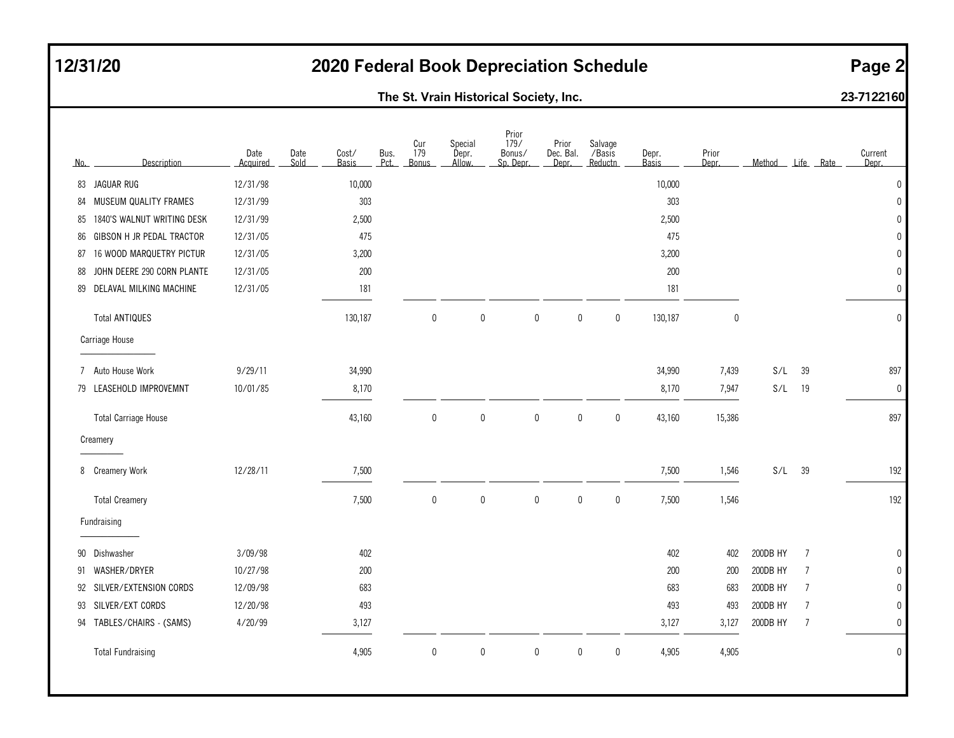## **Page 2**

| No. | Description                 | Date<br>Acquired | Date<br>Sold | Cost/<br><b>Rasis</b> | Bus.<br>Pct | Cur<br>179<br>Bonus | Special<br>Depr.<br>Allow. | Prior<br>179/<br>Bonus/<br>Sp. Depr. | Prior<br>Dec. Bal.<br>Depr. | Salvage<br>/Basis<br>Reductn | Depr.<br><b>Rasis</b> | Prior<br>Denr. | Method   | Life Rate      | Current<br>Denr. |
|-----|-----------------------------|------------------|--------------|-----------------------|-------------|---------------------|----------------------------|--------------------------------------|-----------------------------|------------------------------|-----------------------|----------------|----------|----------------|------------------|
| 83  | JAGUAR RUG                  | 12/31/98         |              | 10,000                |             |                     |                            |                                      |                             |                              | 10,000                |                |          |                |                  |
| 84  | MUSEUM QUALITY FRAMES       | 12/31/99         |              | 303                   |             |                     |                            |                                      |                             |                              | 303                   |                |          |                |                  |
| 85  | 1840'S WALNUT WRITING DESK  | 12/31/99         |              | 2,500                 |             |                     |                            |                                      |                             |                              | 2,500                 |                |          |                |                  |
| 86  | GIBSON H JR PEDAL TRACTOR   | 12/31/05         |              | 475                   |             |                     |                            |                                      |                             |                              | 475                   |                |          |                |                  |
| 87  | 16 WOOD MARQUETRY PICTUR    | 12/31/05         |              | 3,200                 |             |                     |                            |                                      |                             |                              | 3,200                 |                |          |                |                  |
| 88  | JOHN DEERE 290 CORN PLANTE  | 12/31/05         |              | 200                   |             |                     |                            |                                      |                             |                              | 200                   |                |          |                | $\Omega$         |
| 89  | DELAVAL MILKING MACHINE     | 12/31/05         |              | 181                   |             |                     |                            |                                      |                             |                              | 181                   |                |          |                | $\Omega$         |
|     | <b>Total ANTIQUES</b>       |                  |              | 130,187               |             | 0                   | $\mathbf 0$                | $\mathbf 0$                          |                             | $\mathbf 0$<br>$\mathbf 0$   | 130,187               | $\mathbf{0}$   |          |                | $\mathbf 0$      |
|     | Carriage House              |                  |              |                       |             |                     |                            |                                      |                             |                              |                       |                |          |                |                  |
|     | 7 Auto House Work           | 9/29/11          |              | 34,990                |             |                     |                            |                                      |                             |                              | 34,990                | 7,439          | S/L      | 39             | 897              |
|     | 79 LEASEHOLD IMPROVEMNT     | 10/01/85         |              | 8,170                 |             |                     |                            |                                      |                             |                              | 8,170                 | 7,947          | S/L      | 19             | $\pmb{0}$        |
|     | <b>Total Carriage House</b> |                  |              | 43,160                |             | 0                   | $\bm{0}$                   | $\pmb{0}$                            |                             | $\mathbf 0$<br>$\mathbf 0$   | 43,160                | 15,386         |          |                | 897              |
|     | Creamery                    |                  |              |                       |             |                     |                            |                                      |                             |                              |                       |                |          |                |                  |
|     | 8 Creamery Work             | 12/28/11         |              | 7,500                 |             |                     |                            |                                      |                             |                              | 7,500                 | 1,546          | $S/L$ 39 |                | 192              |
|     | <b>Total Creamery</b>       |                  |              | 7,500                 |             | $\mathbf 0$         | $\mathbf 0$                | $\mathbf 0$                          |                             | $\mathbf 0$<br>$\mathbf 0$   | 7,500                 | 1,546          |          |                | 192              |
|     | Fundraising                 |                  |              |                       |             |                     |                            |                                      |                             |                              |                       |                |          |                |                  |
| 90  | Dishwasher                  | 3/09/98          |              | 402                   |             |                     |                            |                                      |                             |                              | 402                   | 402            | 200DB HY | 7              | $\Omega$         |
| 91  | WASHER/DRYER                | 10/27/98         |              | 200                   |             |                     |                            |                                      |                             |                              | 200                   | 200            | 200DB HY | $\overline{7}$ |                  |
| 92  | SILVER/EXTENSION CORDS      | 12/09/98         |              | 683                   |             |                     |                            |                                      |                             |                              | 683                   | 683            | 200DB HY | $\overline{7}$ |                  |
| 93  | SILVER/EXT CORDS            | 12/20/98         |              | 493                   |             |                     |                            |                                      |                             |                              | 493                   | 493            | 200DB HY | $\overline{7}$ | $\theta$         |
| 94  | TABLES/CHAIRS - (SAMS)      | 4/20/99          |              | 3,127                 |             |                     |                            |                                      |                             |                              | 3,127                 | 3,127          | 200DB HY | 7              | $\mathbf{0}$     |
|     | <b>Total Fundraising</b>    |                  |              | 4,905                 |             | 0                   | $\mathbf 0$                | $\mathbf 0$                          |                             | $\mathbf 0$<br>$\mathbf 0$   | 4,905                 | 4,905          |          |                | $\mathbf{0}$     |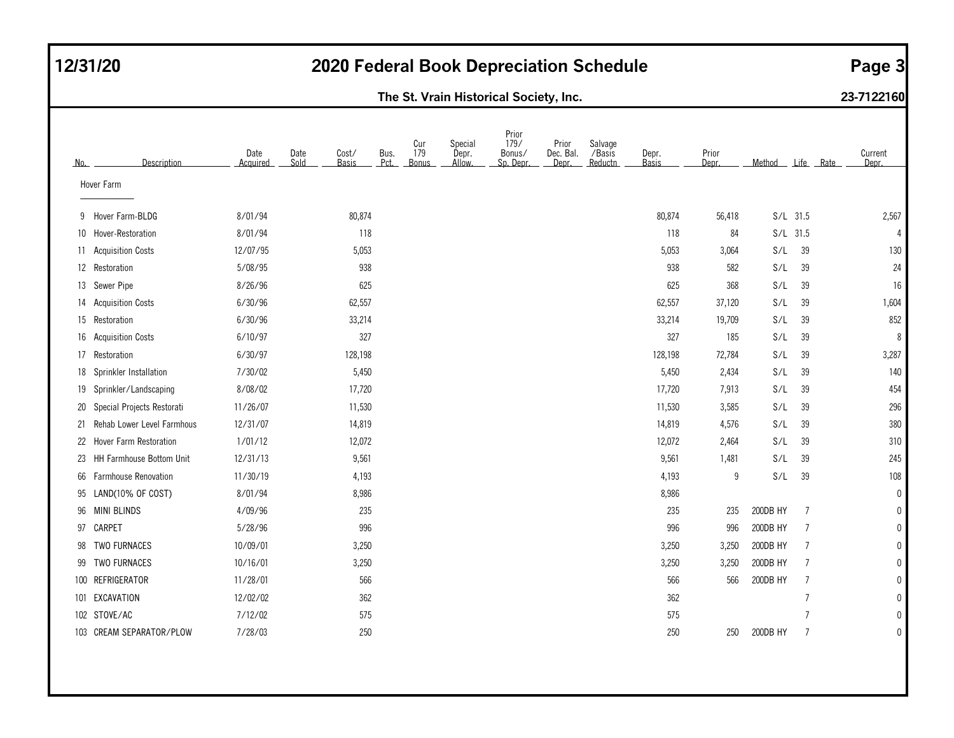## **Page 3**

| No. | <b>Description</b>              | Date<br>Acquired | Date<br>Sold | Cost/<br><b>Basis</b> | Bus.<br>Pct. | Cur<br>179<br><b>Bonus</b> | Special<br>Depr.<br>Allow. | Prior<br>179/<br>Bonus/<br>Sp. Depr | Prior<br>Dec. Bal.<br>Depr. | Salvage<br>/Basis<br>Reductn | Depr.<br>Basis | Prior<br>Depr. | Method   | Life Rate      | Current<br>Depr. |
|-----|---------------------------------|------------------|--------------|-----------------------|--------------|----------------------------|----------------------------|-------------------------------------|-----------------------------|------------------------------|----------------|----------------|----------|----------------|------------------|
|     | Hover Farm                      |                  |              |                       |              |                            |                            |                                     |                             |                              |                |                |          |                |                  |
| 9   | Hover Farm-BLDG                 | 8/01/94          |              | 80,874                |              |                            |                            |                                     |                             |                              | 80,874         | 56,418         |          | S/L 31.5       | 2,567            |
| 10  | Hover-Restoration               | 8/01/94          |              | 118                   |              |                            |                            |                                     |                             |                              | 118            | 84             |          | S/L 31.5       | 4                |
| 11  | <b>Acquisition Costs</b>        | 12/07/95         |              | 5,053                 |              |                            |                            |                                     |                             |                              | 5,053          | 3,064          | S/L      | 39             | 130              |
| 12  | Restoration                     | 5/08/95          |              | 938                   |              |                            |                            |                                     |                             |                              | 938            | 582            | S/L      | 39             | 24               |
| 13  | Sewer Pipe                      | 8/26/96          |              | 625                   |              |                            |                            |                                     |                             |                              | 625            | 368            | S/L      | 39             | 16               |
| 14  | <b>Acquisition Costs</b>        | 6/30/96          |              | 62,557                |              |                            |                            |                                     |                             |                              | 62,557         | 37,120         | S/L      | 39             | 1,604            |
| 15  | Restoration                     | 6/30/96          |              | 33,214                |              |                            |                            |                                     |                             |                              | 33,214         | 19,709         | S/L      | 39             | 852              |
| 16  | <b>Acquisition Costs</b>        | 6/10/97          |              | 327                   |              |                            |                            |                                     |                             |                              | 327            | 185            | S/L      | 39             | 8                |
| 17  | Restoration                     | 6/30/97          |              | 128,198               |              |                            |                            |                                     |                             |                              | 128,198        | 72,784         | S/L      | 39             | 3,287            |
| 18  | Sprinkler Installation          | 7/30/02          |              | 5,450                 |              |                            |                            |                                     |                             |                              | 5,450          | 2,434          | S/L      | 39             | 140              |
| 19  | Sprinkler/Landscaping           | 8/08/02          |              | 17,720                |              |                            |                            |                                     |                             |                              | 17,720         | 7,913          | S/L      | 39             | 454              |
| 20  | Special Projects Restorati      | 11/26/07         |              | 11,530                |              |                            |                            |                                     |                             |                              | 11,530         | 3,585          | S/L      | 39             | 296              |
| 21  | Rehab Lower Level Farmhous      | 12/31/07         |              | 14,819                |              |                            |                            |                                     |                             |                              | 14,819         | 4,576          | S/L      | 39             | 380              |
| 22  | <b>Hover Farm Restoration</b>   | 1/01/12          |              | 12,072                |              |                            |                            |                                     |                             |                              | 12,072         | 2,464          | S/L      | 39             | 310              |
| 23  | <b>HH Farmhouse Bottom Unit</b> | 12/31/13         |              | 9,561                 |              |                            |                            |                                     |                             |                              | 9,561          | 1,481          | S/L      | 39             | 245              |
| 66  | Farmhouse Renovation            | 11/30/19         |              | 4,193                 |              |                            |                            |                                     |                             |                              | 4,193          | 9              | S/L      | 39             | 108              |
| 95  | LAND(10% OF COST)               | 8/01/94          |              | 8,986                 |              |                            |                            |                                     |                             |                              | 8,986          |                |          |                | 0                |
| 96  | <b>MINI BLINDS</b>              | 4/09/96          |              | 235                   |              |                            |                            |                                     |                             |                              | 235            | 235            | 200DB HY | 7              |                  |
| 97  | CARPET                          | 5/28/96          |              | 996                   |              |                            |                            |                                     |                             |                              | 996            | 996            | 200DB HY | 7              |                  |
| 98  | TWO FURNACES                    | 10/09/01         |              | 3,250                 |              |                            |                            |                                     |                             |                              | 3,250          | 3,250          | 200DB HY | 7              |                  |
| 99  | TWO FURNACES                    | 10/16/01         |              | 3,250                 |              |                            |                            |                                     |                             |                              | 3,250          | 3,250          | 200DB HY | 7              |                  |
| 100 | REFRIGERATOR                    | 11/28/01         |              | 566                   |              |                            |                            |                                     |                             |                              | 566            | 566            | 200DB HY | $\overline{7}$ |                  |
| 101 | EXCAVATION                      | 12/02/02         |              | 362                   |              |                            |                            |                                     |                             |                              | 362            |                |          | $\overline{7}$ |                  |
| 102 | STOVE/AC                        | 7/12/02          |              | 575                   |              |                            |                            |                                     |                             |                              | 575            |                |          | $\overline{7}$ |                  |
| 103 | CREAM SEPARATOR/PLOW            | 7/28/03          |              | 250                   |              |                            |                            |                                     |                             |                              | 250            | 250            | 200DB HY | 7              | 0                |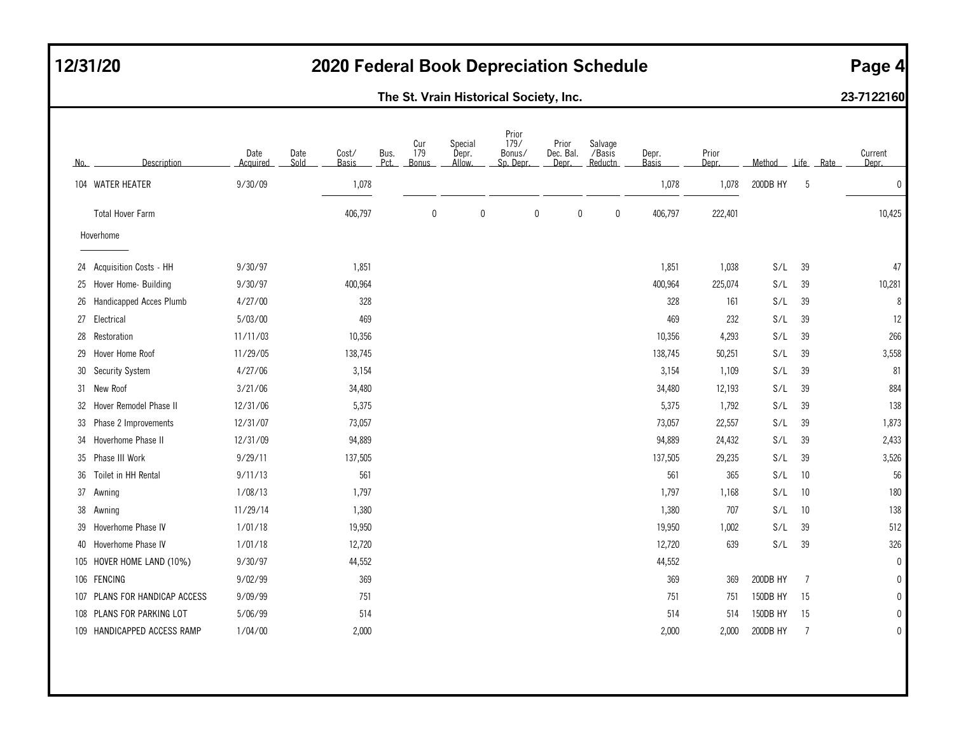### **Page 4**

| Description<br>No.               | Date<br>Acquired | Date<br>Sold | Cost/<br><b>Basis</b> | Bus.<br>Pct. | Cur<br>179<br><b>Bonus</b> | Special<br>Depr.<br>Allow. | Prior<br>179/<br>Bonus/<br>Sp. Depr. | Prior<br>Dec. Bal.<br>Depr. | Salvage<br>/Basis<br>Reductn | Depr.<br><b>Basis</b> | Prior<br>Depr. | Method   | Life Rate      | Current<br>Depr. |
|----------------------------------|------------------|--------------|-----------------------|--------------|----------------------------|----------------------------|--------------------------------------|-----------------------------|------------------------------|-----------------------|----------------|----------|----------------|------------------|
| <b>WATER HEATER</b><br>104       | 9/30/09          |              | 1,078                 |              |                            |                            |                                      |                             |                              | 1,078                 | 1,078          | 200DB HY | 5              | $\mathbf{0}$     |
| Total Hover Farm                 |                  |              | 406,797               |              | $\pmb{0}$                  | $\pmb{0}$                  |                                      | $\pmb{0}$                   | 0<br>$\pmb{0}$               | 406,797               | 222,401        |          |                | 10,425           |
| Hoverhome                        |                  |              |                       |              |                            |                            |                                      |                             |                              |                       |                |          |                |                  |
| Acquisition Costs - HH<br>24     | 9/30/97          |              | 1,851                 |              |                            |                            |                                      |                             |                              | 1,851                 | 1,038          | S/L      | 39             | 47               |
| Hover Home- Building<br>25       | 9/30/97          |              | 400,964               |              |                            |                            |                                      |                             |                              | 400,964               | 225,074        | S/L      | 39             | 10,281           |
| Handicapped Acces Plumb<br>26    | 4/27/00          |              | 328                   |              |                            |                            |                                      |                             |                              | 328                   | 161            | S/L      | 39             | 8                |
| Electrical<br>27                 | 5/03/00          |              | 469                   |              |                            |                            |                                      |                             |                              | 469                   | 232            | S/L      | 39             | 12               |
| Restoration<br>28                | 11/11/03         |              | 10,356                |              |                            |                            |                                      |                             |                              | 10,356                | 4,293          | S/L      | 39             | 266              |
| Hover Home Roof<br>29            | 11/29/05         |              | 138,745               |              |                            |                            |                                      |                             |                              | 138,745               | 50,251         | S/L      | 39             | 3,558            |
| 30<br>Security System            | 4/27/06          |              | 3,154                 |              |                            |                            |                                      |                             |                              | 3,154                 | 1,109          | S/L      | 39             | 81               |
| New Roof<br>31                   | 3/21/06          |              | 34,480                |              |                            |                            |                                      |                             |                              | 34,480                | 12,193         | S/L      | 39             | 884              |
| Hover Remodel Phase II<br>32     | 12/31/06         |              | 5,375                 |              |                            |                            |                                      |                             |                              | 5,375                 | 1,792          | S/L      | 39             | 138              |
| Phase 2 Improvements<br>33       | 12/31/07         |              | 73,057                |              |                            |                            |                                      |                             |                              | 73,057                | 22,557         | S/L      | 39             | 1,873            |
| Hoverhome Phase II<br>34         | 12/31/09         |              | 94,889                |              |                            |                            |                                      |                             |                              | 94,889                | 24,432         | S/L      | 39             | 2,433            |
| Phase III Work<br>35             | 9/29/11          |              | 137,505               |              |                            |                            |                                      |                             |                              | 137,505               | 29,235         | S/L      | 39             | 3,526            |
| Toilet in HH Rental<br>36        | 9/11/13          |              | 561                   |              |                            |                            |                                      |                             |                              | 561                   | 365            | S/L      | 10             | 56               |
| 37<br>Awning                     | 1/08/13          |              | 1,797                 |              |                            |                            |                                      |                             |                              | 1,797                 | 1,168          | S/L      | 10             | 180              |
| 38<br>Awning                     | 11/29/14         |              | 1,380                 |              |                            |                            |                                      |                             |                              | 1,380                 | 707            | S/L      | 10             | 138              |
| Hoverhome Phase IV<br>39         | 1/01/18          |              | 19,950                |              |                            |                            |                                      |                             |                              | 19,950                | 1,002          | S/L      | 39             | 512              |
| Hoverhome Phase IV<br>40         | 1/01/18          |              | 12,720                |              |                            |                            |                                      |                             |                              | 12,720                | 639            | S/L      | 39             | 326              |
| 105 HOVER HOME LAND (10%)        | 9/30/97          |              | 44,552                |              |                            |                            |                                      |                             |                              | 44,552                |                |          |                | $\mathbf{0}$     |
| 106 FENCING                      | 9/02/99          |              | 369                   |              |                            |                            |                                      |                             |                              | 369                   | 369            | 200DB HY | $\overline{7}$ | $\Omega$         |
| PLANS FOR HANDICAP ACCESS<br>107 | 9/09/99          |              | 751                   |              |                            |                            |                                      |                             |                              | 751                   | 751            | 150DB HY | 15             | $\Omega$         |
| 108 PLANS FOR PARKING LOT        | 5/06/99          |              | 514                   |              |                            |                            |                                      |                             |                              | 514                   | 514            | 150DB HY | 15             | $\bf{0}$         |
| HANDICAPPED ACCESS RAMP<br>109   | 1/04/00          |              | 2,000                 |              |                            |                            |                                      |                             |                              | 2,000                 | 2,000          | 200DB HY | $\overline{7}$ | 0                |
|                                  |                  |              |                       |              |                            |                            |                                      |                             |                              |                       |                |          |                |                  |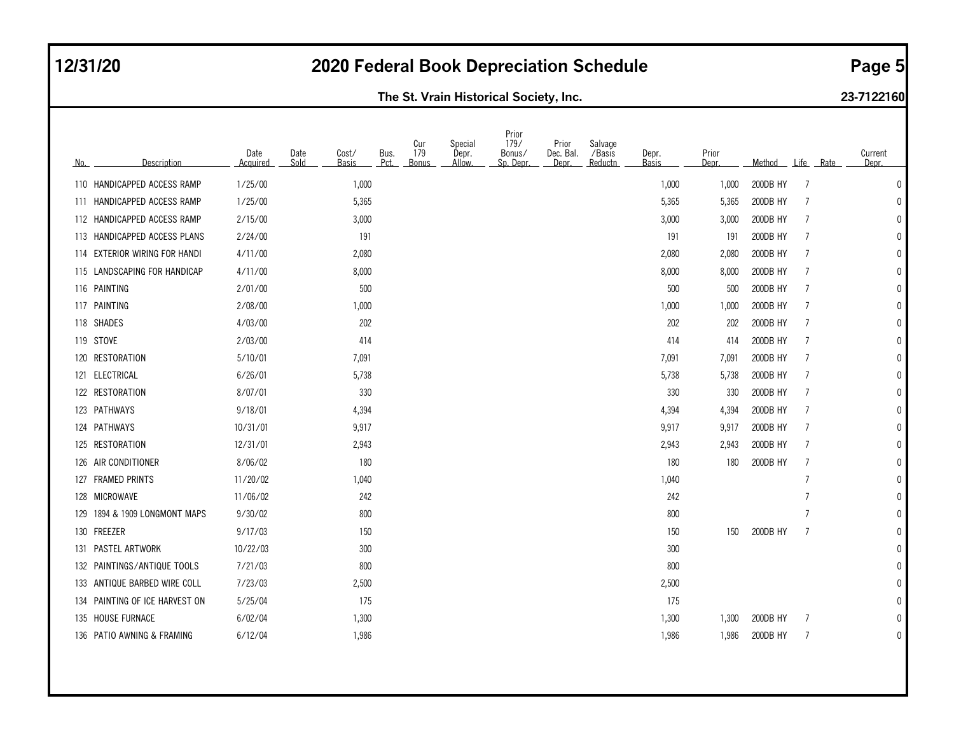## **Page 5**

| No. | Description                    | Date<br>Acquired | Date<br>Sold | Cost/<br><b>Basis</b> | Bus.<br>Pct. | Cur<br>179<br>Bonus | Special<br>Depr.<br>Allow. | Prior<br>179/<br>Bonus/<br>Sp. Depr. | Prior<br>Dec. Bal.<br>Depr. | Salvage<br>/Basis<br>Reductn | Depr.<br><b>Basis</b> | Prior<br>Depr. | Method   | Life Rate      | Current<br>Depr. |
|-----|--------------------------------|------------------|--------------|-----------------------|--------------|---------------------|----------------------------|--------------------------------------|-----------------------------|------------------------------|-----------------------|----------------|----------|----------------|------------------|
|     | 110 HANDICAPPED ACCESS RAMP    | 1/25/00          |              | 1,000                 |              |                     |                            |                                      |                             |                              | 1,000                 | 1,000          | 200DB HY | $\overline{7}$ |                  |
|     | 111 HANDICAPPED ACCESS RAMP    | 1/25/00          |              | 5,365                 |              |                     |                            |                                      |                             |                              | 5,365                 | 5,365          | 200DB HY | 7              |                  |
|     | 112 HANDICAPPED ACCESS RAMP    | 2/15/00          |              | 3,000                 |              |                     |                            |                                      |                             |                              | 3,000                 | 3,000          | 200DB HY | 7              |                  |
|     | 113 HANDICAPPED ACCESS PLANS   | 2/24/00          |              | 191                   |              |                     |                            |                                      |                             |                              | 191                   | 191            | 200DB HY | 7              |                  |
|     | 114 EXTERIOR WIRING FOR HANDI  | 4/11/00          |              | 2,080                 |              |                     |                            |                                      |                             |                              | 2,080                 | 2,080          | 200DB HY | 7              |                  |
|     | 115 LANDSCAPING FOR HANDICAP   | 4/11/00          |              | 8,000                 |              |                     |                            |                                      |                             |                              | 8,000                 | 8,000          | 200DB HY | 7              |                  |
|     | 116 PAINTING                   | 2/01/00          |              | 500                   |              |                     |                            |                                      |                             |                              | 500                   | 500            | 200DB HY | 7              |                  |
|     | 117 PAINTING                   | 2/08/00          |              | 1,000                 |              |                     |                            |                                      |                             |                              | 1,000                 | 1,000          | 200DB HY | 7              |                  |
|     | 118 SHADES                     | 4/03/00          |              | 202                   |              |                     |                            |                                      |                             |                              | 202                   | 202            | 200DB HY | 7              |                  |
|     | 119 STOVE                      | 2/03/00          |              | 414                   |              |                     |                            |                                      |                             |                              | 414                   | 414            | 200DB HY | $\overline{7}$ |                  |
| 120 | <b>RESTORATION</b>             | 5/10/01          |              | 7,091                 |              |                     |                            |                                      |                             |                              | 7,091                 | 7,091          | 200DB HY | 7              |                  |
|     | 121 ELECTRICAL                 | 6/26/01          |              | 5,738                 |              |                     |                            |                                      |                             |                              | 5,738                 | 5,738          | 200DB HY | 7              |                  |
|     | 122 RESTORATION                | 8/07/01          |              | 330                   |              |                     |                            |                                      |                             |                              | 330                   | 330            | 200DB HY | $\overline{7}$ |                  |
|     | 123 PATHWAYS                   | 9/18/01          |              | 4,394                 |              |                     |                            |                                      |                             |                              | 4,394                 | 4,394          | 200DB HY | 7              |                  |
|     | 124 PATHWAYS                   | 10/31/01         |              | 9,917                 |              |                     |                            |                                      |                             |                              | 9,917                 | 9,917          | 200DB HY | 7              |                  |
| 125 | <b>RESTORATION</b>             | 12/31/01         |              | 2,943                 |              |                     |                            |                                      |                             |                              | 2,943                 | 2,943          | 200DB HY | $\overline{7}$ |                  |
|     | 126 AIR CONDITIONER            | 8/06/02          |              | 180                   |              |                     |                            |                                      |                             |                              | 180                   | 180            | 200DB HY | $\overline{7}$ |                  |
| 127 | <b>FRAMED PRINTS</b>           | 11/20/02         |              | 1,040                 |              |                     |                            |                                      |                             |                              | 1,040                 |                |          | 7              |                  |
| 128 | <b>MICROWAVE</b>               | 11/06/02         |              | 242                   |              |                     |                            |                                      |                             |                              | 242                   |                |          | 7              |                  |
|     | 129 1894 & 1909 LONGMONT MAPS  | 9/30/02          |              | 800                   |              |                     |                            |                                      |                             |                              | 800                   |                |          | $\overline{7}$ |                  |
|     | 130 FREEZER                    | 9/17/03          |              | 150                   |              |                     |                            |                                      |                             |                              | 150                   | 150            | 200DB HY | 7              |                  |
|     | 131 PASTEL ARTWORK             | 10/22/03         |              | 300                   |              |                     |                            |                                      |                             |                              | 300                   |                |          |                |                  |
| 132 | PAINTINGS/ANTIQUE TOOLS        | 7/21/03          |              | 800                   |              |                     |                            |                                      |                             |                              | 800                   |                |          |                |                  |
| 133 | ANTIQUE BARBED WIRE COLL       | 7/23/03          |              | 2,500                 |              |                     |                            |                                      |                             |                              | 2,500                 |                |          |                |                  |
|     | 134 PAINTING OF ICE HARVEST ON | 5/25/04          |              | 175                   |              |                     |                            |                                      |                             |                              | 175                   |                |          |                |                  |
|     | 135 HOUSE FURNACE              | 6/02/04          |              | 1,300                 |              |                     |                            |                                      |                             |                              | 1,300                 | 1,300          | 200DB HY | 7              |                  |
|     | 136 PATIO AWNING & FRAMING     | 6/12/04          |              | 1,986                 |              |                     |                            |                                      |                             |                              | 1,986                 | 1,986          | 200DB HY | 7              |                  |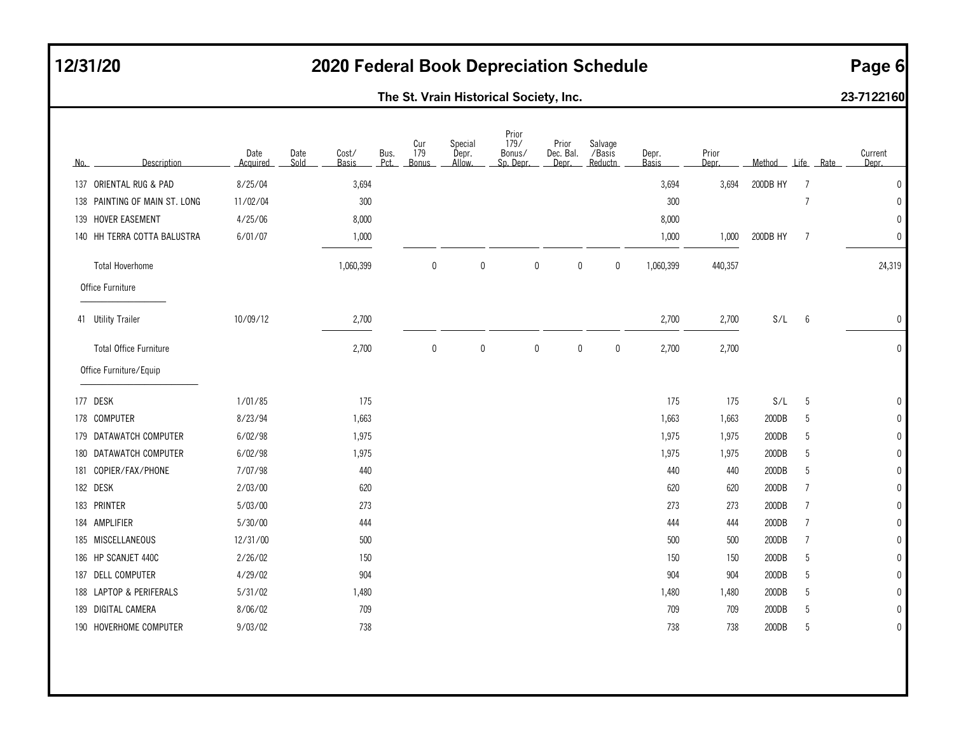## **Page 6**

| Description<br>No.            | Date<br>Acquired | Date<br>Sold | Cost/<br><b>Basis</b> | Bus.<br>Pct. | Cur<br>179<br><b>Bonus</b> | Special<br>Depr.<br>Allow. | Prior<br>179/<br>Bonus/<br>Sp. Depr. | Prior<br>Dec. Bal.<br>Depr. | Salvage<br>/Basis<br>Reductn | Depr.<br><b>Basis</b>    | Prior<br>Depr. | Method   | Life Rate      | Current<br>Depr. |
|-------------------------------|------------------|--------------|-----------------------|--------------|----------------------------|----------------------------|--------------------------------------|-----------------------------|------------------------------|--------------------------|----------------|----------|----------------|------------------|
| ORIENTAL RUG & PAD<br>137     | 8/25/04          |              | 3,694                 |              |                            |                            |                                      |                             |                              | 3,694                    | 3,694          | 200DB HY | 7              | $\Omega$         |
| 138 PAINTING OF MAIN ST. LONG | 11/02/04         |              | 300                   |              |                            |                            |                                      |                             |                              | 300                      |                |          | 7              |                  |
| <b>HOVER EASEMENT</b><br>139  | 4/25/06          |              | 8,000                 |              |                            |                            |                                      |                             |                              | 8,000                    |                |          |                | $\Omega$         |
| 140 HH TERRA COTTA BALUSTRA   | 6/01/07          |              | 1,000                 |              |                            |                            |                                      |                             |                              | 1,000                    | 1,000          | 200DB HY | 7              | $\theta$         |
| <b>Total Hoverhome</b>        |                  |              | 1,060,399             |              | 0                          | $\mathbf 0$                | 0                                    |                             | 0                            | $\mathbf 0$<br>1,060,399 | 440,357        |          |                | 24,319           |
| Office Furniture              |                  |              |                       |              |                            |                            |                                      |                             |                              |                          |                |          |                |                  |
| 41 Utility Trailer            | 10/09/12         |              | 2,700                 |              |                            |                            |                                      |                             |                              | 2,700                    | 2,700          | S/L      | 6              | $\mathbf{0}$     |
| <b>Total Office Furniture</b> |                  |              | 2,700                 |              | 0                          | 0                          | $\mathbf 0$                          |                             | $\mathbf 0$                  | 2,700<br>0               | 2,700          |          |                | $\mathbf{0}$     |
| Office Furniture/Equip        |                  |              |                       |              |                            |                            |                                      |                             |                              |                          |                |          |                |                  |
| 177 DESK                      | 1/01/85          |              | 175                   |              |                            |                            |                                      |                             |                              | 175                      | 175            | S/L      | 5              |                  |
| 178 COMPUTER                  | 8/23/94          |              | 1,663                 |              |                            |                            |                                      |                             |                              | 1,663                    | 1,663          | 200DB    | 5              |                  |
| 179 DATAWATCH COMPUTER        | 6/02/98          |              | 1,975                 |              |                            |                            |                                      |                             |                              | 1,975                    | 1,975          | 200DB    | 5              |                  |
| DATAWATCH COMPUTER<br>180     | 6/02/98          |              | 1,975                 |              |                            |                            |                                      |                             |                              | 1,975                    | 1,975          | 200DB    | 5              |                  |
| COPIER/FAX/PHONE<br>181       | 7/07/98          |              | 440                   |              |                            |                            |                                      |                             |                              | 440                      | 440            | 200DB    | 5              |                  |
| 182 DESK                      | 2/03/00          |              | 620                   |              |                            |                            |                                      |                             |                              | 620                      | 620            | 200DB    | $\overline{7}$ | $\cup$           |
| PRINTER<br>183                | 5/03/00          |              | 273                   |              |                            |                            |                                      |                             |                              | 273                      | 273            | 200DB    | 7              |                  |
| 184 AMPLIFIER                 | 5/30/00          |              | 444                   |              |                            |                            |                                      |                             |                              | 444                      | 444            | 200DB    | 7              |                  |
| MISCELLANEOUS<br>185          | 12/31/00         |              | 500                   |              |                            |                            |                                      |                             |                              | 500                      | 500            | 200DB    | 7              | $\Omega$         |
| HP SCANJET 440C<br>186        | 2/26/02          |              | 150                   |              |                            |                            |                                      |                             |                              | 150                      | 150            | 200DB    | 5              |                  |
| 187 DELL COMPUTER             | 4/29/02          |              | 904                   |              |                            |                            |                                      |                             |                              | 904                      | 904            | 200DB    | 5              |                  |
| 188 LAPTOP & PERIFERALS       | 5/31/02          |              | 1,480                 |              |                            |                            |                                      |                             |                              | 1,480                    | 1,480          | 200DB    | 5              |                  |
| 189 DIGITAL CAMERA            | 8/06/02          |              | 709                   |              |                            |                            |                                      |                             |                              | 709                      | 709            | 200DB    | 5              |                  |
| HOVERHOME COMPUTER<br>190     | 9/03/02          |              | 738                   |              |                            |                            |                                      |                             |                              | 738                      | 738            | 200DB    | 5              | $\Omega$         |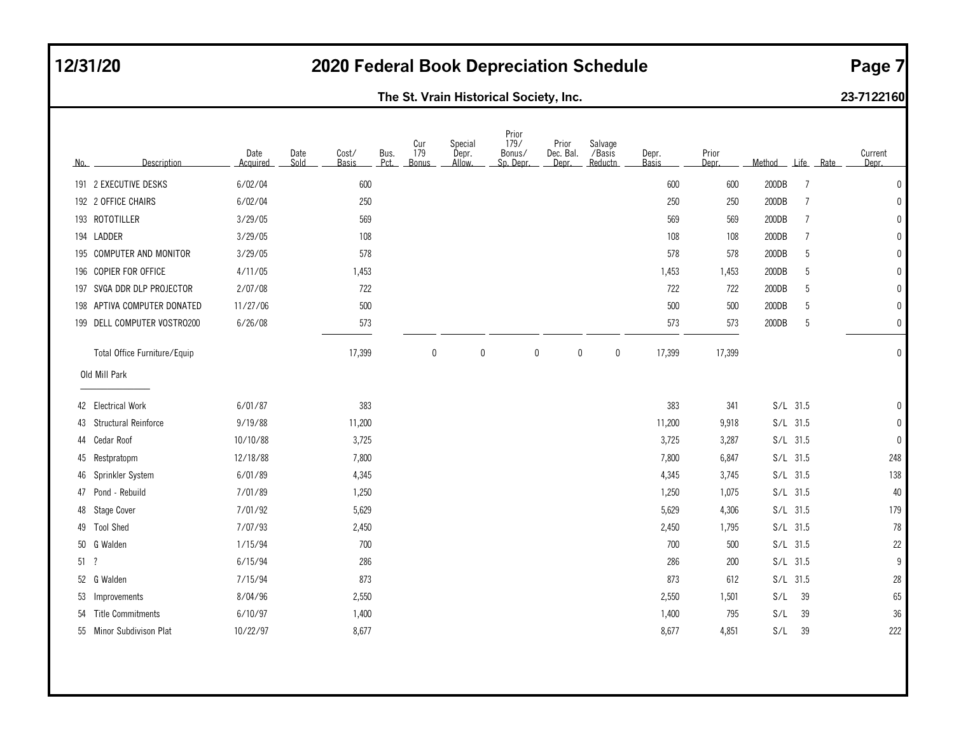## **Page 7**

| No.  | Description                  | Date<br>Acquired | Date<br>Sold | Cost/<br><b>Basis</b> | Bus.<br>Pct. | Cur<br>179<br><b>Bonus</b> | Special<br>Depr.<br>Allow. | Prior<br>179/<br>Bonus/<br>Sp. Depr | Prior<br>Dec. Bal.<br>Depr. | Salvage<br>/Basis<br>Reductn | Depr.<br><b>Basis</b> | Prior<br>Depr. | Method | Life Rate      | Current<br>Depr. |
|------|------------------------------|------------------|--------------|-----------------------|--------------|----------------------------|----------------------------|-------------------------------------|-----------------------------|------------------------------|-----------------------|----------------|--------|----------------|------------------|
|      | 191 2 EXECUTIVE DESKS        | 6/02/04          |              | 600                   |              |                            |                            |                                     |                             |                              | 600                   | 600            | 200DB  | $\overline{7}$ | $\Omega$         |
|      | 192 2 OFFICE CHAIRS          | 6/02/04          |              | 250                   |              |                            |                            |                                     |                             |                              | 250                   | 250            | 200DB  | $\overline{7}$ | $\Omega$         |
| 193  | ROTOTILLER                   | 3/29/05          |              | 569                   |              |                            |                            |                                     |                             |                              | 569                   | 569            | 200DB  | $\overline{7}$ | <sup>0</sup>     |
|      | 194 LADDER                   | 3/29/05          |              | 108                   |              |                            |                            |                                     |                             |                              | 108                   | 108            | 200DB  | $\overline{7}$ |                  |
| 195  | COMPUTER AND MONITOR         | 3/29/05          |              | 578                   |              |                            |                            |                                     |                             |                              | 578                   | 578            | 200DB  | 5              |                  |
| 196  | COPIER FOR OFFICE            | 4/11/05          |              | 1,453                 |              |                            |                            |                                     |                             |                              | 1,453                 | 1,453          | 200DB  | 5              |                  |
| 197  | SVGA DDR DLP PROJECTOR       | 2/07/08          |              | 722                   |              |                            |                            |                                     |                             |                              | 722                   | 722            | 200DB  | 5              | $\Omega$         |
| 198  | APTIVA COMPUTER DONATED      | 11/27/06         |              | 500                   |              |                            |                            |                                     |                             |                              | 500                   | 500            | 200DB  | $\sqrt{5}$     | $\mathbf{0}$     |
|      | 199 DELL COMPUTER VOSTRO200  | 6/26/08          |              | 573                   |              |                            |                            |                                     |                             |                              | 573                   | 573            | 200DB  | 5              | 0                |
|      | Total Office Furniture/Equip |                  |              | 17,399                |              | 0                          | 0                          | 0                                   |                             | 0<br>$\mathbf{0}$            | 17,399                | 17,399         |        |                | $\mathbf{0}$     |
|      | Old Mill Park                |                  |              |                       |              |                            |                            |                                     |                             |                              |                       |                |        |                |                  |
|      | 42 Electrical Work           | 6/01/87          |              | 383                   |              |                            |                            |                                     |                             |                              | 383                   | 341            |        | $S/L$ 31.5     | $\Omega$         |
| 43   | Structural Reinforce         | 9/19/88          |              | 11,200                |              |                            |                            |                                     |                             |                              | 11,200                | 9,918          |        | $S/L$ 31.5     | $\bigcap$        |
| 44   | Cedar Roof                   | 10/10/88         |              | 3,725                 |              |                            |                            |                                     |                             |                              | 3,725                 | 3,287          |        | $S/L$ 31.5     | 0                |
| 45   | Restpratopm                  | 12/18/88         |              | 7,800                 |              |                            |                            |                                     |                             |                              | 7,800                 | 6,847          |        | $S/L$ 31.5     | 248              |
| 46   | Sprinkler System             | 6/01/89          |              | 4,345                 |              |                            |                            |                                     |                             |                              | 4,345                 | 3,745          |        | S/L 31.5       | 138              |
| 47   | Pond - Rebuild               | 7/01/89          |              | 1,250                 |              |                            |                            |                                     |                             |                              | 1,250                 | 1,075          |        | $S/L$ 31.5     | 40               |
| 48   | Stage Cover                  | 7/01/92          |              | 5,629                 |              |                            |                            |                                     |                             |                              | 5,629                 | 4,306          |        | $S/L$ 31.5     | 179              |
| 49   | <b>Tool Shed</b>             | 7/07/93          |              | 2,450                 |              |                            |                            |                                     |                             |                              | 2,450                 | 1,795          |        | S/L 31.5       | 78               |
| 50   | G Walden                     | 1/15/94          |              | 700                   |              |                            |                            |                                     |                             |                              | 700                   | 500            |        | $S/L$ 31.5     | 22               |
| 51 ? |                              | 6/15/94          |              | 286                   |              |                            |                            |                                     |                             |                              | 286                   | 200            |        | $S/L$ 31.5     | 9                |
| 52   | G Walden                     | 7/15/94          |              | 873                   |              |                            |                            |                                     |                             |                              | 873                   | 612            |        | S/L 31.5       | 28               |
| 53   | Improvements                 | 8/04/96          |              | 2,550                 |              |                            |                            |                                     |                             |                              | 2,550                 | 1,501          | S/L    | 39             | 65               |
| 54   | <b>Title Commitments</b>     | 6/10/97          |              | 1,400                 |              |                            |                            |                                     |                             |                              | 1,400                 | 795            | S/L    | 39             | 36               |
| 55   | Minor Subdivison Plat        | 10/22/97         |              | 8,677                 |              |                            |                            |                                     |                             |                              | 8,677                 | 4,851          | S/L    | 39             | 222              |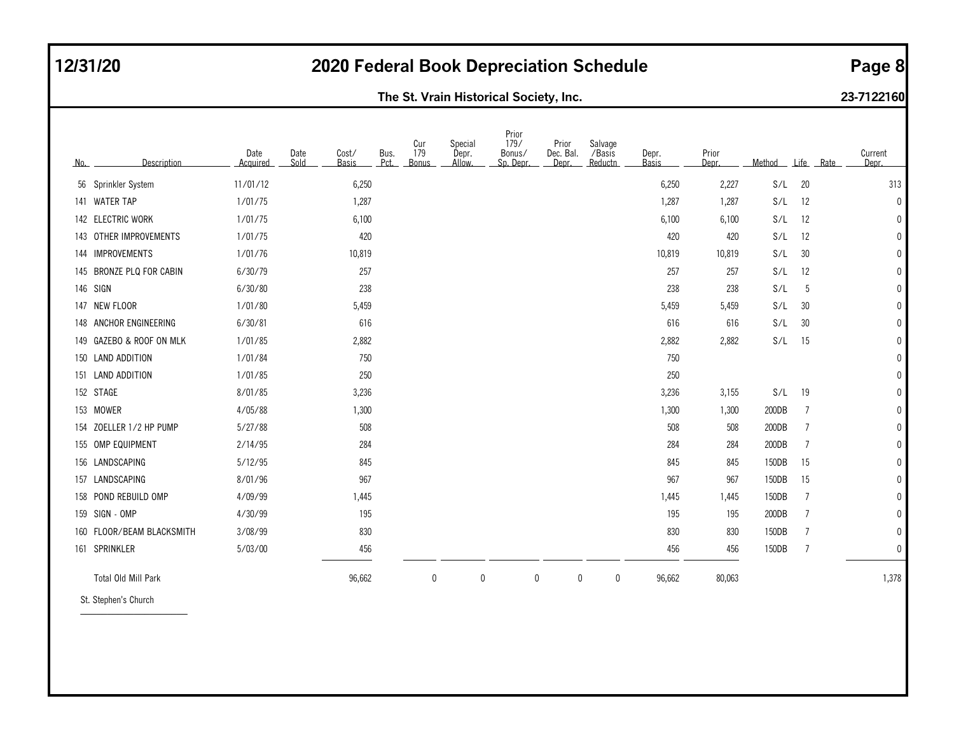## **Page 8**

**The St. Vrain Historical Society, Inc. 23-7122160**

| No. | <b>Description</b>       | Date<br>Acquired | Date<br>Sold | Cost/<br><b>Basis</b> | Bus.<br>Pct. | Cur<br>179<br><b>Bonus</b> | Special<br>Depr.<br>Allow. | Prior<br>179/<br>Bonus/<br>Sp. Depr. | Prior<br>Dec. Bal.<br>Depr. | Salvage<br>/Basis<br>Reductn | Depr.<br><b>Basis</b> | Prior<br>Depr. | Method | Life Rate      | Current<br>Depr. |
|-----|--------------------------|------------------|--------------|-----------------------|--------------|----------------------------|----------------------------|--------------------------------------|-----------------------------|------------------------------|-----------------------|----------------|--------|----------------|------------------|
|     | 56 Sprinkler System      | 11/01/12         |              | 6,250                 |              |                            |                            |                                      |                             |                              | 6,250                 | 2,227          | S/L    | 20             | 313              |
|     | 141 WATER TAP            | 1/01/75          |              | 1,287                 |              |                            |                            |                                      |                             |                              | 1,287                 | 1,287          | S/L    | 12             | $\theta$         |
|     | 142 ELECTRIC WORK        | 1/01/75          |              | 6,100                 |              |                            |                            |                                      |                             |                              | 6,100                 | 6,100          | S/L    | 12             |                  |
|     | 143 OTHER IMPROVEMENTS   | 1/01/75          |              | 420                   |              |                            |                            |                                      |                             |                              | 420                   | 420            | S/L    | -12            |                  |
| 144 | <b>IMPROVEMENTS</b>      | 1/01/76          |              | 10,819                |              |                            |                            |                                      |                             |                              | 10,819                | 10,819         | S/L    | 30             |                  |
|     | 145 BRONZE PLQ FOR CABIN | 6/30/79          |              | 257                   |              |                            |                            |                                      |                             |                              | 257                   | 257            | S/L    | 12             |                  |
|     | 146 SIGN                 | 6/30/80          |              | 238                   |              |                            |                            |                                      |                             |                              | 238                   | 238            | S/L    | 5              |                  |
| 147 | NEW FLOOR                | 1/01/80          |              | 5,459                 |              |                            |                            |                                      |                             |                              | 5,459                 | 5,459          | S/L    | 30             |                  |
|     | 148 ANCHOR ENGINEERING   | 6/30/81          |              | 616                   |              |                            |                            |                                      |                             |                              | 616                   | 616            | S/L    | 30             | $\theta$         |
|     | 149 GAZEBO & ROOF ON MLK | 1/01/85          |              | 2,882                 |              |                            |                            |                                      |                             |                              | 2,882                 | 2,882          | S/L    | 15             |                  |
|     | 150 LAND ADDITION        | 1/01/84          |              | 750                   |              |                            |                            |                                      |                             |                              | 750                   |                |        |                |                  |
|     | 151 LAND ADDITION        | 1/01/85          |              | 250                   |              |                            |                            |                                      |                             |                              | 250                   |                |        |                |                  |
|     | 152 STAGE                | 8/01/85          |              | 3,236                 |              |                            |                            |                                      |                             |                              | 3,236                 | 3,155          | S/L    | 19             |                  |
|     | 153 MOWER                | 4/05/88          |              | 1,300                 |              |                            |                            |                                      |                             |                              | 1,300                 | 1,300          | 200DB  | 7              |                  |
|     | 154 ZOELLER 1/2 HP PUMP  | 5/27/88          |              | 508                   |              |                            |                            |                                      |                             |                              | 508                   | 508            | 200DB  | 7              |                  |
|     | 155 OMP EQUIPMENT        | 2/14/95          |              | 284                   |              |                            |                            |                                      |                             |                              | 284                   | 284            | 200DB  | 7              |                  |
|     | 156 LANDSCAPING          | 5/12/95          |              | 845                   |              |                            |                            |                                      |                             |                              | 845                   | 845            | 150DB  | 15             | $\Omega$         |
|     | 157 LANDSCAPING          | 8/01/96          |              | 967                   |              |                            |                            |                                      |                             |                              | 967                   | 967            | 150DB  | 15             |                  |
|     | 158 POND REBUILD OMP     | 4/09/99          |              | 1,445                 |              |                            |                            |                                      |                             |                              | 1,445                 | 1,445          | 150DB  | 7              |                  |
|     | 159 SIGN - OMP           | 4/30/99          |              | 195                   |              |                            |                            |                                      |                             |                              | 195                   | 195            | 200DB  | $\overline{7}$ |                  |
| 160 | FLOOR/BEAM BLACKSMITH    | 3/08/99          |              | 830                   |              |                            |                            |                                      |                             |                              | 830                   | 830            | 150DB  | 7              | $\theta$         |
|     | 161 SPRINKLER            | 5/03/00          |              | 456                   |              |                            |                            |                                      |                             |                              | 456                   | 456            | 150DB  | 7              | $\theta$         |
|     | Total Old Mill Park      |                  |              | 96,662                |              | 0                          | 0                          |                                      | $\mathbf 0$                 | 0<br>0                       | 96,662                | 80,063         |        |                | 1,378            |

St. Stephen's Church  $\mathcal{L}=\mathcal{L}^{\mathcal{L}}$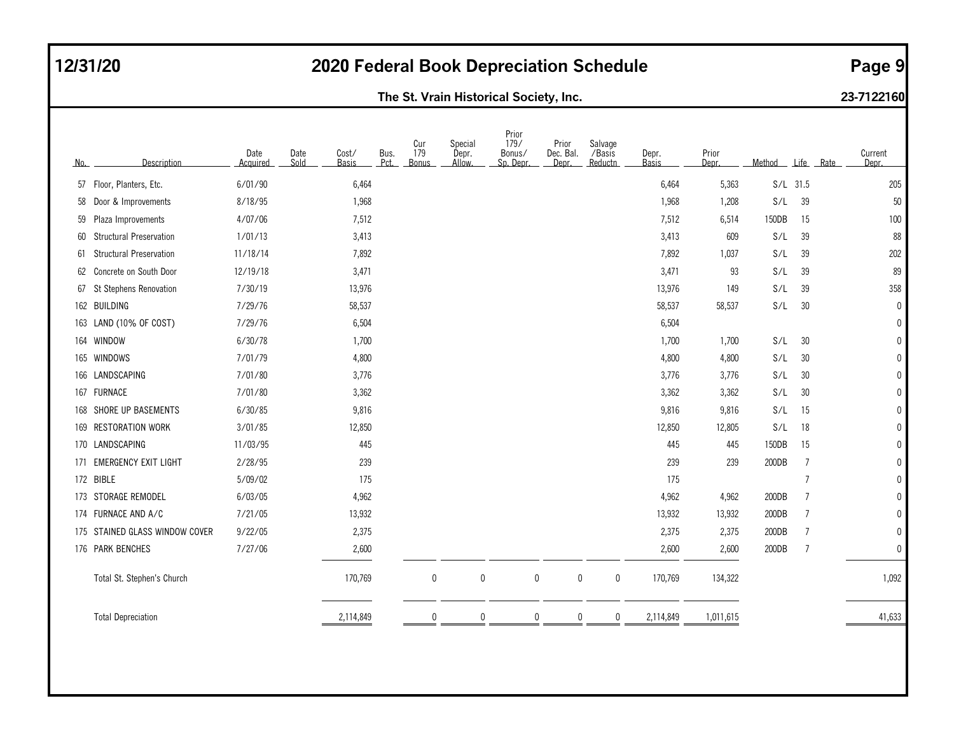## **Page 9**

| No. | <b>Description</b>             | Date<br>Acquired | Date<br>Sold | Cost/<br><b>Basis</b> | Bus.<br>Pct. | Cur<br>179<br><b>Bonus</b> | Special<br>Depr.<br>Allow. | Prior<br>179/<br>Bonus/<br>Sp. Depr. | Prior<br>Dec. Bal.<br>Depr. | Salvage<br>/Basis<br>Reductn | Depr.<br><b>Basis</b> | Prior<br>Depr. | Method |                | Life Rate | Current<br>Depr. |
|-----|--------------------------------|------------------|--------------|-----------------------|--------------|----------------------------|----------------------------|--------------------------------------|-----------------------------|------------------------------|-----------------------|----------------|--------|----------------|-----------|------------------|
| 57  | Floor, Planters, Etc.          | 6/01/90          |              | 6,464                 |              |                            |                            |                                      |                             |                              | 6,464                 | 5,363          |        | $S/L$ 31.5     |           | 205              |
| 58  | Door & Improvements            | 8/18/95          |              | 1,968                 |              |                            |                            |                                      |                             |                              | 1,968                 | 1,208          | S/L    | 39             |           | 50               |
| 59  | Plaza Improvements             | 4/07/06          |              | 7,512                 |              |                            |                            |                                      |                             |                              | 7,512                 | 6,514          | 150DB  | 15             |           | 100              |
| 60  | <b>Structural Preservation</b> | 1/01/13          |              | 3,413                 |              |                            |                            |                                      |                             |                              | 3,413                 | 609            | S/L    | 39             |           | 88               |
| 61  | <b>Structural Preservation</b> | 11/18/14         |              | 7,892                 |              |                            |                            |                                      |                             |                              | 7,892                 | 1,037          | S/L    | 39             |           | 202              |
| 62  | Concrete on South Door         | 12/19/18         |              | 3,471                 |              |                            |                            |                                      |                             |                              | 3,471                 | 93             | S/L    | 39             |           | 89               |
| 67  | St Stephens Renovation         | 7/30/19          |              | 13,976                |              |                            |                            |                                      |                             |                              | 13,976                | 149            | S/L    | 39             |           | 358              |
|     | 162 BUILDING                   | 7/29/76          |              | 58,537                |              |                            |                            |                                      |                             |                              | 58,537                | 58,537         | S/L    | 30             |           | $\mathbf{0}$     |
| 163 | LAND (10% OF COST)             | 7/29/76          |              | 6,504                 |              |                            |                            |                                      |                             |                              | 6,504                 |                |        |                |           | $\mathbf{0}$     |
| 164 | WINDOW                         | 6/30/78          |              | 1,700                 |              |                            |                            |                                      |                             |                              | 1,700                 | 1,700          | S/L    | 30             |           | $\mathbf{0}$     |
| 165 | WINDOWS                        | 7/01/79          |              | 4,800                 |              |                            |                            |                                      |                             |                              | 4,800                 | 4,800          | S/L    | 30             |           | $\mathbf{0}$     |
|     | 166 LANDSCAPING                | 7/01/80          |              | 3,776                 |              |                            |                            |                                      |                             |                              | 3,776                 | 3,776          | S/L    | 30             |           | $\mathbf{0}$     |
| 167 | <b>FURNACE</b>                 | 7/01/80          |              | 3,362                 |              |                            |                            |                                      |                             |                              | 3,362                 | 3,362          | S/L    | 30             |           | $\mathbf{0}$     |
|     | 168 SHORE UP BASEMENTS         | 6/30/85          |              | 9,816                 |              |                            |                            |                                      |                             |                              | 9,816                 | 9,816          | S/L    | 15             |           | $\mathbf{0}$     |
| 169 | <b>RESTORATION WORK</b>        | 3/01/85          |              | 12,850                |              |                            |                            |                                      |                             |                              | 12,850                | 12,805         | S/L    | 18             |           | $\mathbf{0}$     |
|     | 170 LANDSCAPING                | 11/03/95         |              | 445                   |              |                            |                            |                                      |                             |                              | 445                   | 445            | 150DB  | 15             |           | $\mathbf{0}$     |
| 171 | <b>EMERGENCY EXIT LIGHT</b>    | 2/28/95          |              | 239                   |              |                            |                            |                                      |                             |                              | 239                   | 239            | 200DB  | $\overline{7}$ |           | $\mathbf{0}$     |
|     | 172 BIBLE                      | 5/09/02          |              | 175                   |              |                            |                            |                                      |                             |                              | 175                   |                |        | $\overline{7}$ |           | $\mathbf{0}$     |
|     | 173 STORAGE REMODEL            | 6/03/05          |              | 4,962                 |              |                            |                            |                                      |                             |                              | 4,962                 | 4,962          | 200DB  | $\overline{7}$ |           | $\mathbf{0}$     |
|     | 174 FURNACE AND A/C            | 7/21/05          |              | 13,932                |              |                            |                            |                                      |                             |                              | 13,932                | 13,932         | 200DB  | 7              |           | $\mathbf{0}$     |
|     | 175 STAINED GLASS WINDOW COVER | 9/22/05          |              | 2,375                 |              |                            |                            |                                      |                             |                              | 2,375                 | 2,375          | 200DB  | 7              |           | $\mathbf 0$      |
|     | 176 PARK BENCHES               | 7/27/06          |              | 2,600                 |              |                            |                            |                                      |                             |                              | 2,600                 | 2,600          | 200DB  | $\overline{7}$ |           | $\mathbf{0}$     |
|     | Total St. Stephen's Church     |                  |              | 170,769               |              | 0                          | $\mathbf{0}$               |                                      | 0<br>$\mathbf 0$            | $\mathbf{0}$                 | 170,769               | 134,322        |        |                |           | 1,092            |
|     | <b>Total Depreciation</b>      |                  |              | 2,114,849             |              | $\Omega$                   | $\mathbf{0}$               |                                      | 0<br>$\mathbf 0$            | $\mathbf{0}$                 | 2,114,849             | 1,011,615      |        |                |           | 41,633           |